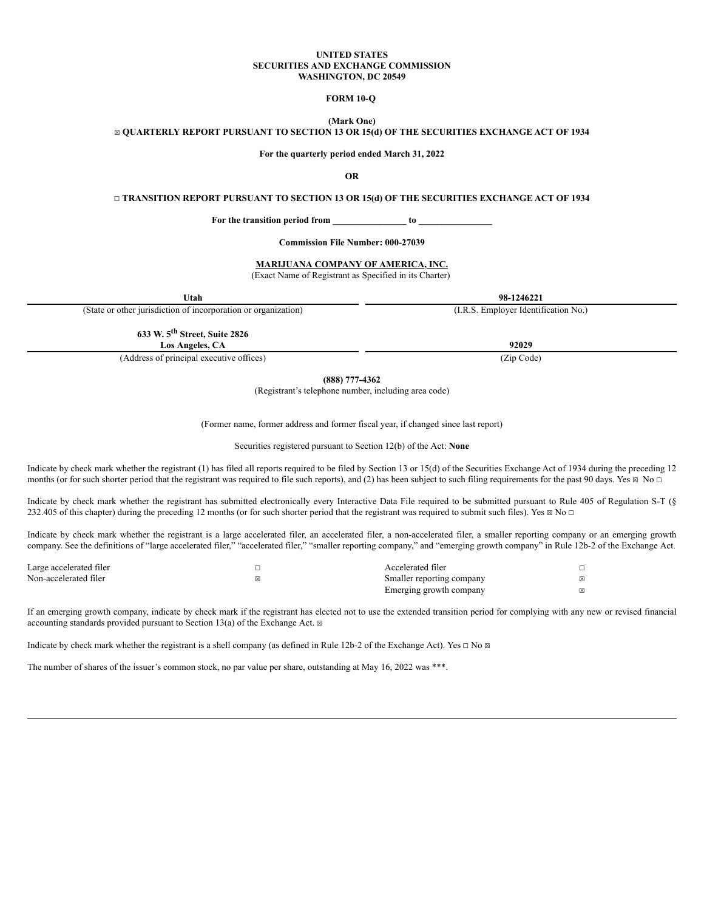#### **UNITED STATES SECURITIES AND EXCHANGE COMMISSION WASHINGTON, DC 20549**

**FORM 10-Q**

## **(Mark One)**

☒ **QUARTERLY REPORT PURSUANT TO SECTION 13 OR 15(d) OF THE SECURITIES EXCHANGE ACT OF 1934**

**For the quarterly period ended March 31, 2022**

# **OR**

☐ **TRANSITION REPORT PURSUANT TO SECTION 13 OR 15(d) OF THE SECURITIES EXCHANGE ACT OF 1934**

**For the transition period from \_\_\_\_\_\_\_\_\_\_\_\_\_\_\_\_ to \_\_\_\_\_\_\_\_\_\_\_\_\_\_\_\_**

**Commission File Number: 000-27039**

#### **MARIJUANA COMPANY OF AMERICA, INC.**

(Exact Name of Registrant as Specified in its Charter)

**Utah 98-1246221**

(State or other jurisdiction of incorporation or organization) (I.R.S. Employer Identification No.)

**633 W. 5 th Street, Suite 2826**

**Los Angeles, CA 92029**

(Address of principal executive offices) (Zip Code)

**(888) 777-4362**

(Registrant's telephone number, including area code)

(Former name, former address and former fiscal year, if changed since last report)

Securities registered pursuant to Section 12(b) of the Act: **None**

Indicate by check mark whether the registrant (1) has filed all reports required to be filed by Section 13 or 15(d) of the Securities Exchange Act of 1934 during the preceding 12 months (or for such shorter period that the registrant was required to file such reports), and (2) has been subject to such filing requirements for the past 90 days. Yes  $\boxtimes$  No  $\Box$ 

Indicate by check mark whether the registrant has submitted electronically every Interactive Data File required to be submitted pursuant to Rule 405 of Regulation S-T (§ 232.405 of this chapter) during the preceding 12 months (or for such shorter period that the registrant was required to submit such files). Yes  $\boxtimes$  No  $\Box$ 

Indicate by check mark whether the registrant is a large accelerated filer, an accelerated filer, a non-accelerated filer, a smaller reporting company or an emerging growth company. See the definitions of "large accelerated filer," "accelerated filer," "smaller reporting company," and "emerging growth company" in Rule 12b-2 of the Exchange Act.

| Large accelerated filer | Accelerated filer         |  |
|-------------------------|---------------------------|--|
| Non-accelerated filer   | Smaller reporting company |  |
|                         | Emerging growth company   |  |

If an emerging growth company, indicate by check mark if the registrant has elected not to use the extended transition period for complying with any new or revised financial accounting standards provided pursuant to Section 13(a) of the Exchange Act.  $\boxtimes$ 

Indicate by check mark whether the registrant is a shell company (as defined in Rule 12b-2 of the Exchange Act). Yes □ No ⊠

The number of shares of the issuer's common stock, no par value per share, outstanding at May 16, 2022 was \*\*\*.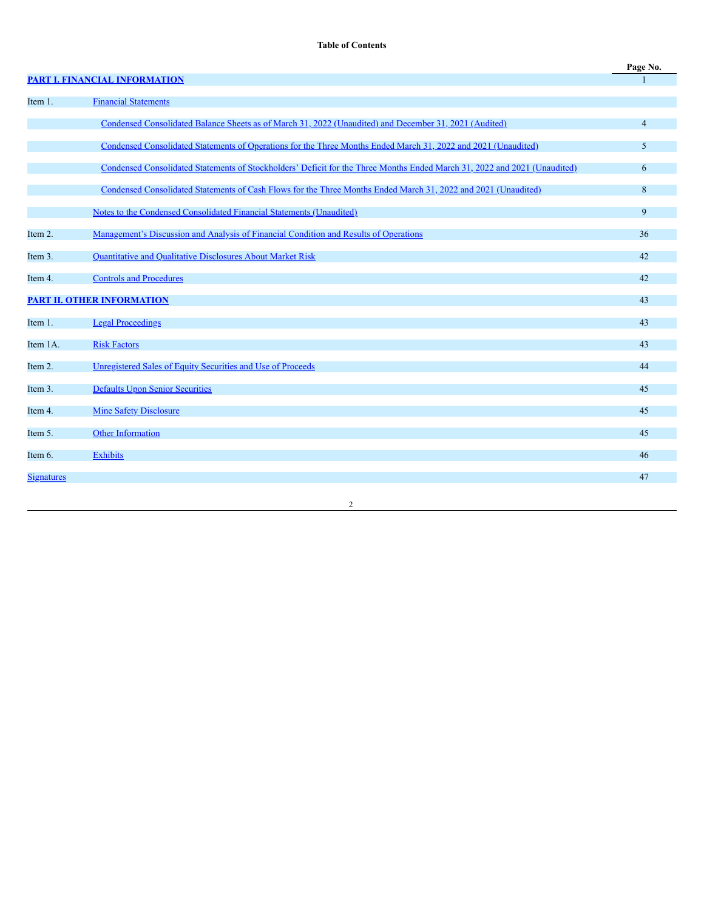# **Table of Contents**

|                   |                                                                                                                           | Page No.       |
|-------------------|---------------------------------------------------------------------------------------------------------------------------|----------------|
|                   | <b>PART I. FINANCIAL INFORMATION</b>                                                                                      |                |
| Item 1.           | <b>Financial Statements</b>                                                                                               |                |
|                   | Condensed Consolidated Balance Sheets as of March 31, 2022 (Unaudited) and December 31, 2021 (Audited)                    | $\overline{4}$ |
|                   | Condensed Consolidated Statements of Operations for the Three Months Ended March 31, 2022 and 2021 (Unaudited)            | 5              |
|                   | Condensed Consolidated Statements of Stockholders' Deficit for the Three Months Ended March 31, 2022 and 2021 (Unaudited) | 6              |
|                   | Condensed Consolidated Statements of Cash Flows for the Three Months Ended March 31, 2022 and 2021 (Unaudited)            | 8              |
|                   | Notes to the Condensed Consolidated Financial Statements (Unaudited)                                                      | 9              |
| Item 2.           | Management's Discussion and Analysis of Financial Condition and Results of Operations                                     | 36             |
| Item 3.           | Quantitative and Qualitative Disclosures About Market Risk                                                                | 42             |
| Item 4.           | <b>Controls and Procedures</b>                                                                                            | 42             |
|                   | <b>PART II. OTHER INFORMATION</b>                                                                                         | 43             |
| Item 1.           | <b>Legal Proceedings</b>                                                                                                  | 43             |
| Item 1A.          | <b>Risk Factors</b>                                                                                                       | 43             |
| Item 2.           | Unregistered Sales of Equity Securities and Use of Proceeds                                                               | 44             |
| Item 3.           | <b>Defaults Upon Senior Securities</b>                                                                                    | 45             |
| Item 4.           | <b>Mine Safety Disclosure</b>                                                                                             | 45             |
| Item 5.           | <b>Other Information</b>                                                                                                  | 45             |
| Item 6.           | Exhibits                                                                                                                  | 46             |
| <b>Signatures</b> |                                                                                                                           | 47             |
|                   | 2                                                                                                                         |                |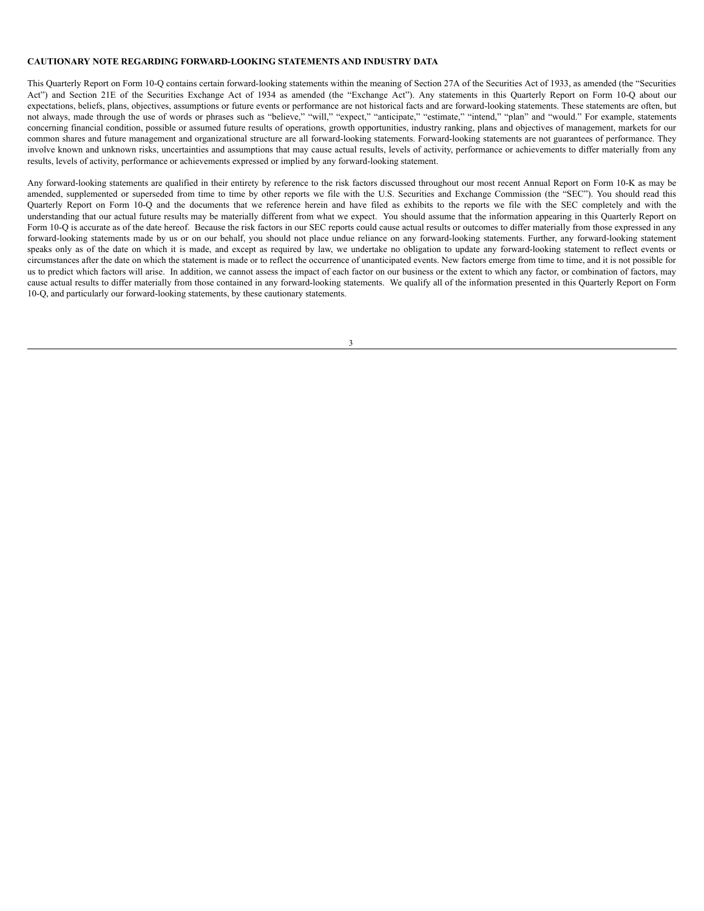# **CAUTIONARY NOTE REGARDING FORWARD-LOOKING STATEMENTS AND INDUSTRY DATA**

This Quarterly Report on Form 10-Q contains certain forward-looking statements within the meaning of Section 27A of the Securities Act of 1933, as amended (the "Securities Act") and Section 21E of the Securities Exchange Act of 1934 as amended (the "Exchange Act"). Any statements in this Quarterly Report on Form 10-Q about our expectations, beliefs, plans, objectives, assumptions or future events or performance are not historical facts and are forward-looking statements. These statements are often, but not always, made through the use of words or phrases such as "believe," "will," "expect," "anticipate," "estimate," "intend," "plan" and "would." For example, statements concerning financial condition, possible or assumed future results of operations, growth opportunities, industry ranking, plans and objectives of management, markets for our common shares and future management and organizational structure are all forward-looking statements. Forward-looking statements are not guarantees of performance. They involve known and unknown risks, uncertainties and assumptions that may cause actual results, levels of activity, performance or achievements to differ materially from any results, levels of activity, performance or achievements expressed or implied by any forward-looking statement.

Any forward-looking statements are qualified in their entirety by reference to the risk factors discussed throughout our most recent Annual Report on Form 10-K as may be amended, supplemented or superseded from time to time by other reports we file with the U.S. Securities and Exchange Commission (the "SEC"). You should read this Quarterly Report on Form 10-Q and the documents that we reference herein and have filed as exhibits to the reports we file with the SEC completely and with the understanding that our actual future results may be materially different from what we expect. You should assume that the information appearing in this Quarterly Report on Form 10-Q is accurate as of the date hereof. Because the risk factors in our SEC reports could cause actual results or outcomes to differ materially from those expressed in any forward-looking statements made by us or on our behalf, you should not place undue reliance on any forward-looking statements. Further, any forward-looking statement speaks only as of the date on which it is made, and except as required by law, we undertake no obligation to update any forward-looking statement to reflect events or circumstances after the date on which the statement is made or to reflect the occurrence of unanticipated events. New factors emerge from time to time, and it is not possible for us to predict which factors will arise. In addition, we cannot assess the impact of each factor on our business or the extent to which any factor, or combination of factors, may cause actual results to differ materially from those contained in any forward-looking statements. We qualify all of the information presented in this Quarterly Report on Form 10-Q, and particularly our forward-looking statements, by these cautionary statements.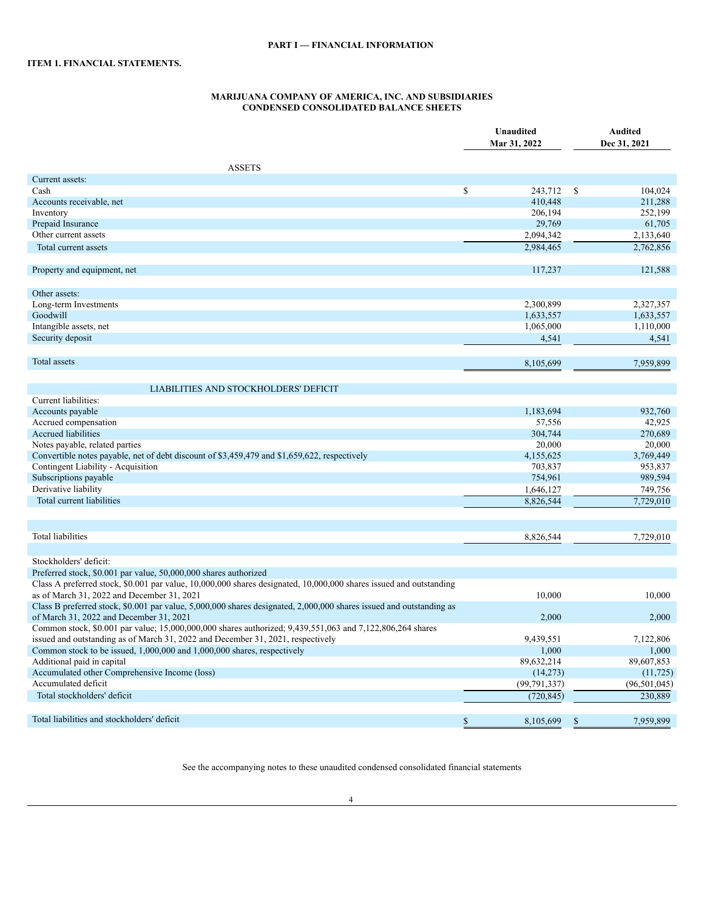# **MARIJUANA COMPANY OF AMERICA, INC. AND SUBSIDIARIES CONDENSED CONSOLIDATED BALANCE SHEETS**

<span id="page-3-0"></span>

|                                                                                                                                                                  | <b>Unaudited</b><br>Mar 31, 2022 | <b>Audited</b><br>Dec 31, 2021 |                |  |
|------------------------------------------------------------------------------------------------------------------------------------------------------------------|----------------------------------|--------------------------------|----------------|--|
|                                                                                                                                                                  |                                  |                                |                |  |
| <b>ASSETS</b>                                                                                                                                                    |                                  |                                |                |  |
| Current assets:                                                                                                                                                  |                                  |                                |                |  |
| Cash                                                                                                                                                             | \$<br>243,712                    | <sup>\$</sup>                  | 104,024        |  |
| Accounts receivable, net                                                                                                                                         | 410,448                          |                                | 211,288        |  |
| Inventory                                                                                                                                                        | 206,194                          |                                | 252,199        |  |
| Prepaid Insurance                                                                                                                                                | 29,769                           |                                | 61,705         |  |
| Other current assets                                                                                                                                             | 2,094,342                        |                                | 2,133,640      |  |
| Total current assets                                                                                                                                             | 2,984,465                        |                                | 2,762,856      |  |
| Property and equipment, net                                                                                                                                      | 117,237                          |                                | 121,588        |  |
| Other assets:                                                                                                                                                    |                                  |                                |                |  |
| Long-term Investments                                                                                                                                            | 2,300,899                        |                                | 2,327,357      |  |
| Goodwill                                                                                                                                                         | 1,633,557                        |                                | 1,633,557      |  |
| Intangible assets, net                                                                                                                                           | 1,065,000                        |                                | 1,110,000      |  |
| Security deposit                                                                                                                                                 | 4,541                            |                                | 4,541          |  |
| Total assets                                                                                                                                                     | 8,105,699                        |                                | 7,959,899      |  |
|                                                                                                                                                                  |                                  |                                |                |  |
| LIABILITIES AND STOCKHOLDERS' DEFICIT                                                                                                                            |                                  |                                |                |  |
| Current liabilities:                                                                                                                                             |                                  |                                |                |  |
| Accounts payable                                                                                                                                                 | 1,183,694                        |                                | 932,760        |  |
| Accrued compensation                                                                                                                                             | 57,556                           |                                | 42,925         |  |
| <b>Accrued liabilities</b>                                                                                                                                       | 304,744                          |                                | 270,689        |  |
| Notes payable, related parties                                                                                                                                   | 20,000                           |                                | 20,000         |  |
| Convertible notes payable, net of debt discount of \$3,459,479 and \$1,659,622, respectively                                                                     | 4,155,625                        |                                | 3,769,449      |  |
| Contingent Liability - Acquisition                                                                                                                               | 703,837                          |                                | 953,837        |  |
| Subscriptions payable                                                                                                                                            | 754,961                          |                                | 989,594        |  |
| Derivative liability                                                                                                                                             | 1,646,127                        |                                | 749,756        |  |
| Total current liabilities                                                                                                                                        | 8,826,544                        |                                | 7,729,010      |  |
|                                                                                                                                                                  |                                  |                                |                |  |
|                                                                                                                                                                  |                                  |                                |                |  |
| <b>Total liabilities</b>                                                                                                                                         | 8,826,544                        |                                | 7,729,010      |  |
| Stockholders' deficit:                                                                                                                                           |                                  |                                |                |  |
| Preferred stock, \$0.001 par value, 50,000,000 shares authorized                                                                                                 |                                  |                                |                |  |
| Class A preferred stock, \$0.001 par value, 10,000,000 shares designated, 10,000,000 shares issued and outstanding<br>as of March 31, 2022 and December 31, 2021 | 10,000                           |                                | 10,000         |  |
| Class B preferred stock, \$0.001 par value, 5,000,000 shares designated, 2,000,000 shares issued and outstanding as<br>of March 31, 2022 and December 31, 2021   | 2,000                            |                                |                |  |
| Common stock, \$0.001 par value; 15,000,000,000 shares authorized; 9,439,551,063 and 7,122,806,264 shares                                                        |                                  |                                | 2,000          |  |
| issued and outstanding as of March 31, 2022 and December 31, 2021, respectively                                                                                  | 9,439,551                        |                                | 7,122,806      |  |
| Common stock to be issued, 1,000,000 and 1,000,000 shares, respectively                                                                                          | 1,000                            |                                | 1,000          |  |
| Additional paid in capital                                                                                                                                       | 89,632,214                       |                                | 89,607,853     |  |
| Accumulated other Comprehensive Income (loss)                                                                                                                    | (14,273)                         |                                | (11, 725)      |  |
| Accumulated deficit                                                                                                                                              | (99, 791, 337)                   |                                | (96, 501, 045) |  |
| Total stockholders' deficit                                                                                                                                      | (720, 845)                       |                                | 230,889        |  |
| Total liabilities and stockholders' deficit                                                                                                                      | \$                               | \$                             | 7,959,899      |  |
|                                                                                                                                                                  | 8,105,699                        |                                |                |  |

See the accompanying notes to these unaudited condensed consolidated financial statements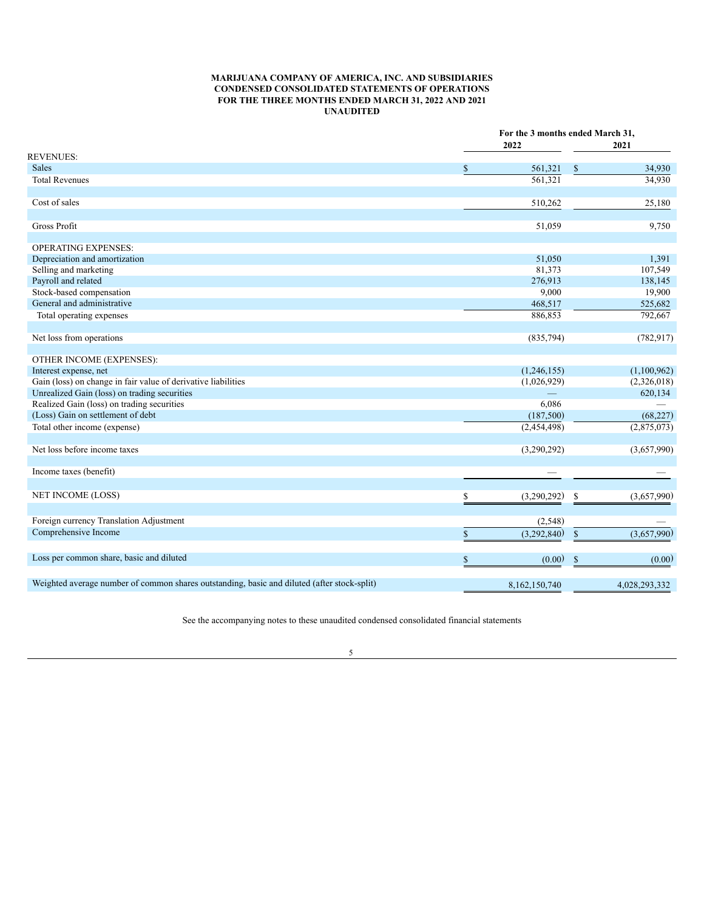# **MARIJUANA COMPANY OF AMERICA, INC. AND SUBSIDIARIES CONDENSED CONSOLIDATED STATEMENTS OF OPERATIONS FOR THE THREE MONTHS ENDED MARCH 31, 2022 AND 2021 UNAUDITED**

<span id="page-4-0"></span>

|                                                                                             | For the 3 months ended March 31, |               |               |               |  |  |  |
|---------------------------------------------------------------------------------------------|----------------------------------|---------------|---------------|---------------|--|--|--|
| <b>REVENUES:</b>                                                                            |                                  | 2022          |               | 2021          |  |  |  |
| <b>Sales</b>                                                                                | \$                               | 561,321       | \$            | 34,930        |  |  |  |
| <b>Total Revenues</b>                                                                       |                                  | 561,321       |               | 34,930        |  |  |  |
| Cost of sales                                                                               |                                  | 510,262       |               | 25,180        |  |  |  |
| Gross Profit                                                                                |                                  | 51,059        |               | 9,750         |  |  |  |
| <b>OPERATING EXPENSES:</b>                                                                  |                                  |               |               |               |  |  |  |
| Depreciation and amortization                                                               |                                  | 51,050        |               | 1,391         |  |  |  |
| Selling and marketing                                                                       |                                  | 81,373        |               | 107,549       |  |  |  |
| Payroll and related                                                                         |                                  | 276,913       |               | 138,145       |  |  |  |
| Stock-based compensation                                                                    |                                  | 9,000         |               | 19,900        |  |  |  |
| General and administrative                                                                  |                                  | 468,517       |               | 525,682       |  |  |  |
| Total operating expenses                                                                    |                                  | 886,853       |               | 792,667       |  |  |  |
| Net loss from operations                                                                    |                                  | (835,794)     |               | (782, 917)    |  |  |  |
| OTHER INCOME (EXPENSES):                                                                    |                                  |               |               |               |  |  |  |
| Interest expense, net                                                                       |                                  | (1,246,155)   |               | (1,100,962)   |  |  |  |
| Gain (loss) on change in fair value of derivative liabilities                               |                                  | (1,026,929)   |               | (2,326,018)   |  |  |  |
| Unrealized Gain (loss) on trading securities                                                |                                  |               |               | 620,134       |  |  |  |
| Realized Gain (loss) on trading securities                                                  |                                  | 6,086         |               |               |  |  |  |
| (Loss) Gain on settlement of debt                                                           |                                  | (187,500)     |               | (68, 227)     |  |  |  |
| Total other income (expense)                                                                |                                  | (2,454,498)   |               | (2,875,073)   |  |  |  |
| Net loss before income taxes                                                                |                                  | (3,290,292)   |               | (3,657,990)   |  |  |  |
| Income taxes (benefit)                                                                      |                                  |               |               |               |  |  |  |
|                                                                                             |                                  |               |               |               |  |  |  |
| <b>NET INCOME (LOSS)</b>                                                                    | \$                               | (3,290,292)   | \$            | (3,657,990)   |  |  |  |
| Foreign currency Translation Adjustment                                                     |                                  | (2,548)       |               |               |  |  |  |
| Comprehensive Income                                                                        |                                  |               |               |               |  |  |  |
|                                                                                             | \$                               | (3,292,840)   | <sup>\$</sup> | (3,657,990)   |  |  |  |
| Loss per common share, basic and diluted                                                    | \$                               | (0.00)        | $\mathbb{S}$  | (0.00)        |  |  |  |
| Weighted average number of common shares outstanding, basic and diluted (after stock-split) |                                  | 8,162,150,740 |               | 4,028,293,332 |  |  |  |

See the accompanying notes to these unaudited condensed consolidated financial statements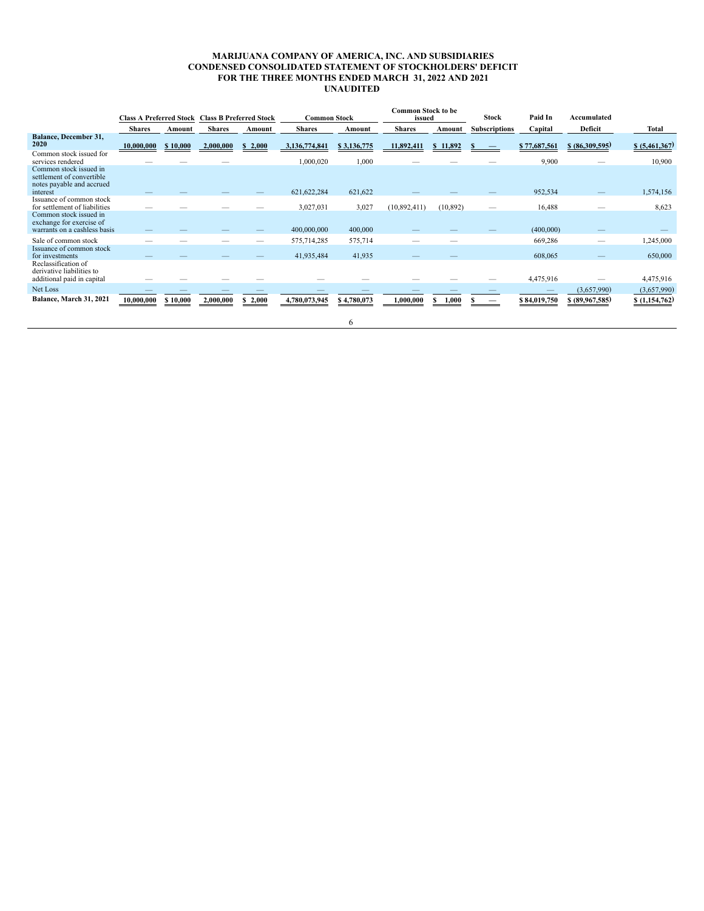# **MARIJUANA COMPANY OF AMERICA, INC. AND SUBSIDIARIES CONDENSED CONSOLIDATED STATEMENT OF STOCKHOLDERS' DEFICIT FOR THE THREE MONTHS ENDED MARCH 31, 2022 AND 2021 UNAUDITED**

<span id="page-5-0"></span>

|                                                                                              |               | Class A Preferred Stock Class B Preferred Stock |               | <b>Common Stock</b> |               | <b>Common Stock to be</b><br>issued |               | <b>Stock</b> | Paid In              | Accumulated  |                   |                |
|----------------------------------------------------------------------------------------------|---------------|-------------------------------------------------|---------------|---------------------|---------------|-------------------------------------|---------------|--------------|----------------------|--------------|-------------------|----------------|
|                                                                                              | <b>Shares</b> | Amount                                          | <b>Shares</b> | Amount              | <b>Shares</b> | Amount                              | <b>Shares</b> | Amount       | <b>Subscriptions</b> | Capital      | Deficit           | Total          |
| <b>Balance, December 31,</b><br>2020                                                         | 10,000,000    | \$10,000                                        | 2,000,000     | \$2,000             | 3,136,774,841 | \$3,136,775                         | 11,892,411    | \$11,892     |                      | \$77,687,561 | \$ (86,309,595)   | \$ (5,461,367) |
| Common stock issued for<br>services rendered                                                 |               |                                                 |               |                     | 1,000,020     | 1,000                               |               |              |                      | 9,900        |                   | 10,900         |
| Common stock issued in<br>settlement of convertible<br>notes payable and accrued<br>interest |               |                                                 |               |                     | 621,622,284   | 621,622                             |               |              |                      | 952,534      |                   | 1,574,156      |
| Issuance of common stock<br>for settlement of liabilities                                    |               |                                                 |               |                     | 3,027,031     | 3,027                               | (10,892,411)  | (10, 892)    |                      | 16,488       |                   | 8,623          |
| Common stock issued in<br>exchange for exercise of<br>warrants on a cashless basis           |               |                                                 |               |                     | 400,000,000   | 400,000                             |               |              |                      | (400,000)    |                   |                |
| Sale of common stock                                                                         |               |                                                 |               | -                   | 575,714,285   | 575,714                             |               |              |                      | 669,286      | –                 | 1,245,000      |
| Issuance of common stock<br>for investments                                                  |               |                                                 |               |                     | 41,935,484    | 41,935                              |               |              |                      | 608,065      |                   | 650,000        |
| Reclassification of<br>derivative liabilities to<br>additional paid in capital               |               |                                                 |               |                     |               |                                     |               |              |                      | 4,475,916    |                   | 4,475,916      |
| Net Loss                                                                                     |               |                                                 |               |                     |               |                                     |               |              |                      |              | (3,657,990)       | (3,657,990)    |
| Balance, March 31, 2021                                                                      | 10,000,000    | \$10,000                                        | 2,000,000     | \$2,000             | 4,780,073,945 | \$4,780,073                         | 1,000,000     | 1,000<br>ъ.  |                      | \$84,019,750 | \$ (89, 967, 585) | \$(1,154,762)  |
|                                                                                              |               |                                                 |               |                     |               | 6                                   |               |              |                      |              |                   |                |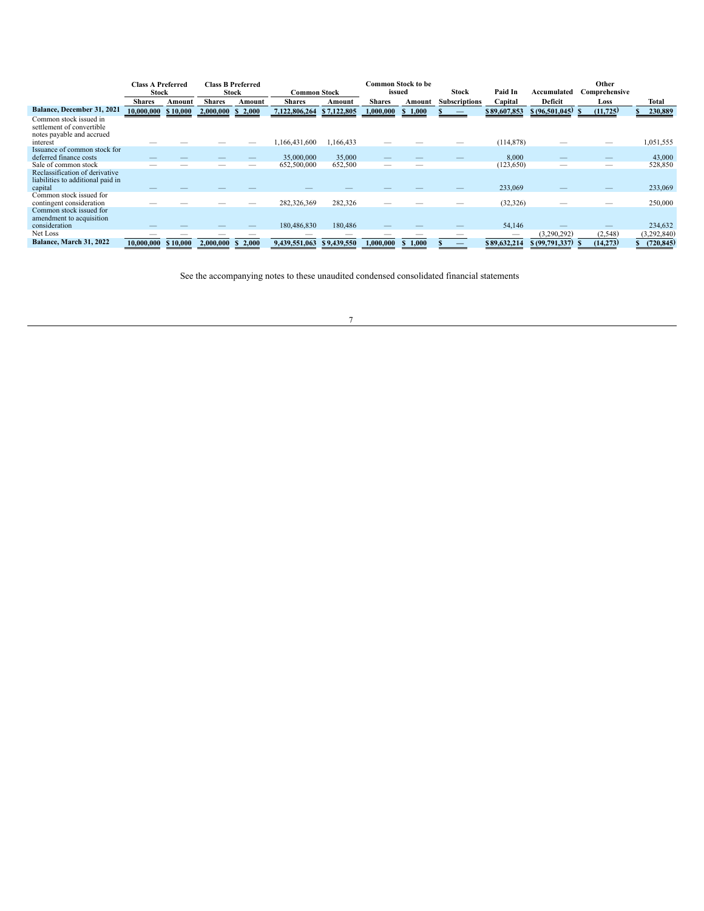|                                                                                  | <b>Class B Preferred</b><br><b>Class A Preferred</b><br><b>Stock</b><br>Stock |          | <b>Common Stock</b> |                       |               | <b>Common Stock to be</b><br>Paid In<br>Stock<br>issued |               |             | Accumulated          |              |                |           |             |
|----------------------------------------------------------------------------------|-------------------------------------------------------------------------------|----------|---------------------|-----------------------|---------------|---------------------------------------------------------|---------------|-------------|----------------------|--------------|----------------|-----------|-------------|
|                                                                                  | <b>Shares</b>                                                                 | Amount   | <b>Shares</b>       | Amount                | <b>Shares</b> | Amount                                                  | <b>Shares</b> | Amount      | <b>Subscriptions</b> | Capital      | Deficit        | Loss      | Total       |
| <b>Balance, December 31, 2021</b>                                                | 10,000,000 \$10,000                                                           |          | 2,000,000           | 2,000<br><sup>S</sup> | 7,122,806,264 | \$7,122,805                                             | 1,000,000     | 1,000<br>S. |                      | \$89,607,853 | \$(96,501,045) | (11, 725) | 230,889     |
| Common stock issued in<br>settlement of convertible<br>notes payable and accrued |                                                                               |          |                     |                       |               |                                                         |               |             |                      |              |                |           |             |
| interest                                                                         |                                                                               |          |                     |                       | ,166,431,600  | ,166,433                                                |               |             |                      | (114, 878)   |                |           | 1,051,555   |
| Issuance of common stock for                                                     |                                                                               |          |                     |                       |               |                                                         |               |             |                      |              |                |           |             |
| deferred finance costs                                                           |                                                                               |          |                     |                       | 35,000,000    | 35,000                                                  |               |             |                      | 8,000        |                |           | 43,000      |
| Sale of common stock                                                             |                                                                               |          |                     |                       | 652,500,000   | 652,500                                                 | _             |             |                      | (123, 650)   |                | –         | 528,850     |
| Reclassification of derivative<br>liabilities to additional paid in<br>capital   |                                                                               |          |                     |                       |               |                                                         |               |             |                      | 233,069      |                |           | 233,069     |
| Common stock issued for                                                          |                                                                               |          |                     |                       |               |                                                         |               |             |                      |              |                |           |             |
| contingent consideration                                                         |                                                                               |          |                     |                       | 282,326,369   | 282,326                                                 |               |             |                      | (32, 326)    |                |           | 250,000     |
| Common stock issued for<br>amendment to acquisition                              |                                                                               |          |                     |                       |               |                                                         |               |             |                      |              |                |           |             |
| consideration                                                                    |                                                                               |          |                     |                       | 180,486,830   | 180,486                                                 |               |             |                      | 54,146       |                |           | 234,632     |
| Net Loss                                                                         |                                                                               |          |                     |                       |               |                                                         |               |             |                      | -            | (3,290,292)    | (2, 548)  | (3,292,840) |
| Balance, March 31, 2022                                                          | 10,000,000                                                                    | \$10,000 | 2,000,000           | 2.000<br>S            | 9,439,551,063 | \$9,439,550                                             | 1.000.000     | 1.000<br>S. |                      | \$89,632,214 | \$(99,791,337) | (14,273)  | (720, 845)  |

See the accompanying notes to these unaudited condensed consolidated financial statements

7

<u> 1980 - Johann Barn, mars ann an t-Amhain Aonaich an t-Aonaich an t-Aonaich ann an t-Aonaich ann an t-Aonaich</u>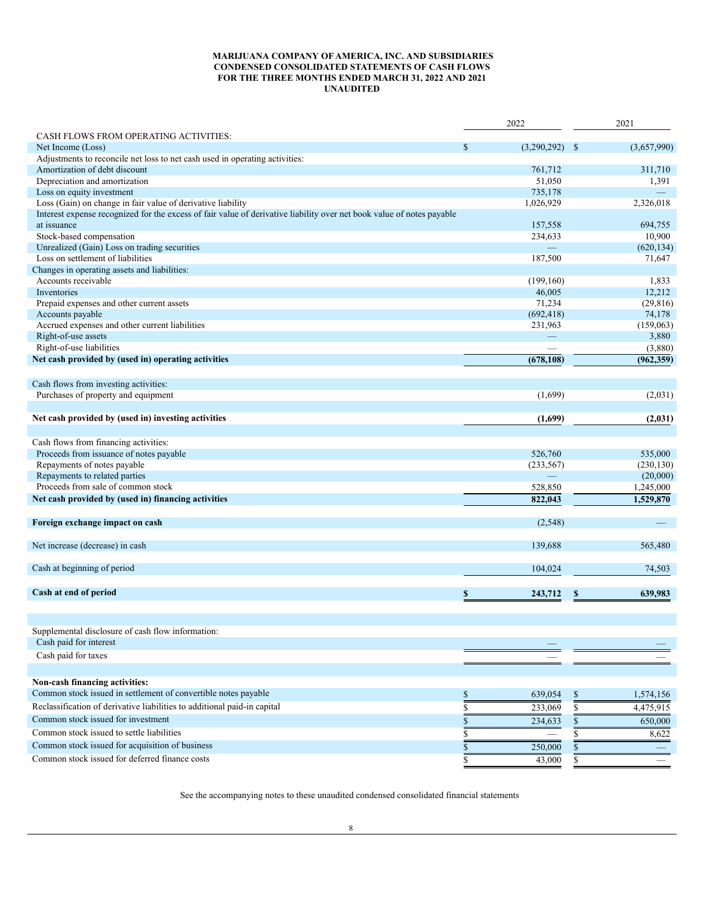# **MARIJUANA COMPANY OF AMERICA, INC. AND SUBSIDIARIES CONDENSED CONSOLIDATED STATEMENTS OF CASH FLOWS FOR THE THREE MONTHS ENDED MARCH 31, 2022 AND 2021 UNAUDITED**

<span id="page-7-0"></span>

|                                                                                                                                      |    | 2022              |               | 2021        |
|--------------------------------------------------------------------------------------------------------------------------------------|----|-------------------|---------------|-------------|
| <b>CASH FLOWS FROM OPERATING ACTIVITIES:</b>                                                                                         |    |                   |               |             |
| Net Income (Loss)                                                                                                                    | \$ | (3,290,292)       | -S            | (3,657,990) |
| Adjustments to reconcile net loss to net cash used in operating activities:                                                          |    |                   |               |             |
| Amortization of debt discount                                                                                                        |    | 761,712           |               | 311,710     |
| Depreciation and amortization                                                                                                        |    | 51,050            |               | 1,391       |
| Loss on equity investment                                                                                                            |    | 735,178           |               |             |
| Loss (Gain) on change in fair value of derivative liability                                                                          |    | 1,026,929         |               | 2,326,018   |
| Interest expense recognized for the excess of fair value of derivative liability over net book value of notes payable<br>at issuance |    | 157,558           |               | 694,755     |
| Stock-based compensation                                                                                                             |    | 234,633           |               | 10,900      |
| Unrealized (Gain) Loss on trading securities                                                                                         |    |                   |               | (620, 134)  |
| Loss on settlement of liabilities                                                                                                    |    | 187,500           |               | 71,647      |
| Changes in operating assets and liabilities:                                                                                         |    |                   |               |             |
| Accounts receivable                                                                                                                  |    | (199, 160)        |               | 1,833       |
| Inventories                                                                                                                          |    | 46,005            |               | 12,212      |
| Prepaid expenses and other current assets                                                                                            |    | 71,234            |               | (29, 816)   |
| Accounts payable                                                                                                                     |    | (692, 418)        |               | 74,178      |
| Accrued expenses and other current liabilities                                                                                       |    | 231,963           |               | (159,063)   |
| Right-of-use assets                                                                                                                  |    |                   |               | 3,880       |
| Right-of-use liabilities                                                                                                             |    |                   |               | (3,880)     |
| Net cash provided by (used in) operating activities                                                                                  |    | (678, 108)        |               | (962, 359)  |
| Cash flows from investing activities:                                                                                                |    |                   |               |             |
| Purchases of property and equipment                                                                                                  |    | (1,699)           |               | (2,031)     |
|                                                                                                                                      |    |                   |               |             |
| Net cash provided by (used in) investing activities                                                                                  |    | (1,699)           |               | (2, 031)    |
| Cash flows from financing activities:                                                                                                |    |                   |               |             |
| Proceeds from issuance of notes payable                                                                                              |    | 526,760           |               | 535,000     |
| Repayments of notes payable                                                                                                          |    | (233, 567)        |               | (230, 130)  |
| Repayments to related parties                                                                                                        |    | $\qquad \qquad -$ |               | (20,000)    |
| Proceeds from sale of common stock                                                                                                   |    | 528,850           |               | 1,245,000   |
| Net cash provided by (used in) financing activities                                                                                  |    | 822,043           |               | 1,529,870   |
|                                                                                                                                      |    |                   |               |             |
| Foreign exchange impact on cash                                                                                                      |    | (2, 548)          |               |             |
| Net increase (decrease) in cash                                                                                                      |    | 139,688           |               | 565,480     |
|                                                                                                                                      |    |                   |               |             |
| Cash at beginning of period                                                                                                          |    | 104,024           |               | 74,503      |
| Cash at end of period                                                                                                                | \$ | 243,712           | \$            | 639,983     |
|                                                                                                                                      |    |                   |               |             |
|                                                                                                                                      |    |                   |               |             |
| Supplemental disclosure of cash flow information:<br>Cash paid for interest                                                          |    |                   |               |             |
| Cash paid for taxes                                                                                                                  |    |                   |               |             |
|                                                                                                                                      |    |                   |               |             |
| Non-cash financing activities:                                                                                                       |    |                   |               |             |
| Common stock issued in settlement of convertible notes payable                                                                       | \$ | 639,054           | \$            | 1,574,156   |
| Reclassification of derivative liabilities to additional paid-in capital                                                             | \$ | 233,069           | \$            | 4,475,915   |
| Common stock issued for investment                                                                                                   | \$ | 234,633           | \$            | 650,000     |
| Common stock issued to settle liabilities                                                                                            | \$ |                   | \$            | 8,622       |
| Common stock issued for acquisition of business                                                                                      | \$ | 250,000           |               |             |
| Common stock issued for deferred finance costs                                                                                       | Ŝ  | 43,000            | <sup>\$</sup> |             |

See the accompanying notes to these unaudited condensed consolidated financial statements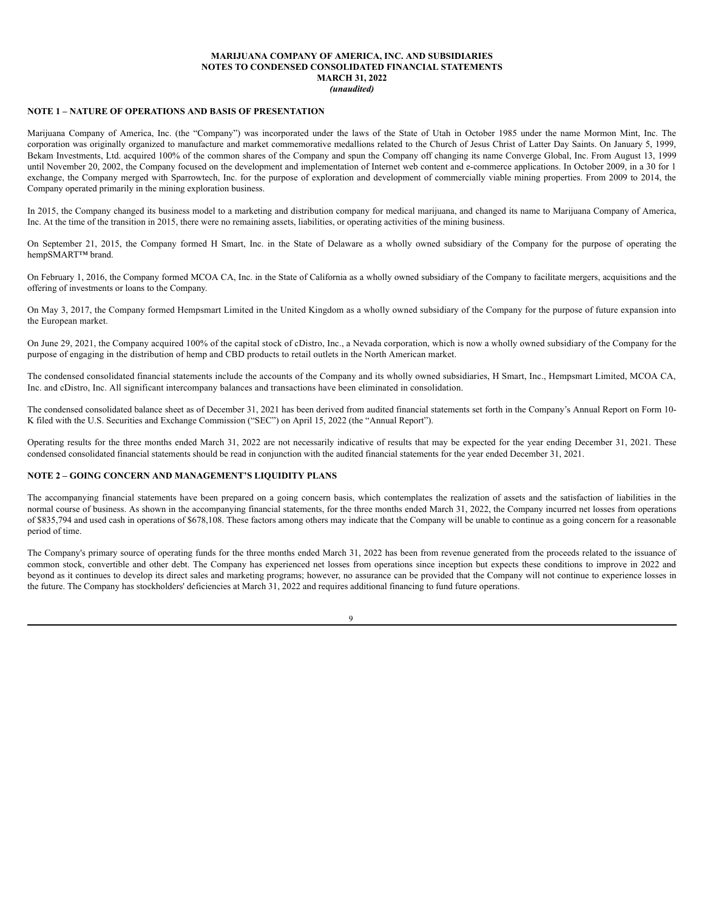#### **MARIJUANA COMPANY OF AMERICA, INC. AND SUBSIDIARIES NOTES TO CONDENSED CONSOLIDATED FINANCIAL STATEMENTS MARCH 31, 2022** *(unaudited)*

# <span id="page-8-0"></span>**NOTE 1 – NATURE OF OPERATIONS AND BASIS OF PRESENTATION**

Marijuana Company of America, Inc. (the "Company") was incorporated under the laws of the State of Utah in October 1985 under the name Mormon Mint, Inc. The corporation was originally organized to manufacture and market commemorative medallions related to the Church of Jesus Christ of Latter Day Saints. On January 5, 1999, Bekam Investments, Ltd. acquired 100% of the common shares of the Company and spun the Company off changing its name Converge Global, Inc. From August 13, 1999 until November 20, 2002, the Company focused on the development and implementation of Internet web content and e-commerce applications. In October 2009, in a 30 for 1 exchange, the Company merged with Sparrowtech, Inc. for the purpose of exploration and development of commercially viable mining properties. From 2009 to 2014, the Company operated primarily in the mining exploration business.

In 2015, the Company changed its business model to a marketing and distribution company for medical marijuana, and changed its name to Marijuana Company of America, Inc. At the time of the transition in 2015, there were no remaining assets, liabilities, or operating activities of the mining business.

On September 21, 2015, the Company formed H Smart, Inc. in the State of Delaware as a wholly owned subsidiary of the Company for the purpose of operating the hempSMART™ brand.

On February 1, 2016, the Company formed MCOA CA, Inc. in the State of California as a wholly owned subsidiary of the Company to facilitate mergers, acquisitions and the offering of investments or loans to the Company.

On May 3, 2017, the Company formed Hempsmart Limited in the United Kingdom as a wholly owned subsidiary of the Company for the purpose of future expansion into the European market.

On June 29, 2021, the Company acquired 100% of the capital stock of cDistro, Inc., a Nevada corporation, which is now a wholly owned subsidiary of the Company for the purpose of engaging in the distribution of hemp and CBD products to retail outlets in the North American market.

The condensed consolidated financial statements include the accounts of the Company and its wholly owned subsidiaries, H Smart, Inc., Hempsmart Limited, MCOA CA, Inc. and cDistro, Inc. All significant intercompany balances and transactions have been eliminated in consolidation.

The condensed consolidated balance sheet as of December 31, 2021 has been derived from audited financial statements set forth in the Company's Annual Report on Form 10- K filed with the U.S. Securities and Exchange Commission ("SEC") on April 15, 2022 (the "Annual Report").

Operating results for the three months ended March 31, 2022 are not necessarily indicative of results that may be expected for the year ending December 31, 2021. These condensed consolidated financial statements should be read in conjunction with the audited financial statements for the year ended December 31, 2021.

# **NOTE 2 – GOING CONCERN AND MANAGEMENT'S LIQUIDITY PLANS**

The accompanying financial statements have been prepared on a going concern basis, which contemplates the realization of assets and the satisfaction of liabilities in the normal course of business. As shown in the accompanying financial statements, for the three months ended March 31, 2022, the Company incurred net losses from operations of \$835,794 and used cash in operations of \$678,108. These factors among others may indicate that the Company will be unable to continue as a going concern for a reasonable period of time.

The Company's primary source of operating funds for the three months ended March 31, 2022 has been from revenue generated from the proceeds related to the issuance of common stock, convertible and other debt. The Company has experienced net losses from operations since inception but expects these conditions to improve in 2022 and beyond as it continues to develop its direct sales and marketing programs; however, no assurance can be provided that the Company will not continue to experience losses in the future. The Company has stockholders' deficiencies at March 31, 2022 and requires additional financing to fund future operations.

 $\Omega$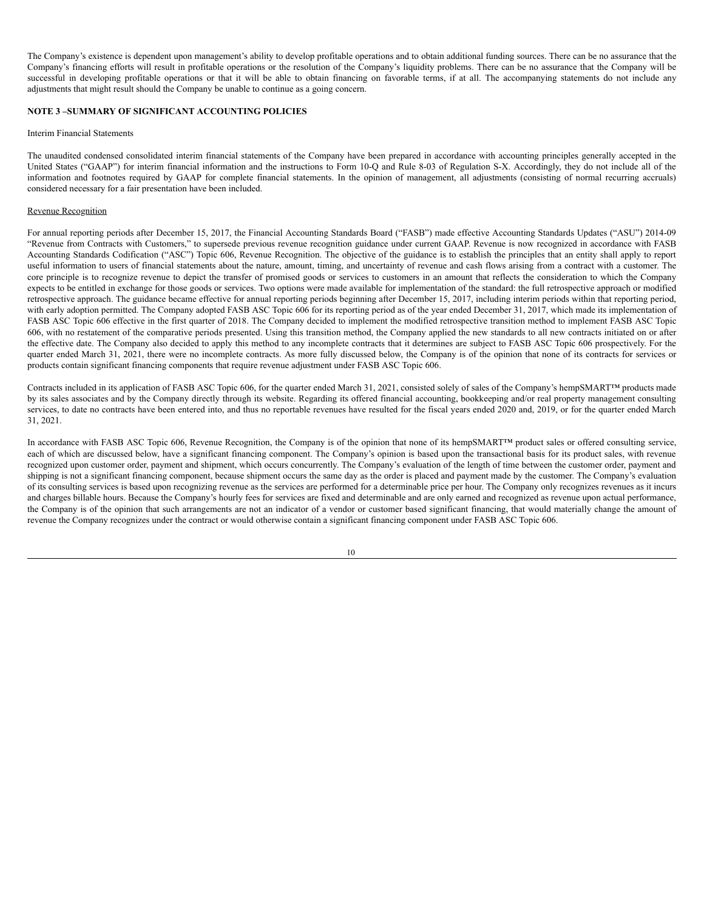The Company's existence is dependent upon management's ability to develop profitable operations and to obtain additional funding sources. There can be no assurance that the Company's financing efforts will result in profitable operations or the resolution of the Company's liquidity problems. There can be no assurance that the Company will be successful in developing profitable operations or that it will be able to obtain financing on favorable terms, if at all. The accompanying statements do not include any adjustments that might result should the Company be unable to continue as a going concern.

# **NOTE 3 –SUMMARY OF SIGNIFICANT ACCOUNTING POLICIES**

## Interim Financial Statements

The unaudited condensed consolidated interim financial statements of the Company have been prepared in accordance with accounting principles generally accepted in the United States ("GAAP") for interim financial information and the instructions to Form 10-Q and Rule 8-03 of Regulation S-X. Accordingly, they do not include all of the information and footnotes required by GAAP for complete financial statements. In the opinion of management, all adjustments (consisting of normal recurring accruals) considered necessary for a fair presentation have been included.

## Revenue Recognition

For annual reporting periods after December 15, 2017, the Financial Accounting Standards Board ("FASB") made effective Accounting Standards Updates ("ASU") 2014-09 "Revenue from Contracts with Customers," to supersede previous revenue recognition guidance under current GAAP. Revenue is now recognized in accordance with FASB Accounting Standards Codification ("ASC") Topic 606, Revenue Recognition. The objective of the guidance is to establish the principles that an entity shall apply to report useful information to users of financial statements about the nature, amount, timing, and uncertainty of revenue and cash flows arising from a contract with a customer. The core principle is to recognize revenue to depict the transfer of promised goods or services to customers in an amount that reflects the consideration to which the Company expects to be entitled in exchange for those goods or services. Two options were made available for implementation of the standard: the full retrospective approach or modified retrospective approach. The guidance became effective for annual reporting periods beginning after December 15, 2017, including interim periods within that reporting period, with early adoption permitted. The Company adopted FASB ASC Topic 606 for its reporting period as of the year ended December 31, 2017, which made its implementation of FASB ASC Topic 606 effective in the first quarter of 2018. The Company decided to implement the modified retrospective transition method to implement FASB ASC Topic 606, with no restatement of the comparative periods presented. Using this transition method, the Company applied the new standards to all new contracts initiated on or after the effective date. The Company also decided to apply this method to any incomplete contracts that it determines are subject to FASB ASC Topic 606 prospectively. For the quarter ended March 31, 2021, there were no incomplete contracts. As more fully discussed below, the Company is of the opinion that none of its contracts for services or products contain significant financing components that require revenue adjustment under FASB ASC Topic 606.

Contracts included in its application of FASB ASC Topic 606, for the quarter ended March 31, 2021, consisted solely of sales of the Company's hempSMART™ products made by its sales associates and by the Company directly through its website. Regarding its offered financial accounting, bookkeeping and/or real property management consulting services, to date no contracts have been entered into, and thus no reportable revenues have resulted for the fiscal years ended 2020 and, 2019, or for the quarter ended March 31, 2021.

In accordance with FASB ASC Topic 606, Revenue Recognition, the Company is of the opinion that none of its hempSMART™ product sales or offered consulting service, each of which are discussed below, have a significant financing component. The Company's opinion is based upon the transactional basis for its product sales, with revenue recognized upon customer order, payment and shipment, which occurs concurrently. The Company's evaluation of the length of time between the customer order, payment and shipping is not a significant financing component, because shipment occurs the same day as the order is placed and payment made by the customer. The Company's evaluation of its consulting services is based upon recognizing revenue as the services are performed for a determinable price per hour. The Company only recognizes revenues as it incurs and charges billable hours. Because the Company's hourly fees for services are fixed and determinable and are only earned and recognized as revenue upon actual performance, the Company is of the opinion that such arrangements are not an indicator of a vendor or customer based significant financing, that would materially change the amount of revenue the Company recognizes under the contract or would otherwise contain a significant financing component under FASB ASC Topic 606.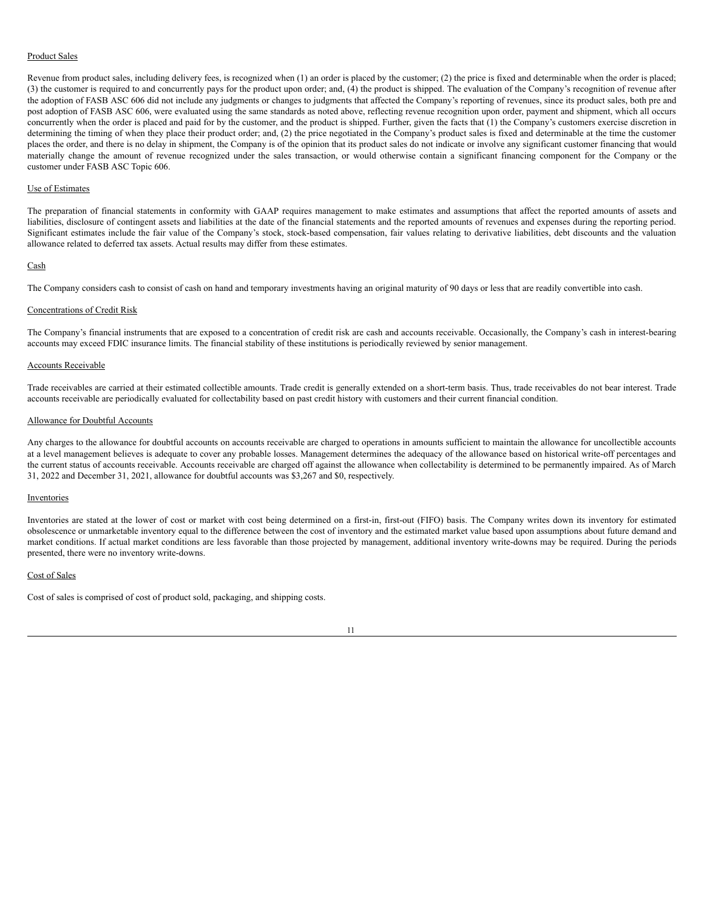## Product Sales

Revenue from product sales, including delivery fees, is recognized when (1) an order is placed by the customer; (2) the price is fixed and determinable when the order is placed; (3) the customer is required to and concurrently pays for the product upon order; and, (4) the product is shipped. The evaluation of the Company's recognition of revenue after the adoption of FASB ASC 606 did not include any judgments or changes to judgments that affected the Company's reporting of revenues, since its product sales, both pre and post adoption of FASB ASC 606, were evaluated using the same standards as noted above, reflecting revenue recognition upon order, payment and shipment, which all occurs concurrently when the order is placed and paid for by the customer, and the product is shipped. Further, given the facts that (1) the Company's customers exercise discretion in determining the timing of when they place their product order; and, (2) the price negotiated in the Company's product sales is fixed and determinable at the time the customer places the order, and there is no delay in shipment, the Company is of the opinion that its product sales do not indicate or involve any significant customer financing that would materially change the amount of revenue recognized under the sales transaction, or would otherwise contain a significant financing component for the Company or the customer under FASB ASC Topic 606.

## Use of Estimates

The preparation of financial statements in conformity with GAAP requires management to make estimates and assumptions that affect the reported amounts of assets and liabilities, disclosure of contingent assets and liabilities at the date of the financial statements and the reported amounts of revenues and expenses during the reporting period. Significant estimates include the fair value of the Company's stock, stock-based compensation, fair values relating to derivative liabilities, debt discounts and the valuation allowance related to deferred tax assets. Actual results may differ from these estimates.

#### Cash

The Company considers cash to consist of cash on hand and temporary investments having an original maturity of 90 days or less that are readily convertible into cash.

## Concentrations of Credit Risk

The Company's financial instruments that are exposed to a concentration of credit risk are cash and accounts receivable. Occasionally, the Company's cash in interest-bearing accounts may exceed FDIC insurance limits. The financial stability of these institutions is periodically reviewed by senior management.

# Accounts Receivable

Trade receivables are carried at their estimated collectible amounts. Trade credit is generally extended on a short-term basis. Thus, trade receivables do not bear interest. Trade accounts receivable are periodically evaluated for collectability based on past credit history with customers and their current financial condition.

#### Allowance for Doubtful Accounts

Any charges to the allowance for doubtful accounts on accounts receivable are charged to operations in amounts sufficient to maintain the allowance for uncollectible accounts at a level management believes is adequate to cover any probable losses. Management determines the adequacy of the allowance based on historical write-off percentages and the current status of accounts receivable. Accounts receivable are charged off against the allowance when collectability is determined to be permanently impaired. As of March 31, 2022 and December 31, 2021, allowance for doubtful accounts was \$3,267 and \$0, respectively.

# Inventories

Inventories are stated at the lower of cost or market with cost being determined on a first-in, first-out (FIFO) basis. The Company writes down its inventory for estimated obsolescence or unmarketable inventory equal to the difference between the cost of inventory and the estimated market value based upon assumptions about future demand and market conditions. If actual market conditions are less favorable than those projected by management, additional inventory write-downs may be required. During the periods presented, there were no inventory write-downs.

# Cost of Sales

Cost of sales is comprised of cost of product sold, packaging, and shipping costs.

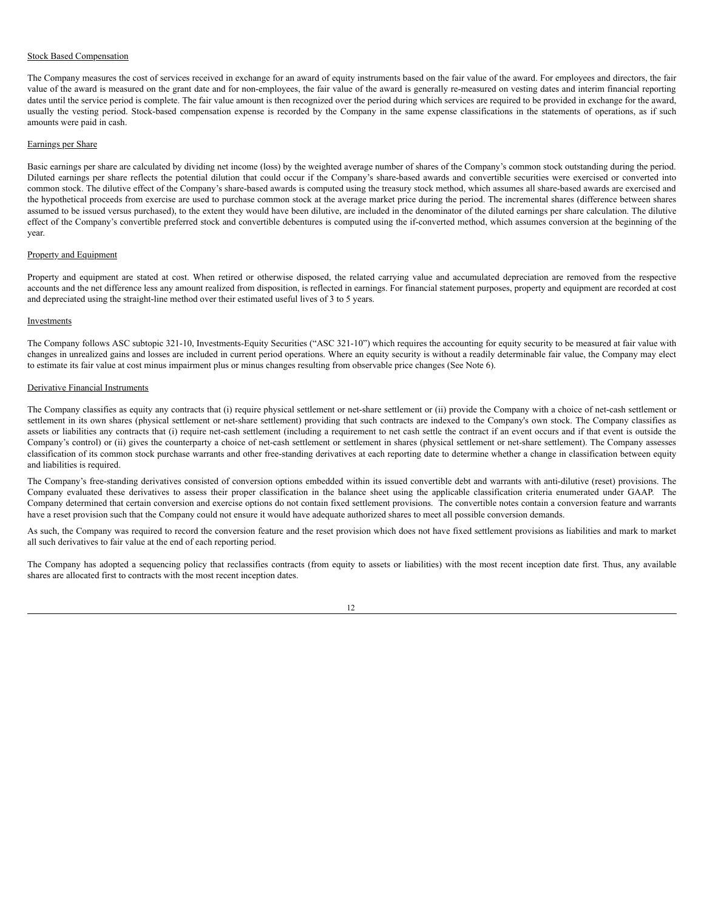# Stock Based Compensation

The Company measures the cost of services received in exchange for an award of equity instruments based on the fair value of the award. For employees and directors, the fair value of the award is measured on the grant date and for non-employees, the fair value of the award is generally re-measured on vesting dates and interim financial reporting dates until the service period is complete. The fair value amount is then recognized over the period during which services are required to be provided in exchange for the award, usually the vesting period. Stock-based compensation expense is recorded by the Company in the same expense classifications in the statements of operations, as if such amounts were paid in cash.

## Earnings per Share

Basic earnings per share are calculated by dividing net income (loss) by the weighted average number of shares of the Company's common stock outstanding during the period. Diluted earnings per share reflects the potential dilution that could occur if the Company's share-based awards and convertible securities were exercised or converted into common stock. The dilutive effect of the Company's share-based awards is computed using the treasury stock method, which assumes all share-based awards are exercised and the hypothetical proceeds from exercise are used to purchase common stock at the average market price during the period. The incremental shares (difference between shares assumed to be issued versus purchased), to the extent they would have been dilutive, are included in the denominator of the diluted earnings per share calculation. The dilutive effect of the Company's convertible preferred stock and convertible debentures is computed using the if-converted method, which assumes conversion at the beginning of the year.

#### Property and Equipment

Property and equipment are stated at cost. When retired or otherwise disposed, the related carrying value and accumulated depreciation are removed from the respective accounts and the net difference less any amount realized from disposition, is reflected in earnings. For financial statement purposes, property and equipment are recorded at cost and depreciated using the straight-line method over their estimated useful lives of 3 to 5 years.

# **Investments**

The Company follows ASC subtopic 321-10, Investments-Equity Securities ("ASC 321-10") which requires the accounting for equity security to be measured at fair value with changes in unrealized gains and losses are included in current period operations. Where an equity security is without a readily determinable fair value, the Company may elect to estimate its fair value at cost minus impairment plus or minus changes resulting from observable price changes (See Note 6).

#### Derivative Financial Instruments

The Company classifies as equity any contracts that (i) require physical settlement or net-share settlement or (ii) provide the Company with a choice of net-cash settlement or settlement in its own shares (physical settlement or net-share settlement) providing that such contracts are indexed to the Company's own stock. The Company classifies as assets or liabilities any contracts that (i) require net-cash settlement (including a requirement to net cash settle the contract if an event occurs and if that event is outside the Company's control) or (ii) gives the counterparty a choice of net-cash settlement or settlement in shares (physical settlement or net-share settlement). The Company assesses classification of its common stock purchase warrants and other free-standing derivatives at each reporting date to determine whether a change in classification between equity and liabilities is required.

The Company's free-standing derivatives consisted of conversion options embedded within its issued convertible debt and warrants with anti-dilutive (reset) provisions. The Company evaluated these derivatives to assess their proper classification in the balance sheet using the applicable classification criteria enumerated under GAAP. The Company determined that certain conversion and exercise options do not contain fixed settlement provisions. The convertible notes contain a conversion feature and warrants have a reset provision such that the Company could not ensure it would have adequate authorized shares to meet all possible conversion demands.

As such, the Company was required to record the conversion feature and the reset provision which does not have fixed settlement provisions as liabilities and mark to market all such derivatives to fair value at the end of each reporting period.

The Company has adopted a sequencing policy that reclassifies contracts (from equity to assets or liabilities) with the most recent inception date first. Thus, any available shares are allocated first to contracts with the most recent inception dates.

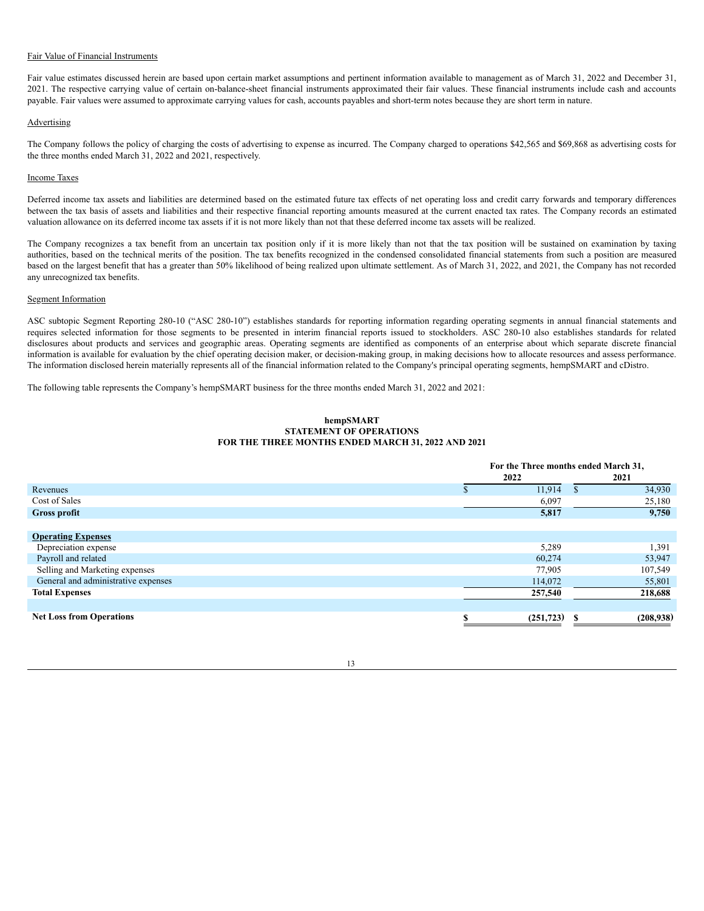# Fair Value of Financial Instruments

Fair value estimates discussed herein are based upon certain market assumptions and pertinent information available to management as of March 31, 2022 and December 31, 2021. The respective carrying value of certain on-balance-sheet financial instruments approximated their fair values. These financial instruments include cash and accounts payable. Fair values were assumed to approximate carrying values for cash, accounts payables and short-term notes because they are short term in nature.

# **Advertising**

The Company follows the policy of charging the costs of advertising to expense as incurred. The Company charged to operations \$42,565 and \$69,868 as advertising costs for the three months ended March 31, 2022 and 2021, respectively.

## Income Taxes

Deferred income tax assets and liabilities are determined based on the estimated future tax effects of net operating loss and credit carry forwards and temporary differences between the tax basis of assets and liabilities and their respective financial reporting amounts measured at the current enacted tax rates. The Company records an estimated valuation allowance on its deferred income tax assets if it is not more likely than not that these deferred income tax assets will be realized.

The Company recognizes a tax benefit from an uncertain tax position only if it is more likely than not that the tax position will be sustained on examination by taxing authorities, based on the technical merits of the position. The tax benefits recognized in the condensed consolidated financial statements from such a position are measured based on the largest benefit that has a greater than 50% likelihood of being realized upon ultimate settlement. As of March 31, 2022, and 2021, the Company has not recorded any unrecognized tax benefits.

# **Segment Information**

ASC subtopic Segment Reporting 280-10 ("ASC 280-10") establishes standards for reporting information regarding operating segments in annual financial statements and requires selected information for those segments to be presented in interim financial reports issued to stockholders. ASC 280-10 also establishes standards for related disclosures about products and services and geographic areas. Operating segments are identified as components of an enterprise about which separate discrete financial information is available for evaluation by the chief operating decision maker, or decision-making group, in making decisions how to allocate resources and assess performance. The information disclosed herein materially represents all of the financial information related to the Company's principal operating segments, hempSMART and cDistro.

The following table represents the Company's hempSMART business for the three months ended March 31, 2022 and 2021:

# **hempSMART STATEMENT OF OPERATIONS FOR THE THREE MONTHS ENDED MARCH 31, 2022 AND 2021**

|                                     |   | For the Three months ended March 31, |    |           |
|-------------------------------------|---|--------------------------------------|----|-----------|
|                                     |   | 2022                                 |    | 2021      |
| Revenues                            |   | 11,914                               | \$ | 34,930    |
| Cost of Sales                       |   | 6,097                                |    | 25,180    |
| <b>Gross profit</b>                 |   | 5,817                                |    | 9,750     |
|                                     |   |                                      |    |           |
| <b>Operating Expenses</b>           |   |                                      |    |           |
| Depreciation expense                |   | 5,289                                |    | 1,391     |
| Payroll and related                 |   | 60,274                               |    | 53,947    |
| Selling and Marketing expenses      |   | 77,905                               |    | 107,549   |
| General and administrative expenses |   | 114,072                              |    | 55,801    |
| <b>Total Expenses</b>               |   | 257,540                              |    | 218,688   |
|                                     |   |                                      |    |           |
| <b>Net Loss from Operations</b>     | ወ | (251, 723)                           | S  | (208,938) |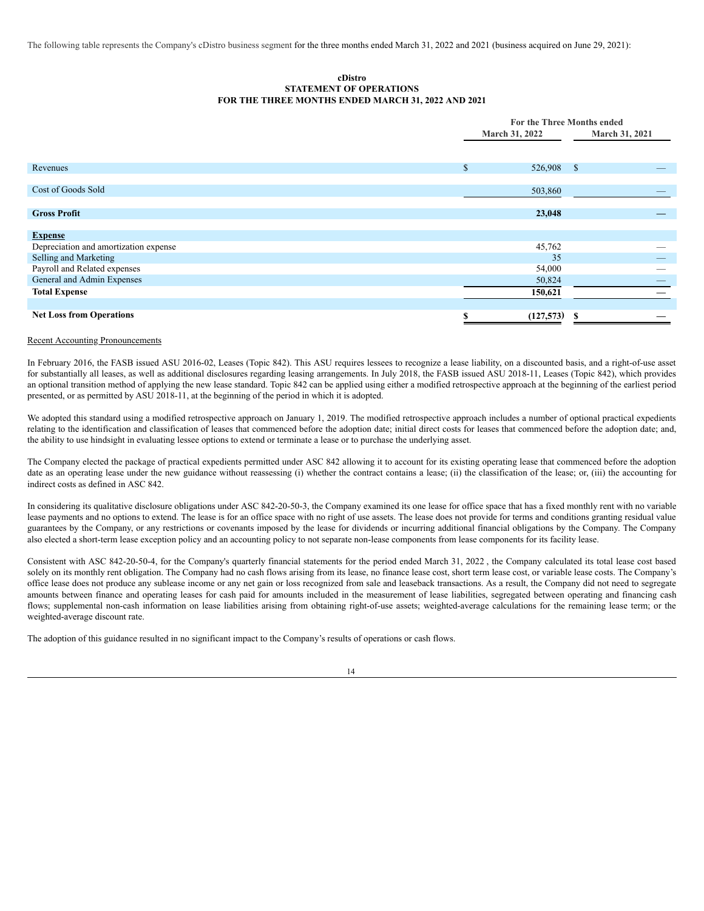## **cDistro STATEMENT OF OPERATIONS FOR THE THREE MONTHS ENDED MARCH 31, 2022 AND 2021**

|                                       |               | For the Three Months ended |               |                |
|---------------------------------------|---------------|----------------------------|---------------|----------------|
|                                       |               | <b>March 31, 2022</b>      |               | March 31, 2021 |
|                                       |               |                            |               |                |
|                                       |               |                            |               |                |
| Revenues                              | <sup>\$</sup> | 526,908                    | <sup>\$</sup> |                |
|                                       |               |                            |               |                |
| Cost of Goods Sold                    |               | 503,860                    |               |                |
|                                       |               |                            |               |                |
| <b>Gross Profit</b>                   |               | 23,048                     |               |                |
|                                       |               |                            |               |                |
| <b>Expense</b>                        |               |                            |               |                |
| Depreciation and amortization expense |               | 45,762                     |               |                |
| Selling and Marketing                 |               | 35                         |               |                |
| Payroll and Related expenses          |               | 54,000                     |               |                |
| General and Admin Expenses            |               | 50,824                     |               |                |
| <b>Total Expense</b>                  |               | 150,621                    |               |                |
|                                       |               |                            |               |                |
| <b>Net Loss from Operations</b>       | \$            | (127,573)                  |               |                |

# Recent Accounting Pronouncements

In February 2016, the FASB issued ASU 2016-02, Leases (Topic 842). This ASU requires lessees to recognize a lease liability, on a discounted basis, and a right-of-use asset for substantially all leases, as well as additional disclosures regarding leasing arrangements. In July 2018, the FASB issued ASU 2018-11, Leases (Topic 842), which provides an optional transition method of applying the new lease standard. Topic 842 can be applied using either a modified retrospective approach at the beginning of the earliest period presented, or as permitted by ASU 2018-11, at the beginning of the period in which it is adopted.

We adopted this standard using a modified retrospective approach on January 1, 2019. The modified retrospective approach includes a number of optional practical expedients relating to the identification and classification of leases that commenced before the adoption date; initial direct costs for leases that commenced before the adoption date; and, the ability to use hindsight in evaluating lessee options to extend or terminate a lease or to purchase the underlying asset.

The Company elected the package of practical expedients permitted under ASC 842 allowing it to account for its existing operating lease that commenced before the adoption date as an operating lease under the new guidance without reassessing (i) whether the contract contains a lease; (ii) the classification of the lease; or, (iii) the accounting for indirect costs as defined in ASC 842.

In considering its qualitative disclosure obligations under ASC 842-20-50-3, the Company examined its one lease for office space that has a fixed monthly rent with no variable lease payments and no options to extend. The lease is for an office space with no right of use assets. The lease does not provide for terms and conditions granting residual value guarantees by the Company, or any restrictions or covenants imposed by the lease for dividends or incurring additional financial obligations by the Company. The Company also elected a short-term lease exception policy and an accounting policy to not separate non-lease components from lease components for its facility lease.

Consistent with ASC 842-20-50-4, for the Company's quarterly financial statements for the period ended March 31, 2022 , the Company calculated its total lease cost based solely on its monthly rent obligation. The Company had no cash flows arising from its lease, no finance lease cost, short term lease cost, or variable lease costs. The Company's office lease does not produce any sublease income or any net gain or loss recognized from sale and leaseback transactions. As a result, the Company did not need to segregate amounts between finance and operating leases for cash paid for amounts included in the measurement of lease liabilities, segregated between operating and financing cash flows; supplemental non-cash information on lease liabilities arising from obtaining right-of-use assets; weighted-average calculations for the remaining lease term; or the weighted-average discount rate.

The adoption of this guidance resulted in no significant impact to the Company's results of operations or cash flows.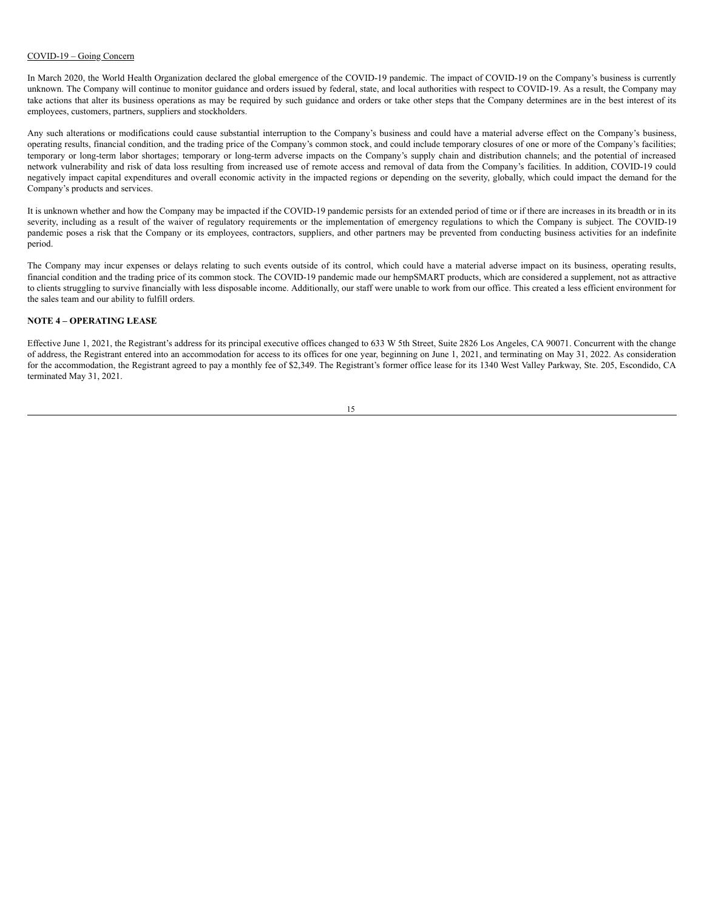## COVID-19 – Going Concern

In March 2020, the World Health Organization declared the global emergence of the COVID-19 pandemic. The impact of COVID-19 on the Company's business is currently unknown. The Company will continue to monitor guidance and orders issued by federal, state, and local authorities with respect to COVID-19. As a result, the Company may take actions that alter its business operations as may be required by such guidance and orders or take other steps that the Company determines are in the best interest of its employees, customers, partners, suppliers and stockholders.

Any such alterations or modifications could cause substantial interruption to the Company's business and could have a material adverse effect on the Company's business, operating results, financial condition, and the trading price of the Company's common stock, and could include temporary closures of one or more of the Company's facilities; temporary or long-term labor shortages; temporary or long-term adverse impacts on the Company's supply chain and distribution channels; and the potential of increased network vulnerability and risk of data loss resulting from increased use of remote access and removal of data from the Company's facilities. In addition, COVID-19 could negatively impact capital expenditures and overall economic activity in the impacted regions or depending on the severity, globally, which could impact the demand for the Company's products and services.

It is unknown whether and how the Company may be impacted if the COVID-19 pandemic persists for an extended period of time or if there are increases in its breadth or in its severity, including as a result of the waiver of regulatory requirements or the implementation of emergency regulations to which the Company is subject. The COVID-19 pandemic poses a risk that the Company or its employees, contractors, suppliers, and other partners may be prevented from conducting business activities for an indefinite period.

The Company may incur expenses or delays relating to such events outside of its control, which could have a material adverse impact on its business, operating results, financial condition and the trading price of its common stock. The COVID-19 pandemic made our hempSMART products, which are considered a supplement, not as attractive to clients struggling to survive financially with less disposable income. Additionally, our staff were unable to work from our office. This created a less efficient environment for the sales team and our ability to fulfill orders.

# **NOTE 4 – OPERATING LEASE**

Effective June 1, 2021, the Registrant's address for its principal executive offices changed to 633 W 5th Street, Suite 2826 Los Angeles, CA 90071. Concurrent with the change of address, the Registrant entered into an accommodation for access to its offices for one year, beginning on June 1, 2021, and terminating on May 31, 2022. As consideration for the accommodation, the Registrant agreed to pay a monthly fee of \$2,349. The Registrant's former office lease for its 1340 West Valley Parkway, Ste. 205, Escondido, CA terminated May 31, 2021.

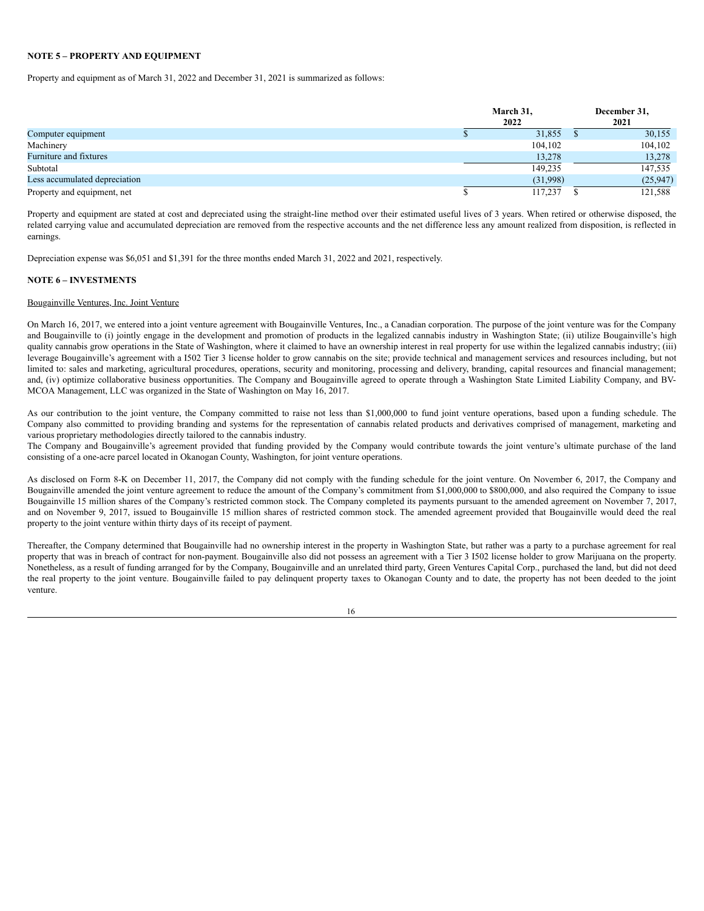# **NOTE 5 – PROPERTY AND EQUIPMENT**

Property and equipment as of March 31, 2022 and December 31, 2021 is summarized as follows:

|                               | March 31,<br>2022 |  |          |  |  |
|-------------------------------|-------------------|--|----------|--|--|
| Computer equipment            | 31,855            |  | 30,155   |  |  |
| Machinery                     | 104,102           |  | 104,102  |  |  |
| Furniture and fixtures        | 13,278            |  | 13,278   |  |  |
| Subtotal                      | 149,235           |  | 147,535  |  |  |
| Less accumulated depreciation | (31,998)          |  | (25,947) |  |  |
| Property and equipment, net   | 117,237           |  | 121,588  |  |  |

Property and equipment are stated at cost and depreciated using the straight-line method over their estimated useful lives of 3 years. When retired or otherwise disposed, the related carrying value and accumulated depreciation are removed from the respective accounts and the net difference less any amount realized from disposition, is reflected in earnings.

Depreciation expense was \$6,051 and \$1,391 for the three months ended March 31, 2022 and 2021, respectively.

# **NOTE 6 – INVESTMENTS**

# Bougainville Ventures, Inc. Joint Venture

On March 16, 2017, we entered into a joint venture agreement with Bougainville Ventures, Inc., a Canadian corporation. The purpose of the joint venture was for the Company and Bougainville to (i) jointly engage in the development and promotion of products in the legalized cannabis industry in Washington State; (ii) utilize Bougainville's high quality cannabis grow operations in the State of Washington, where it claimed to have an ownership interest in real property for use within the legalized cannabis industry; (iii) leverage Bougainville's agreement with a I502 Tier 3 license holder to grow cannabis on the site; provide technical and management services and resources including, but not limited to: sales and marketing, agricultural procedures, operations, security and monitoring, processing and delivery, branding, capital resources and financial management; and, (iv) optimize collaborative business opportunities. The Company and Bougainville agreed to operate through a Washington State Limited Liability Company, and BV-MCOA Management, LLC was organized in the State of Washington on May 16, 2017.

As our contribution to the joint venture, the Company committed to raise not less than \$1,000,000 to fund joint venture operations, based upon a funding schedule. The Company also committed to providing branding and systems for the representation of cannabis related products and derivatives comprised of management, marketing and various proprietary methodologies directly tailored to the cannabis industry.

The Company and Bougainville's agreement provided that funding provided by the Company would contribute towards the joint venture's ultimate purchase of the land consisting of a one-acre parcel located in Okanogan County, Washington, for joint venture operations.

As disclosed on Form 8-K on December 11, 2017, the Company did not comply with the funding schedule for the joint venture. On November 6, 2017, the Company and Bougainville amended the joint venture agreement to reduce the amount of the Company's commitment from \$1,000,000 to \$800,000, and also required the Company to issue Bougainville 15 million shares of the Company's restricted common stock. The Company completed its payments pursuant to the amended agreement on November 7, 2017, and on November 9, 2017, issued to Bougainville 15 million shares of restricted common stock. The amended agreement provided that Bougainville would deed the real property to the joint venture within thirty days of its receipt of payment.

Thereafter, the Company determined that Bougainville had no ownership interest in the property in Washington State, but rather was a party to a purchase agreement for real property that was in breach of contract for non-payment. Bougainville also did not possess an agreement with a Tier 3 I502 license holder to grow Marijuana on the property. Nonetheless, as a result of funding arranged for by the Company, Bougainville and an unrelated third party, Green Ventures Capital Corp., purchased the land, but did not deed the real property to the joint venture. Bougainville failed to pay delinquent property taxes to Okanogan County and to date, the property has not been deeded to the joint venture.

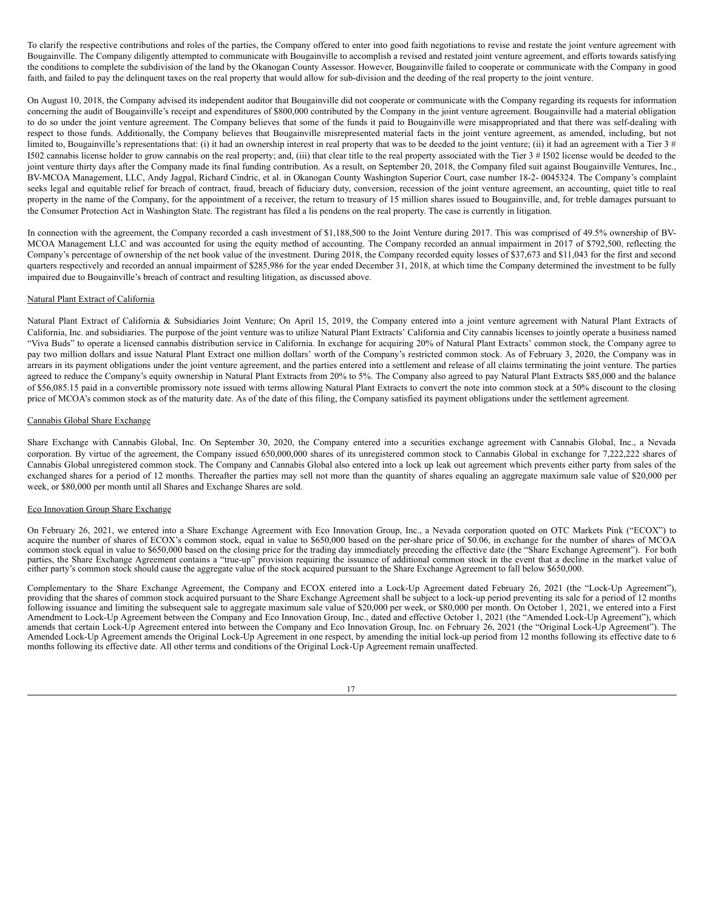To clarify the respective contributions and roles of the parties, the Company offered to enter into good faith negotiations to revise and restate the joint venture agreement with Bougainville. The Company diligently attempted to communicate with Bougainville to accomplish a revised and restated joint venture agreement, and efforts towards satisfying the conditions to complete the subdivision of the land by the Okanogan County Assessor. However, Bougainville failed to cooperate or communicate with the Company in good faith, and failed to pay the delinquent taxes on the real property that would allow for sub-division and the deeding of the real property to the joint venture.

On August 10, 2018, the Company advised its independent auditor that Bougainville did not cooperate or communicate with the Company regarding its requests for information concerning the audit of Bougainville's receipt and expenditures of \$800,000 contributed by the Company in the joint venture agreement. Bougainville had a material obligation to do so under the joint venture agreement. The Company believes that some of the funds it paid to Bougainville were misappropriated and that there was self-dealing with respect to those funds. Additionally, the Company believes that Bougainville misrepresented material facts in the joint venture agreement, as amended, including, but not limited to, Bougainville's representations that: (i) it had an ownership interest in real property that was to be deeded to the joint venture; (ii) it had an agreement with a Tier 3 # I502 cannabis license holder to grow cannabis on the real property; and, (iii) that clear title to the real property associated with the Tier 3 # I502 license would be deeded to the joint venture thirty days after the Company made its final funding contribution. As a result, on September 20, 2018, the Company filed suit against Bougainville Ventures, Inc., BV-MCOA Management, LLC, Andy Jagpal, Richard Cindric, et al. in Okanogan County Washington Superior Court, case number 18-2- 0045324. The Company's complaint seeks legal and equitable relief for breach of contract, fraud, breach of fiduciary duty, conversion, recession of the joint venture agreement, an accounting, quiet title to real property in the name of the Company, for the appointment of a receiver, the return to treasury of 15 million shares issued to Bougainville, and, for treble damages pursuant to the Consumer Protection Act in Washington State. The registrant has filed a lis pendens on the real property. The case is currently in litigation.

In connection with the agreement, the Company recorded a cash investment of \$1,188,500 to the Joint Venture during 2017. This was comprised of 49.5% ownership of BV-MCOA Management LLC and was accounted for using the equity method of accounting. The Company recorded an annual impairment in 2017 of \$792,500, reflecting the Company's percentage of ownership of the net book value of the investment. During 2018, the Company recorded equity losses of \$37,673 and \$11,043 for the first and second quarters respectively and recorded an annual impairment of \$285,986 for the year ended December 31, 2018, at which time the Company determined the investment to be fully impaired due to Bougainville's breach of contract and resulting litigation, as discussed above.

# Natural Plant Extract of California

Natural Plant Extract of California & Subsidiaries Joint Venture; On April 15, 2019, the Company entered into a joint venture agreement with Natural Plant Extracts of California, Inc. and subsidiaries. The purpose of the joint venture was to utilize Natural Plant Extracts' California and City cannabis licenses to jointly operate a business named "Viva Buds" to operate a licensed cannabis distribution service in California. In exchange for acquiring 20% of Natural Plant Extracts' common stock, the Company agree to pay two million dollars and issue Natural Plant Extract one million dollars' worth of the Company's restricted common stock. As of February 3, 2020, the Company was in arrears in its payment obligations under the joint venture agreement, and the parties entered into a settlement and release of all claims terminating the joint venture. The parties agreed to reduce the Company's equity ownership in Natural Plant Extracts from 20% to 5%. The Company also agreed to pay Natural Plant Extracts \$85,000 and the balance of \$56,085.15 paid in a convertible promissory note issued with terms allowing Natural Plant Extracts to convert the note into common stock at a 50% discount to the closing price of MCOA's common stock as of the maturity date. As of the date of this filing, the Company satisfied its payment obligations under the settlement agreement.

#### Cannabis Global Share Exchange

Share Exchange with Cannabis Global, Inc. On September 30, 2020, the Company entered into a securities exchange agreement with Cannabis Global, Inc., a Nevada corporation. By virtue of the agreement, the Company issued 650,000,000 shares of its unregistered common stock to Cannabis Global in exchange for 7,222,222 shares of Cannabis Global unregistered common stock. The Company and Cannabis Global also entered into a lock up leak out agreement which prevents either party from sales of the exchanged shares for a period of 12 months. Thereafter the parties may sell not more than the quantity of shares equaling an aggregate maximum sale value of \$20,000 per week, or \$80,000 per month until all Shares and Exchange Shares are sold.

#### Eco Innovation Group Share Exchange

On February 26, 2021, we entered into a Share Exchange Agreement with Eco Innovation Group, Inc., a Nevada corporation quoted on OTC Markets Pink ("ECOX") to acquire the number of shares of ECOX's common stock, equal in value to \$650,000 based on the per-share price of \$0.06, in exchange for the number of shares of MCOA common stock equal in value to \$650,000 based on the closing price for the trading day immediately preceding the effective date (the "Share Exchange Agreement"). For both parties, the Share Exchange Agreement contains a "true-up" provision requiring the issuance of additional common stock in the event that a decline in the market value of either party's common stock should cause the aggregate value of the stock acquired pursuant to the Share Exchange Agreement to fall below \$650,000.

Complementary to the Share Exchange Agreement, the Company and ECOX entered into a Lock-Up Agreement dated February 26, 2021 (the "Lock-Up Agreement"), providing that the shares of common stock acquired pursuant to the Share Exchange Agreement shall be subject to a lock-up period preventing its sale for a period of 12 months following issuance and limiting the subsequent sale to aggregate maximum sale value of \$20,000 per week, or \$80,000 per month. On October 1, 2021, we entered into a First Amendment to Lock-Up Agreement between the Company and Eco Innovation Group, Inc., dated and effective October 1, 2021 (the "Amended Lock-Up Agreement"), which amends that certain Lock-Up Agreement entered into between the Company and Eco Innovation Group, Inc. on February 26, 2021 (the "Original Lock-Up Agreement"). The Amended Lock-Up Agreement amends the Original Lock-Up Agreement in one respect, by amending the initial lock-up period from 12 months following its effective date to 6 months following its effective date. All other terms and conditions of the Original Lock-Up Agreement remain unaffected.

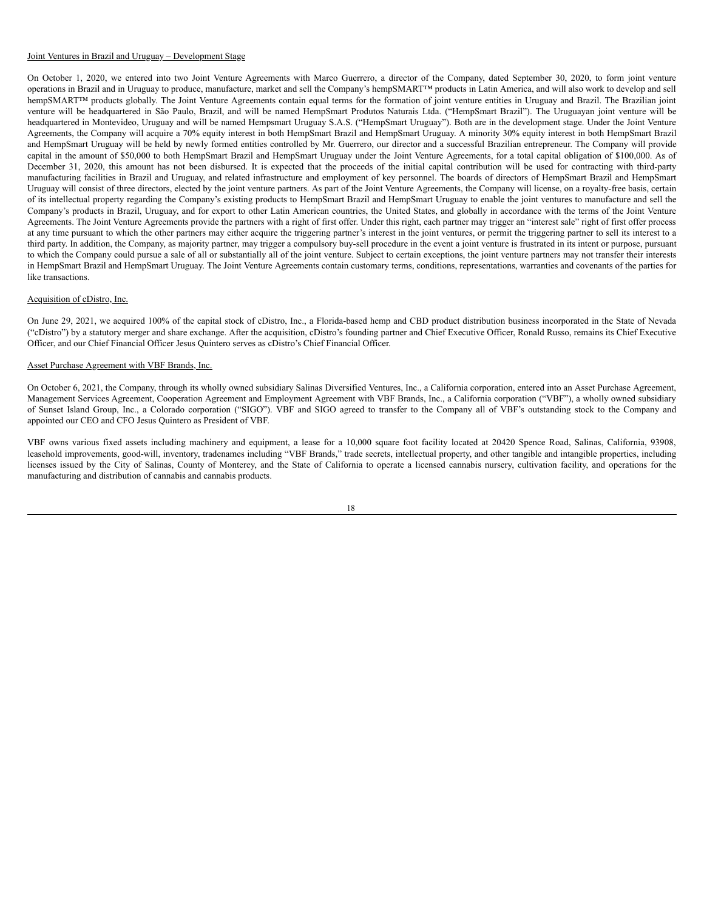## Joint Ventures in Brazil and Uruguay – Development Stage

On October 1, 2020, we entered into two Joint Venture Agreements with Marco Guerrero, a director of the Company, dated September 30, 2020, to form joint venture operations in Brazil and in Uruguay to produce, manufacture, market and sell the Company's hempSMART™ products in Latin America, and will also work to develop and sell hempSMART<sup>™</sup> products globally. The Joint Venture Agreements contain equal terms for the formation of joint venture entities in Uruguay and Brazil. The Brazilian joint venture will be headquartered in São Paulo, Brazil, and will be named HempSmart Produtos Naturais Ltda. ("HempSmart Brazil"). The Uruguayan joint venture will be headquartered in Montevideo, Uruguay and will be named Hempsmart Uruguay S.A.S. ("HempSmart Uruguay"). Both are in the development stage. Under the Joint Venture Agreements, the Company will acquire a 70% equity interest in both HempSmart Brazil and HempSmart Uruguay. A minority 30% equity interest in both HempSmart Brazil and HempSmart Uruguay will be held by newly formed entities controlled by Mr. Guerrero, our director and a successful Brazilian entrepreneur. The Company will provide capital in the amount of \$50,000 to both HempSmart Brazil and HempSmart Uruguay under the Joint Venture Agreements, for a total capital obligation of \$100,000. As of December 31, 2020, this amount has not been disbursed. It is expected that the proceeds of the initial capital contribution will be used for contracting with third-party manufacturing facilities in Brazil and Uruguay, and related infrastructure and employment of key personnel. The boards of directors of HempSmart Brazil and HempSmart Uruguay will consist of three directors, elected by the joint venture partners. As part of the Joint Venture Agreements, the Company will license, on a royalty-free basis, certain of its intellectual property regarding the Company's existing products to HempSmart Brazil and HempSmart Uruguay to enable the joint ventures to manufacture and sell the Company's products in Brazil, Uruguay, and for export to other Latin American countries, the United States, and globally in accordance with the terms of the Joint Venture Agreements. The Joint Venture Agreements provide the partners with a right of first offer. Under this right, each partner may trigger an "interest sale" right of first offer process at any time pursuant to which the other partners may either acquire the triggering partner's interest in the joint ventures, or permit the triggering partner to sell its interest to a third party. In addition, the Company, as majority partner, may trigger a compulsory buy-sell procedure in the event a joint venture is frustrated in its intent or purpose, pursuant to which the Company could pursue a sale of all or substantially all of the joint venture. Subject to certain exceptions, the joint venture partners may not transfer their interests in HempSmart Brazil and HempSmart Uruguay. The Joint Venture Agreements contain customary terms, conditions, representations, warranties and covenants of the parties for like transactions.

# Acquisition of cDistro, Inc.

On June 29, 2021, we acquired 100% of the capital stock of cDistro, Inc., a Florida-based hemp and CBD product distribution business incorporated in the State of Nevada ("cDistro") by a statutory merger and share exchange. After the acquisition, cDistro's founding partner and Chief Executive Officer, Ronald Russo, remains its Chief Executive Officer, and our Chief Financial Officer Jesus Quintero serves as cDistro's Chief Financial Officer.

# Asset Purchase Agreement with VBF Brands, Inc.

On October 6, 2021, the Company, through its wholly owned subsidiary Salinas Diversified Ventures, Inc., a California corporation, entered into an Asset Purchase Agreement, Management Services Agreement, Cooperation Agreement and Employment Agreement with VBF Brands, Inc., a California corporation ("VBF"), a wholly owned subsidiary of Sunset Island Group, Inc., a Colorado corporation ("SIGO"). VBF and SIGO agreed to transfer to the Company all of VBF's outstanding stock to the Company and appointed our CEO and CFO Jesus Quintero as President of VBF.

VBF owns various fixed assets including machinery and equipment, a lease for a 10,000 square foot facility located at 20420 Spence Road, Salinas, California, 93908, leasehold improvements, good-will, inventory, tradenames including "VBF Brands," trade secrets, intellectual property, and other tangible and intangible properties, including licenses issued by the City of Salinas, County of Monterey, and the State of California to operate a licensed cannabis nursery, cultivation facility, and operations for the manufacturing and distribution of cannabis and cannabis products.

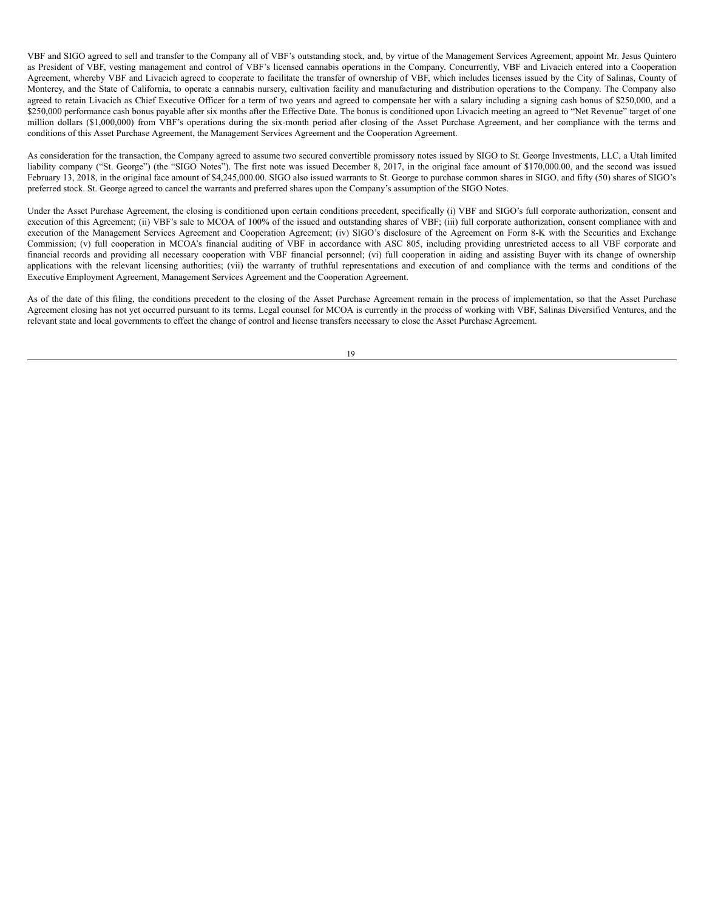VBF and SIGO agreed to sell and transfer to the Company all of VBF's outstanding stock, and, by virtue of the Management Services Agreement, appoint Mr. Jesus Quintero as President of VBF, vesting management and control of VBF's licensed cannabis operations in the Company. Concurrently, VBF and Livacich entered into a Cooperation Agreement, whereby VBF and Livacich agreed to cooperate to facilitate the transfer of ownership of VBF, which includes licenses issued by the City of Salinas, County of Monterey, and the State of California, to operate a cannabis nursery, cultivation facility and manufacturing and distribution operations to the Company. The Company also agreed to retain Livacich as Chief Executive Officer for a term of two years and agreed to compensate her with a salary including a signing cash bonus of \$250,000, and a \$250,000 performance cash bonus payable after six months after the Effective Date. The bonus is conditioned upon Livacich meeting an agreed to "Net Revenue" target of one million dollars (\$1,000,000) from VBF's operations during the six-month period after closing of the Asset Purchase Agreement, and her compliance with the terms and conditions of this Asset Purchase Agreement, the Management Services Agreement and the Cooperation Agreement.

As consideration for the transaction, the Company agreed to assume two secured convertible promissory notes issued by SIGO to St. George Investments, LLC, a Utah limited liability company ("St. George") (the "SIGO Notes"). The first note was issued December 8, 2017, in the original face amount of \$170,000.00, and the second was issued February 13, 2018, in the original face amount of \$4,245,000.00. SIGO also issued warrants to St. George to purchase common shares in SIGO, and fifty (50) shares of SIGO's preferred stock. St. George agreed to cancel the warrants and preferred shares upon the Company's assumption of the SIGO Notes.

Under the Asset Purchase Agreement, the closing is conditioned upon certain conditions precedent, specifically (i) VBF and SIGO's full corporate authorization, consent and execution of this Agreement; (ii) VBF's sale to MCOA of 100% of the issued and outstanding shares of VBF; (iii) full corporate authorization, consent compliance with and execution of the Management Services Agreement and Cooperation Agreement; (iv) SIGO's disclosure of the Agreement on Form 8-K with the Securities and Exchange Commission; (v) full cooperation in MCOA's financial auditing of VBF in accordance with ASC 805, including providing unrestricted access to all VBF corporate and financial records and providing all necessary cooperation with VBF financial personnel; (vi) full cooperation in aiding and assisting Buyer with its change of ownership applications with the relevant licensing authorities; (vii) the warranty of truthful representations and execution of and compliance with the terms and conditions of the Executive Employment Agreement, Management Services Agreement and the Cooperation Agreement.

As of the date of this filing, the conditions precedent to the closing of the Asset Purchase Agreement remain in the process of implementation, so that the Asset Purchase Agreement closing has not yet occurred pursuant to its terms. Legal counsel for MCOA is currently in the process of working with VBF, Salinas Diversified Ventures, and the relevant state and local governments to effect the change of control and license transfers necessary to close the Asset Purchase Agreement.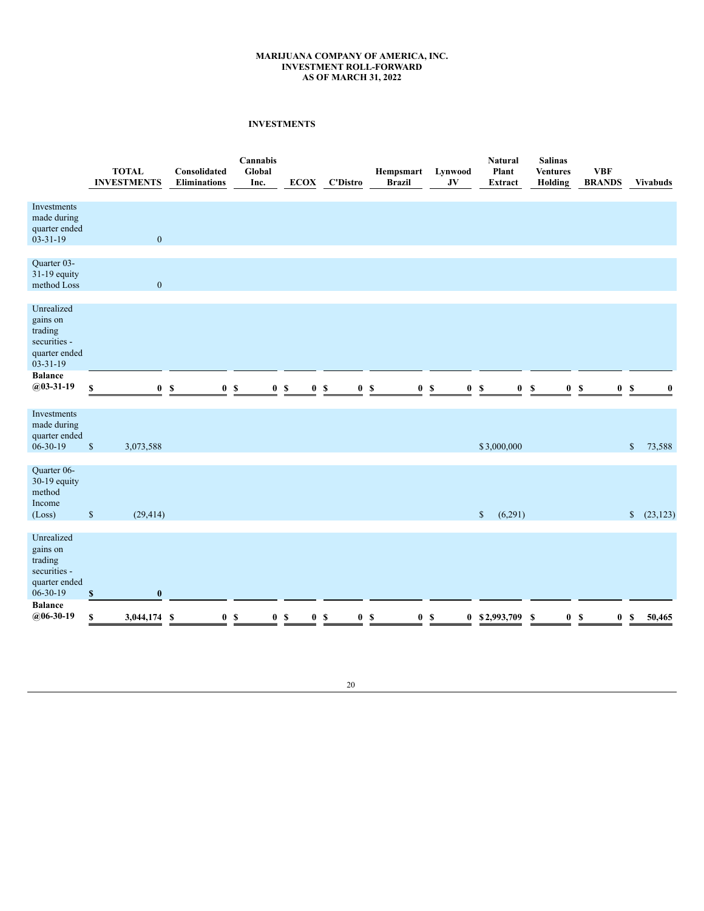### **MARIJUANA COMPANY OF AMERICA, INC. INVESTMENT ROLL-FORWARD AS OF MARCH 31, 2022**

# **INVESTMENTS**

|                                                                                      | <b>TOTAL</b><br><b>INVESTMENTS</b> | Consolidated<br><b>Eliminations</b> | Cannabis<br>Global<br>Inc. | <b>ECOX</b> | <b>C'Distro</b> | Hempsmart<br><b>Brazil</b> | Lynwood<br>J <sub>V</sub> | Natural<br>Plant<br>Extract | <b>Salinas</b><br><b>Ventures</b><br>Holding | <b>VBF</b><br><b>BRANDS</b> | <b>Vivabuds</b>        |
|--------------------------------------------------------------------------------------|------------------------------------|-------------------------------------|----------------------------|-------------|-----------------|----------------------------|---------------------------|-----------------------------|----------------------------------------------|-----------------------------|------------------------|
| Investments<br>made during<br>quarter ended<br>03-31-19                              | $\boldsymbol{0}$                   |                                     |                            |             |                 |                            |                           |                             |                                              |                             |                        |
| Quarter 03-<br>31-19 equity<br>method Loss                                           | $\bf{0}$                           |                                     |                            |             |                 |                            |                           |                             |                                              |                             |                        |
| Unrealized<br>gains on<br>trading<br>securities -<br>quarter ended<br>$03 - 31 - 19$ |                                    |                                     |                            |             |                 |                            |                           |                             |                                              |                             |                        |
| <b>Balance</b><br>$@03-31-19$                                                        | \$<br>$\mathbf{0}$                 | $\mathbb S$                         | 0 S<br>0S                  | 0 S         | 0 S             | 0 S                        | $\mathbf{0}$              | $\mathbb S$<br>$\bf{0}$     | $\mathbf S$<br>0 S                           | 0 S                         | $\bf{0}$               |
| Investments<br>made during<br>quarter ended<br>$06-30-19$                            | $\mathbb{S}$<br>3,073,588          |                                     |                            |             |                 |                            |                           | \$3,000,000                 |                                              |                             | $\mathbb{S}$<br>73,588 |
| Quarter 06-<br>$30-19$ equity<br>method<br>Income<br>(Loss)                          | $\mathbb{S}$<br>(29, 414)          |                                     |                            |             |                 |                            |                           | (6,291)<br>$\mathbb{S}$     |                                              |                             | (23,123)               |
| Unrealized<br>gains on<br>trading<br>securities -<br>quarter ended<br>$06-30-19$     | $\mathbf{s}$<br>$\bf{0}$           |                                     |                            |             |                 |                            |                           |                             |                                              |                             |                        |
| <b>Balance</b><br>$@06-30-19$                                                        | \$<br>3,044,174 \$                 |                                     | 0 S<br>0S                  | 0S          | 0 S             | 0 S<br>$\equiv$            |                           | 0 \$2,993,709               | 0 S<br>$\boldsymbol{s}$                      | 0 <sup>5</sup>              | 50,465                 |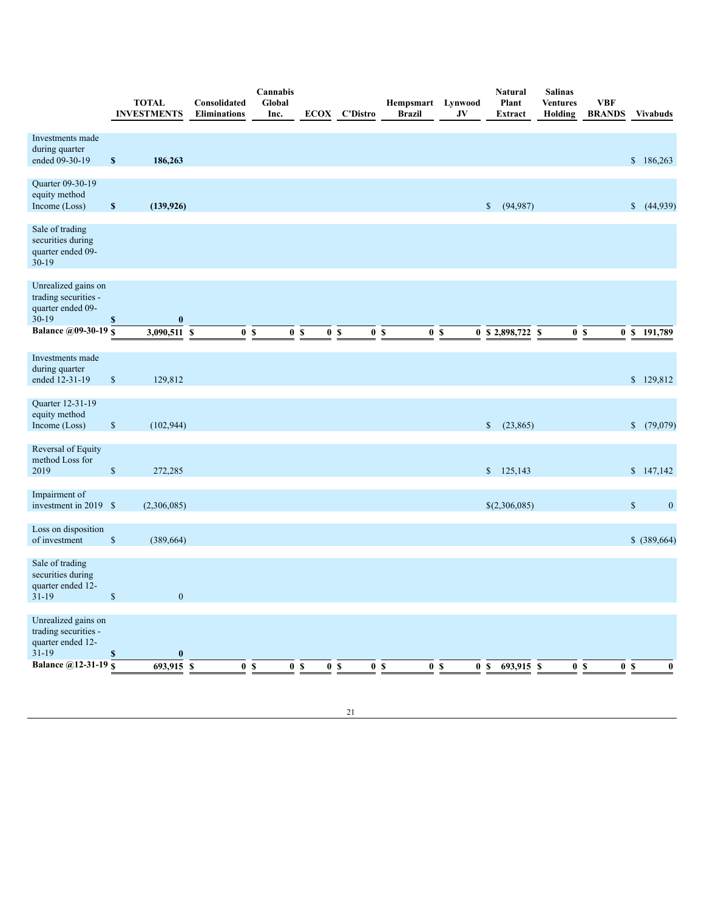|                                                                                                              |                    |                                     |                     | Cannabis |                               |                                  |                  |                | Natural                   | <b>Salinas</b>       |                |              |                  |
|--------------------------------------------------------------------------------------------------------------|--------------------|-------------------------------------|---------------------|----------|-------------------------------|----------------------------------|------------------|----------------|---------------------------|----------------------|----------------|--------------|------------------|
|                                                                                                              |                    | <b>TOTAL</b>                        | Consolidated        | Global   |                               |                                  | Hempsmart        | Lynwood        | Plant                     | <b>Ventures</b>      | <b>VBF</b>     |              |                  |
|                                                                                                              |                    | <b>INVESTMENTS</b>                  | <b>Eliminations</b> | Inc.     |                               | ECOX C'Distro                    | <b>Brazil</b>    | JV             | Extract                   | Holding              | <b>BRANDS</b>  |              | <b>Vivabuds</b>  |
| Investments made<br>during quarter<br>ended 09-30-19                                                         | $\pmb{\mathbb{S}}$ | 186,263                             |                     |          |                               |                                  |                  |                |                           |                      |                |              | \$186,263        |
| Quarter 09-30-19<br>equity method<br>Income (Loss)                                                           | \$                 | (139, 926)                          |                     |          |                               |                                  |                  |                | $\mathbb{S}$<br>(94, 987) |                      |                |              | (44,939)         |
| Sale of trading<br>securities during<br>quarter ended 09-<br>$30 - 19$                                       |                    |                                     |                     |          |                               |                                  |                  |                |                           |                      |                |              |                  |
| Unrealized gains on<br>trading securities -<br>quarter ended 09-<br>$30 - 19$                                | \$                 | $\boldsymbol{0}$                    |                     |          |                               |                                  |                  |                |                           |                      |                |              |                  |
| <b>Balance</b> @09-30-19 \$                                                                                  |                    | 3,090,511 \$                        | 0 <sup>5</sup>      | $\bf{0}$ | \$                            | 0 <sup>5</sup><br>0 <sup>5</sup> | $\overline{0}$ s |                | 0 \$ 2,898,722            | 0 <sup>5</sup><br>\$ |                |              | 0 \$ 191,789     |
| Investments made<br>during quarter<br>ended 12-31-19                                                         | $\mathbb{S}$       | 129,812                             |                     |          |                               |                                  |                  |                |                           |                      |                |              | \$129,812        |
| Quarter 12-31-19<br>equity method<br>Income (Loss)                                                           | $\mathbb S$        | (102, 944)                          |                     |          |                               |                                  |                  |                | $\mathbb{S}$<br>(23, 865) |                      |                |              | \$(79,079)       |
| Reversal of Equity<br>method Loss for<br>2019                                                                | $\mathbb{S}$       | 272,285                             |                     |          |                               |                                  |                  |                | \$125,143                 |                      |                |              | \$147,142        |
| Impairment of<br>investment in $2019$ \$                                                                     |                    | (2,306,085)                         |                     |          |                               |                                  |                  |                | \$(2,306,085)             |                      |                | $\mathbb{S}$ | $\boldsymbol{0}$ |
| Loss on disposition<br>of investment                                                                         | $\mathbb{S}$       | (389, 664)                          |                     |          |                               |                                  |                  |                |                           |                      |                |              | $$$ (389,664)    |
| Sale of trading<br>securities during<br>quarter ended 12-<br>$31 - 19$                                       | $\mathbb{S}$       | $\boldsymbol{0}$                    |                     |          |                               |                                  |                  |                |                           |                      |                |              |                  |
| Unrealized gains on<br>trading securities -<br>quarter ended 12-<br>$31 - 19$<br><b>Balance @12-31-19 \$</b> | \$                 | $\bf{0}$<br>$\overline{693,915}$ \$ | 0 <sup>5</sup>      | $\bf{0}$ | $\mathbf s$<br>0 <sup>5</sup> | 0 <sup>5</sup>                   | 0 <sup>5</sup>   | 0 <sup>5</sup> | 693,915 \$                | 0 <sup>5</sup>       | 0 <sup>5</sup> |              | $\bf{0}$         |
|                                                                                                              |                    |                                     |                     |          |                               |                                  |                  |                |                           |                      |                |              |                  |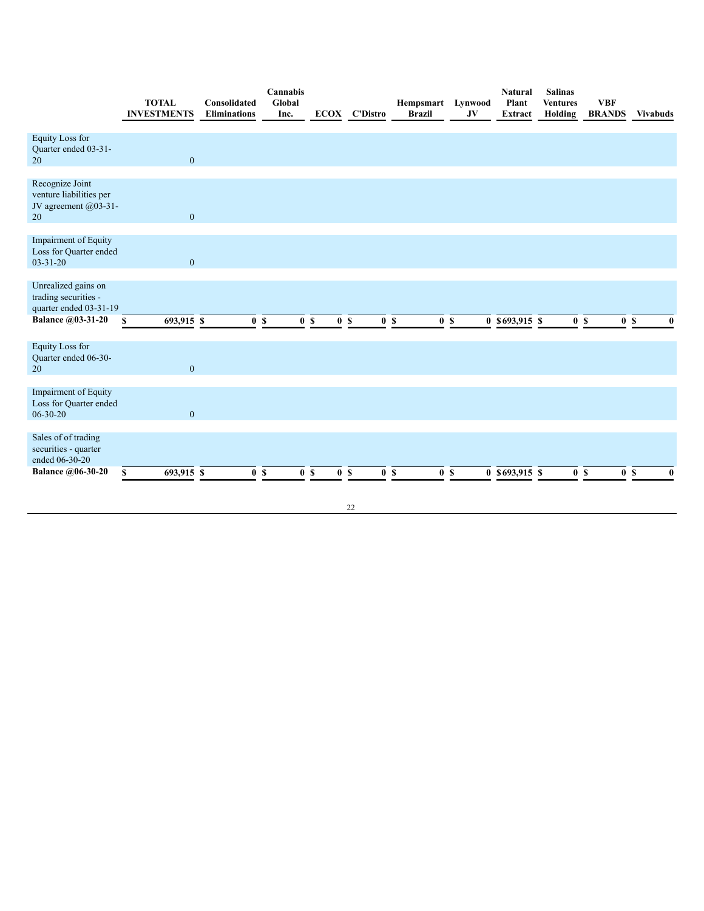|                                                                                                   | <b>TOTAL</b><br><b>INVESTMENTS</b> | Consolidated<br><b>Eliminations</b> | Cannabis<br>Global<br>Inc. | <b>ECOX</b>    | <b>C'Distro</b> | Hempsmart Lynwood<br><b>Brazil</b> | JV | <b>Natural</b><br>Plant<br><b>Extract</b> | <b>Salinas</b><br><b>Ventures</b><br>Holding | <b>VBF</b><br><b>BRANDS</b> | <b>Vivabuds</b>  |
|---------------------------------------------------------------------------------------------------|------------------------------------|-------------------------------------|----------------------------|----------------|-----------------|------------------------------------|----|-------------------------------------------|----------------------------------------------|-----------------------------|------------------|
| <b>Equity Loss for</b><br>Quarter ended 03-31-<br>20                                              | $\boldsymbol{0}$                   |                                     |                            |                |                 |                                    |    |                                           |                                              |                             |                  |
| Recognize Joint<br>venture liabilities per<br>JV agreement $(a)$ 03-31-<br>20                     | $\mathbf{0}$                       |                                     |                            |                |                 |                                    |    |                                           |                                              |                             |                  |
| Impairment of Equity<br>Loss for Quarter ended<br>$03 - 31 - 20$                                  | $\mathbf{0}$                       |                                     |                            |                |                 |                                    |    |                                           |                                              |                             |                  |
| Unrealized gains on<br>trading securities -<br>quarter ended 03-31-19<br><b>Balance</b> @03-31-20 | 693,915 \$<br>$\mathbf{s}$         | 0 <sup>5</sup>                      | 0 <sup>5</sup>             | 0 <sup>5</sup> | 0 <sup>5</sup>  | 0 <sup>5</sup>                     |    | $0$ \$693,915 \$                          | 0 <sup>5</sup>                               | 0 <sup>5</sup>              | $\bf{0}$         |
| <b>Equity Loss for</b><br>Quarter ended 06-30-<br>20                                              | $\mathbf{0}$                       |                                     |                            |                |                 |                                    |    |                                           |                                              |                             |                  |
| Impairment of Equity<br>Loss for Quarter ended<br>$06 - 30 - 20$                                  | $\mathbf{0}$                       |                                     |                            |                |                 |                                    |    |                                           |                                              |                             |                  |
| Sales of of trading<br>securities - quarter<br>ended 06-30-20<br><b>Balance @06-30-20</b>         | 693,915 \$<br>\$                   | 0S                                  | 0S                         | 0 <sub>s</sub> | 0 <sup>5</sup>  | 0 <sub>s</sub>                     |    | $0$ \$693,915 \$                          | 0 <sup>5</sup>                               | 0 <sup>5</sup>              | $\boldsymbol{0}$ |
|                                                                                                   |                                    |                                     |                            |                | 22              |                                    |    |                                           |                                              |                             |                  |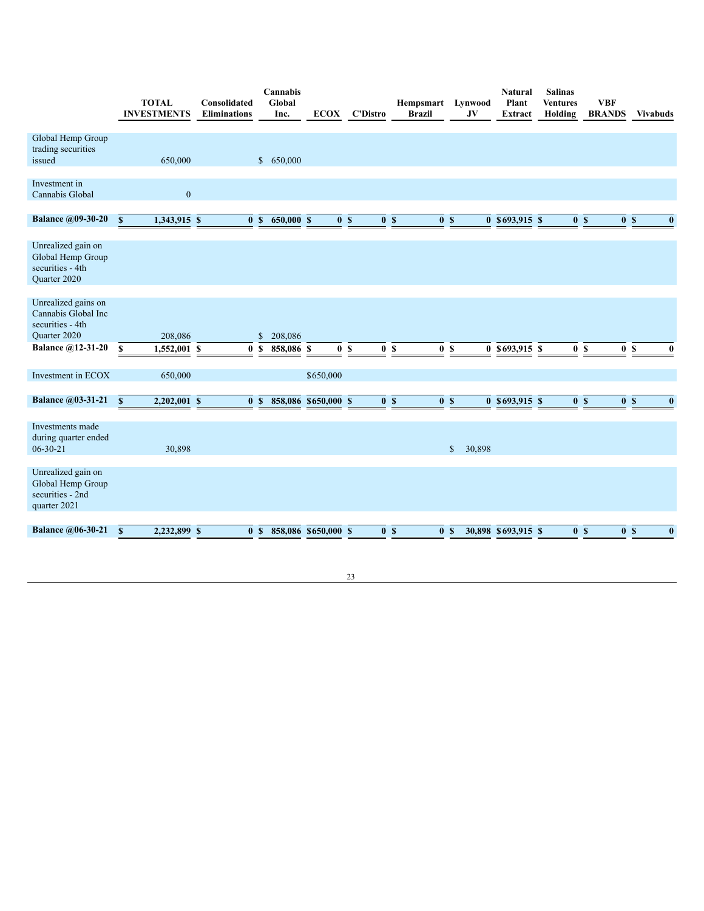|                                                                                       | <b>TOTAL</b><br><b>INVESTMENTS</b> | Consolidated<br><b>Eliminations</b> | Cannabis<br>Global<br>Inc. | <b>ECOX</b>            | <b>C'Distro</b>                  | Hempsmart<br><b>Brazil</b> | Lynwood<br>JV | <b>Natural</b><br>Plant<br><b>Extract</b> | <b>Salinas</b><br><b>Ventures</b><br>Holding | <b>VBF</b><br><b>BRANDS</b> | <b>Vivabuds</b> |
|---------------------------------------------------------------------------------------|------------------------------------|-------------------------------------|----------------------------|------------------------|----------------------------------|----------------------------|---------------|-------------------------------------------|----------------------------------------------|-----------------------------|-----------------|
| Global Hemp Group<br>trading securities<br>issued                                     | 650,000                            |                                     | \$650,000                  |                        |                                  |                            |               |                                           |                                              |                             |                 |
| Investment in<br>Cannabis Global                                                      | $\mathbf{0}$                       |                                     |                            |                        |                                  |                            |               |                                           |                                              |                             |                 |
| <b>Balance</b> @09-30-20                                                              | 1,343,915 \$<br>$\mathbf{s}$       | 0 <sub>s</sub>                      | 650,000 \$                 |                        | 0 <sup>5</sup><br>0 <sub>s</sub> | 0 <sup>5</sup>             |               | $0$ \$693,915 \$                          | 0 <sup>5</sup>                               | 0 <sup>5</sup>              | $\mathbf 0$     |
| Unrealized gain on<br>Global Hemp Group<br>securities - 4th<br><b>Ouarter 2020</b>    |                                    |                                     |                            |                        |                                  |                            |               |                                           |                                              |                             |                 |
| Unrealized gains on<br>Cannabis Global Inc<br>securities - 4th<br><b>Ouarter 2020</b> | 208,086                            |                                     | 208,086<br>\$              |                        |                                  |                            |               |                                           |                                              |                             |                 |
| <b>Balance @12-31-20</b>                                                              | \$<br>1,552,001 \$                 | 0 <sup>5</sup>                      | 858,086 \$                 |                        | 0S<br>0S                         | 0S                         |               | $0$ \$693,915 \$                          | 0 <sup>5</sup>                               | 0 <sup>5</sup>              | $\bf{0}$        |
| Investment in ECOX                                                                    | 650,000                            |                                     |                            | \$650,000              |                                  |                            |               |                                           |                                              |                             |                 |
| <b>Balance @03-31-21</b>                                                              | $2,202,001$ \$<br>$\mathbf{s}$     | 0 <sup>5</sup>                      |                            | $858,086$ \$650,000 \$ | $\overline{0}$ s                 | $\overline{0}$ s           |               | $\overline{0}$ \$693,915 \$               | $\overline{0}$ s                             | $\overline{0}$ s            | $\bf{0}$        |
| Investments made<br>during quarter ended<br>$06 - 30 - 21$                            | 30,898                             |                                     |                            |                        |                                  |                            | 30,898<br>S   |                                           |                                              |                             |                 |
| Unrealized gain on<br>Global Hemp Group<br>securities - 2nd<br>quarter 2021           |                                    |                                     |                            |                        |                                  |                            |               |                                           |                                              |                             |                 |
| <b>Balance</b> @06-30-21                                                              | 2,232,899 \$<br>$\mathbf{s}$       | $\bf{0}$                            | $\mathbf{s}$               | 858,086 \$650,000 \$   | $\overline{\mathbf{0}}$ s        | 0 <sup>5</sup>             |               | 30,898 \$693,915 \$                       | 0 <sub>s</sub>                               | 0 <sup>5</sup>              | $\bf{0}$        |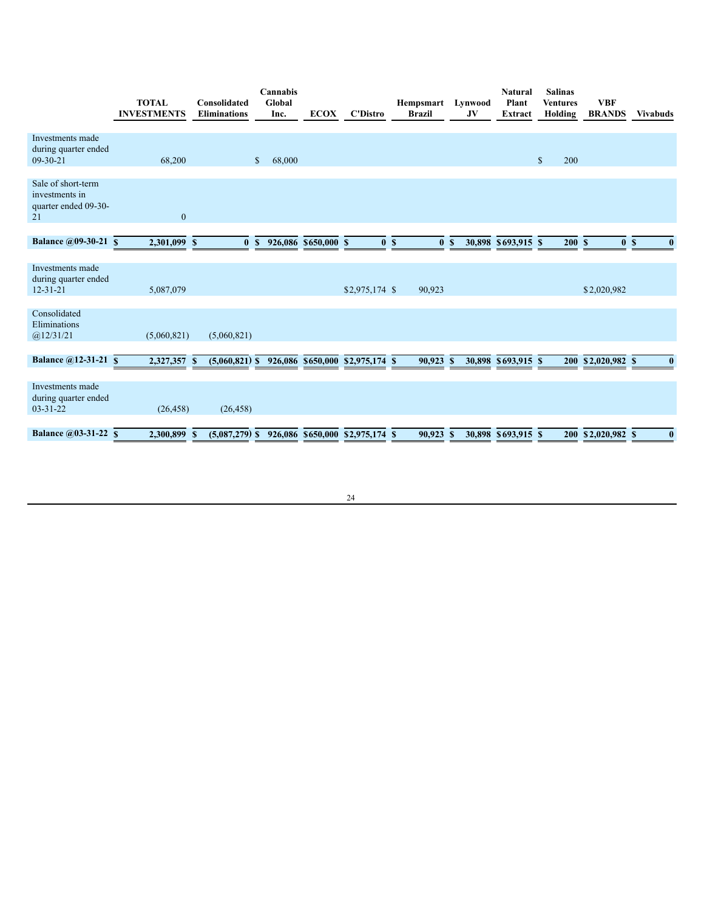|                                                                    | <b>TOTAL</b><br><b>INVESTMENTS</b> | Consolidated<br><b>Eliminations</b> | Cannabis<br>Global<br>Inc. | <b>ECOX</b>          | <b>C'Distro</b>                                   | Hempsmart<br><b>Brazil</b> | Lynwood<br>JV  | <b>Natural</b><br>Plant<br><b>Extract</b> | <b>Salinas</b><br><b>Ventures</b><br>Holding | <b>VBF</b><br><b>BRANDS</b> | <b>Vivabuds</b> |
|--------------------------------------------------------------------|------------------------------------|-------------------------------------|----------------------------|----------------------|---------------------------------------------------|----------------------------|----------------|-------------------------------------------|----------------------------------------------|-----------------------------|-----------------|
| Investments made<br>during quarter ended<br>$09-30-21$             | 68,200                             |                                     | 68,000<br>$\mathbb{S}$     |                      |                                                   |                            |                |                                           | 200<br>$\mathbb{S}$                          |                             |                 |
| Sale of short-term<br>investments in<br>quarter ended 09-30-<br>21 | $\mathbf{0}$                       |                                     |                            |                      |                                                   |                            |                |                                           |                                              |                             |                 |
| <b>Balance @09-30-21</b> \$                                        | 2,301,099 \$                       | $\bf{0}$                            | $\mathbf{s}$               | 926,086 \$650,000 \$ | 0 <sup>5</sup>                                    |                            | 0 <sup>5</sup> | 30,898 \$693,915 \$                       | 200S                                         | 0 <sup>5</sup>              | $\mathbf{0}$    |
| Investments made<br>during quarter ended<br>$12 - 31 - 21$         | 5,087,079                          |                                     |                            |                      | $$2,975,174$ \$                                   | 90,923                     |                |                                           |                                              | \$2,020,982                 |                 |
| Consolidated<br>Eliminations<br>@12/31/21                          | (5,060,821)                        | (5,060,821)                         |                            |                      |                                                   |                            |                |                                           |                                              |                             |                 |
| <b>Balance</b> @12-31-21 \$                                        | 2,327,357 \$                       |                                     |                            |                      | $(5,060,821)$ \$ 926,086 \$650,000 \$2,975,174 \$ | 90,923 \$                  |                | 30,898 \$693,915 \$                       |                                              | 200 \$2,020,982 \$          | $\mathbf{0}$    |
| Investments made<br>during quarter ended<br>$03 - 31 - 22$         | (26, 458)                          | (26, 458)                           |                            |                      |                                                   |                            |                |                                           |                                              |                             |                 |
| <b>Balance</b> @03-31-22                                           | 2,300,899<br>-8                    | $(5,087,279)$ \$<br><sup>\$</sup>   |                            | 926,086 \$650,000    | \$2,975,174 \$                                    | 90.923 \$                  |                | 30,898 \$693,915 \$                       | 200                                          | $$2,020,982$ \$             | $\bf{0}$        |

24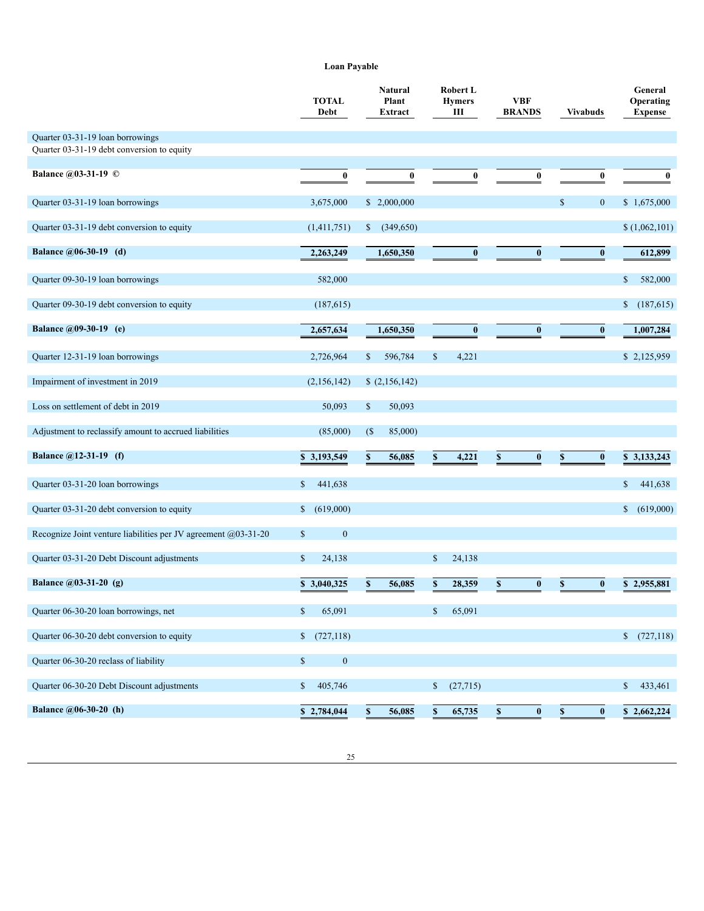# **Loan Payable**

|                                                                | <b>TOTAL</b><br>Debt             | <b>Natural</b><br>Plant<br>Extract | <b>Robert L</b><br><b>Hymers</b><br>Ш | <b>VBF</b><br><b>BRANDS</b>       | <b>Vivabuds</b>        | General<br>Operating<br><b>Expense</b> |
|----------------------------------------------------------------|----------------------------------|------------------------------------|---------------------------------------|-----------------------------------|------------------------|----------------------------------------|
| Quarter 03-31-19 loan borrowings                               |                                  |                                    |                                       |                                   |                        |                                        |
| Quarter 03-31-19 debt conversion to equity                     |                                  |                                    |                                       |                                   |                        |                                        |
| Balance @03-31-19 ©                                            | $\bf{0}$                         | $\bf{0}$                           | $\bf{0}$                              | $\bf{0}$                          | $\bf{0}$               | $\bf{0}$                               |
| Quarter 03-31-19 loan borrowings                               | 3,675,000                        | \$2,000,000                        |                                       |                                   | \$<br>$\boldsymbol{0}$ | \$1,675,000                            |
| Quarter 03-31-19 debt conversion to equity                     | (1,411,751)                      | (349,650)<br>S.                    |                                       |                                   |                        | (1,062,101)                            |
| Balance @06-30-19 (d)                                          | 2,263,249                        | 1,650,350                          | $\bf{0}$                              | $\bf{0}$                          | $\bf{0}$               | 612,899                                |
| Quarter 09-30-19 loan borrowings                               | 582,000                          |                                    |                                       |                                   |                        | \$<br>582,000                          |
| Quarter 09-30-19 debt conversion to equity                     | (187, 615)                       |                                    |                                       |                                   |                        | $\mathbb{S}$<br>(187,615)              |
| Balance @09-30-19 (e)                                          | 2,657,634                        | 1,650,350                          | $\bf{0}$                              | $\bf{0}$                          | $\boldsymbol{0}$       | 1,007,284                              |
| Quarter 12-31-19 loan borrowings                               | 2,726,964                        | 596,784<br>\$                      | $\mathbb{S}$<br>4,221                 |                                   |                        | \$2,125,959                            |
| Impairment of investment in 2019                               | (2,156,142)                      | (2,156,142)                        |                                       |                                   |                        |                                        |
| Loss on settlement of debt in 2019                             | 50,093                           | $\mathbb{S}$<br>50,093             |                                       |                                   |                        |                                        |
| Adjustment to reclassify amount to accrued liabilities         | (85,000)                         | (S)<br>85,000)                     |                                       |                                   |                        |                                        |
| Balance @12-31-19 (f)                                          | \$3,193,549                      | $\mathbf{s}$<br>56,085             | 4,221<br>\$                           | \$<br>$\bf{0}$                    | $\mathbf{0}$<br>\$     | \$3,133,243                            |
| Quarter 03-31-20 loan borrowings                               | 441,638<br>\$                    |                                    |                                       |                                   |                        | $\mathbb{S}$<br>441,638                |
| Quarter 03-31-20 debt conversion to equity                     | \$<br>(619,000)                  |                                    |                                       |                                   |                        | $\mathbb{S}$<br>(619,000)              |
| Recognize Joint venture liabilities per JV agreement @03-31-20 | $\mathbb{S}$<br>$\boldsymbol{0}$ |                                    |                                       |                                   |                        |                                        |
| Quarter 03-31-20 Debt Discount adjustments                     | $\mathbb{S}$<br>24,138           |                                    | $\mathbb{S}$<br>24,138                |                                   |                        |                                        |
| Balance @03-31-20 (g)                                          | 3.040.325<br>\$                  | 56,085<br>\$                       | $\mathbf{s}$<br>28,359                | $\bf{0}$<br>\$                    | \$<br>$\bf{0}$         | \$2,955,881                            |
| Quarter 06-30-20 loan borrowings, net                          | $\mathbb{S}$<br>65,091           |                                    | 65,091<br>\$                          |                                   |                        |                                        |
| Quarter 06-30-20 debt conversion to equity                     | $\mathbb{S}$<br>(727, 118)       |                                    |                                       |                                   |                        | \$ (727,118)                           |
| Quarter 06-30-20 reclass of liability                          | $\mathbb{S}$<br>$\boldsymbol{0}$ |                                    |                                       |                                   |                        |                                        |
| Quarter 06-30-20 Debt Discount adjustments                     | \$<br>405,746                    |                                    | (27, 715)<br>$\mathbb{S}$             |                                   |                        | $\mathbb{S}$<br>433,461                |
| Balance @06-30-20 (h)                                          | \$2,784,044                      | $\pmb{\mathbb{S}}$<br>56,085       | \$<br>65,735                          | $\frac{S}{1}$<br>$\boldsymbol{0}$ | $\boldsymbol{0}$<br>S  | \$2,662,224                            |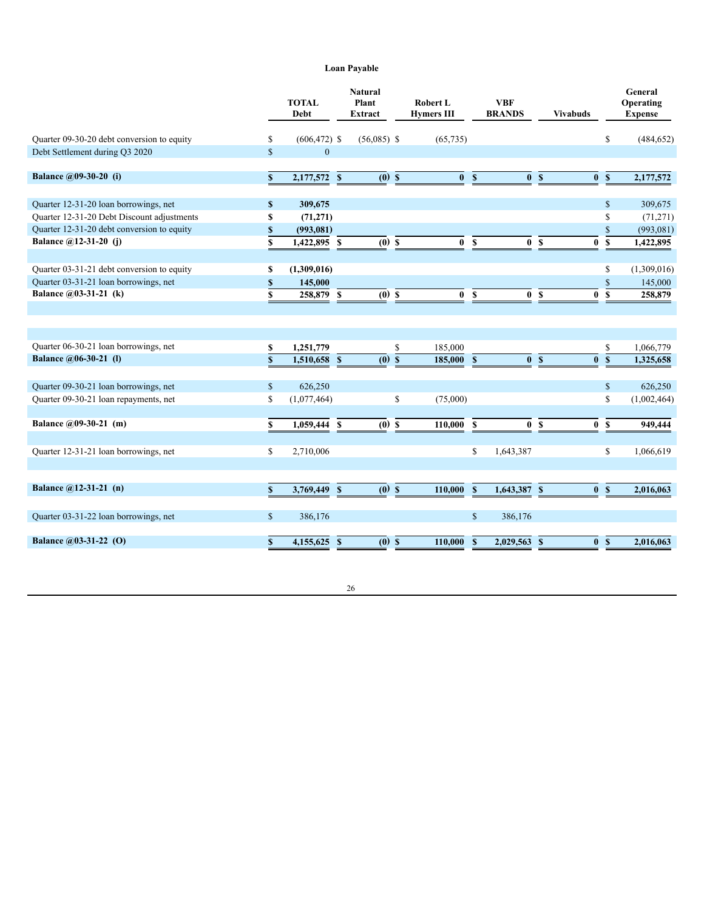# **Loan Payable**

|                                            |                         | <b>TOTAL</b><br>Debt |              | <b>Natural</b><br>Plant<br>Extract | <b>Robert L</b><br><b>Hymers III</b> |              | <b>VBF</b><br><b>BRANDS</b> |                | <b>Vivabuds</b> |                  | General<br>Operating<br><b>Expense</b> |
|--------------------------------------------|-------------------------|----------------------|--------------|------------------------------------|--------------------------------------|--------------|-----------------------------|----------------|-----------------|------------------|----------------------------------------|
| Quarter 09-30-20 debt conversion to equity | \$                      | $(606, 472)$ \$      |              | $(56,085)$ \$                      | (65, 735)                            |              |                             |                |                 | \$               | (484, 652)                             |
| Debt Settlement during Q3 2020             | $\mathbf S$             | $\overline{0}$       |              |                                    |                                      |              |                             |                |                 |                  |                                        |
| Balance @09-30-20 (i)                      | $\mathbf{s}$            | 2,177,572 \$         |              | $(0)$ \$                           | $\mathbf{0}$                         | $\mathbf{s}$ |                             | 0S             |                 | 0S               | 2,177,572                              |
| Quarter 12-31-20 loan borrowings, net      | $\mathbf{s}$            | 309,675              |              |                                    |                                      |              |                             |                |                 | $\mathbb{S}$     | 309,675                                |
| Quarter 12-31-20 Debt Discount adjustments | \$                      | (71, 271)            |              |                                    |                                      |              |                             |                |                 | \$               | (71, 271)                              |
| Quarter 12-31-20 debt conversion to equity | \$                      | (993, 081)           |              |                                    |                                      |              |                             |                |                 | $\mathbb{S}$     | (993,081)                              |
| Balance @12-31-20 (j)                      | \$                      | 1,422,895 \$         |              | $\overline{(0)}$ \$                | $\bf{0}$                             | $\mathbf{s}$ |                             | 0 <sup>5</sup> |                 | 0 <sup>5</sup>   | 1,422,895                              |
| Quarter 03-31-21 debt conversion to equity | \$                      | (1,309,016)          |              |                                    |                                      |              |                             |                |                 | \$               | (1,309,016)                            |
| Quarter 03-31-21 loan borrowings, net      | \$                      | 145,000              |              |                                    |                                      |              |                             |                |                 | $\mathbb{S}$     | 145,000                                |
| Balance @03-31-21 (k)                      | \$                      | 258,879              | $\mathbf{s}$ | $(0)$ \$                           | 0 <sub>s</sub>                       |              |                             | 0 <sup>5</sup> |                 | 0S               | 258,879                                |
|                                            |                         |                      |              |                                    |                                      |              |                             |                |                 |                  |                                        |
|                                            |                         |                      |              |                                    |                                      |              |                             |                |                 |                  |                                        |
| Quarter 06-30-21 loan borrowings, net      | \$                      | 1,251,779            |              |                                    | \$<br>185,000                        |              |                             |                |                 | \$               | 1,066,779                              |
| Balance @06-30-21 (l)                      | $\overline{\mathbb{S}}$ | 1,510,658 \$         |              | $\overline{(0)}$ $\overline{s}$    | $185,000$ \$                         |              |                             | 0 <sup>5</sup> |                 | $\overline{0}$ s | 1,325,658                              |
| Quarter 09-30-21 loan borrowings, net      | $\mathbb{S}$            | 626,250              |              |                                    |                                      |              |                             |                |                 | $\mathbf S$      | 626,250                                |
| Quarter 09-30-21 loan repayments, net      | $\mathbb{S}$            | (1,077,464)          |              |                                    | \$<br>(75,000)                       |              |                             |                |                 | $\mathbf S$      | (1,002,464)                            |
| Balance @09-30-21 (m)                      | \$                      | 1,059,444 \$         |              | $(0)$ \$                           | 110,000                              | $\mathbf{s}$ |                             | 0 <sup>5</sup> |                 | 0 <sup>5</sup>   | 949,444                                |
|                                            |                         |                      |              |                                    |                                      |              |                             |                |                 |                  |                                        |
| Quarter 12-31-21 loan borrowings, net      | \$                      | 2,710,006            |              |                                    |                                      | \$           | 1,643,387                   |                |                 | \$               | 1,066,619                              |
|                                            |                         |                      |              |                                    |                                      |              |                             |                |                 |                  |                                        |
| Balance @12-31-21 (n)                      | $\mathbf{s}$            | 3,769,449 \$         |              | $(0)$ \$                           | 110,000                              | $\mathbf{s}$ | 1,643,387 \$                |                |                 | 0 <sup>5</sup>   | 2,016,063                              |
|                                            |                         |                      |              |                                    |                                      |              |                             |                |                 |                  |                                        |
| Quarter 03-31-22 loan borrowings, net      | $\mathbb{S}$            | 386,176              |              |                                    |                                      | $\mathbb{S}$ | 386,176                     |                |                 |                  |                                        |
| Balance @03-31-22 (O)                      | $\mathbb S$             | 4,155,625 \$         |              | $(0)$ \$                           | 110,000                              | $\mathbf{s}$ | $2,029,563$ \$              |                |                 | 0S               | 2,016,063                              |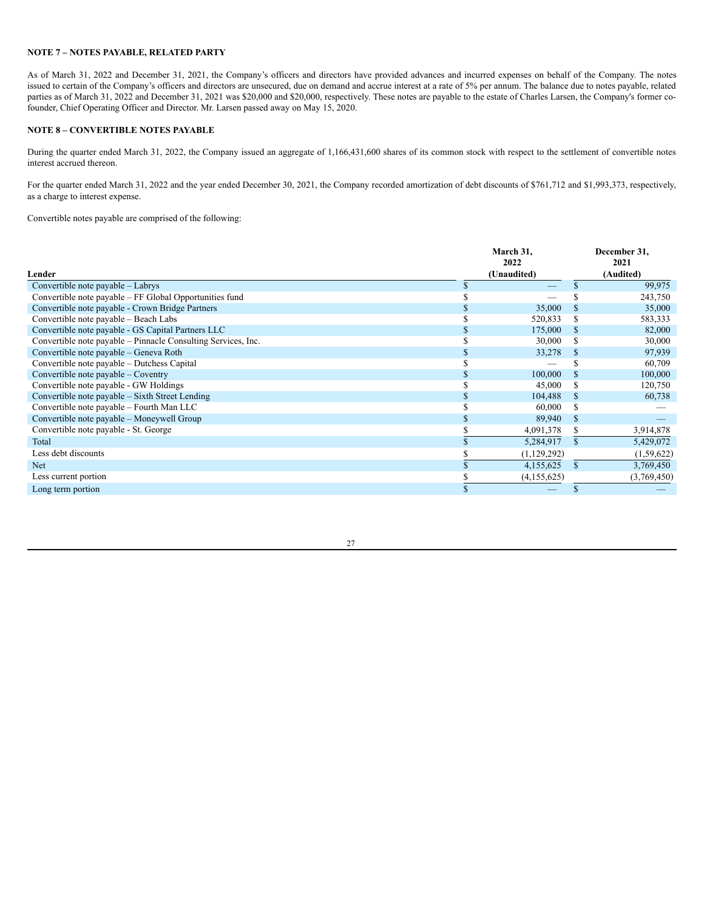# **NOTE 7 – NOTES PAYABLE, RELATED PARTY**

As of March 31, 2022 and December 31, 2021, the Company's officers and directors have provided advances and incurred expenses on behalf of the Company. The notes issued to certain of the Company's officers and directors are unsecured, due on demand and accrue interest at a rate of 5% per annum. The balance due to notes payable, related parties as of March 31, 2022 and December 31, 2021 was \$20,000 and \$20,000, respectively. These notes are payable to the estate of Charles Larsen, the Company's former cofounder, Chief Operating Officer and Director. Mr. Larsen passed away on May 15, 2020.

# **NOTE 8 – CONVERTIBLE NOTES PAYABLE**

During the quarter ended March 31, 2022, the Company issued an aggregate of 1,166,431,600 shares of its common stock with respect to the settlement of convertible notes interest accrued thereon.

For the quarter ended March 31, 2022 and the year ended December 30, 2021, the Company recorded amortization of debt discounts of \$761,712 and \$1,993,373, respectively, as a charge to interest expense.

Convertible notes payable are comprised of the following:

|                                                               |   | March 31,<br>2022 |           | December 31,<br>2021 |  |  |
|---------------------------------------------------------------|---|-------------------|-----------|----------------------|--|--|
| Lender                                                        |   | (Unaudited)       | (Audited) |                      |  |  |
| Convertible note payable - Labrys                             | Ъ |                   |           | 99,975               |  |  |
| Convertible note payable – FF Global Opportunities fund       |   |                   |           | 243,750              |  |  |
| Convertible note payable - Crown Bridge Partners              |   | 35,000            | S         | 35,000               |  |  |
| Convertible note payable - Beach Labs                         |   | 520,833           | S         | 583,333              |  |  |
| Convertible note payable - GS Capital Partners LLC            |   | 175,000           |           | 82,000               |  |  |
| Convertible note payable – Pinnacle Consulting Services, Inc. |   | 30,000            |           | 30,000               |  |  |
| Convertible note payable – Geneva Roth                        |   | 33,278            | S         | 97,939               |  |  |
| Convertible note payable – Dutchess Capital                   |   |                   |           | 60,709               |  |  |
| Convertible note payable – Coventry                           |   | 100,000           |           | 100,000              |  |  |
| Convertible note payable - GW Holdings                        |   | 45,000            | S         | 120,750              |  |  |
| Convertible note payable – Sixth Street Lending               |   | 104,488           | \$        | 60,738               |  |  |
| Convertible note payable - Fourth Man LLC                     |   | 60,000            |           |                      |  |  |
| Convertible note payable – Moneywell Group                    |   | 89,940            | S         |                      |  |  |
| Convertible note payable - St. George                         |   | 4,091,378         |           | 3,914,878            |  |  |
| Total                                                         |   | 5,284,917         |           | 5,429,072            |  |  |
| Less debt discounts                                           |   | (1,129,292)       |           | (1,59,622)           |  |  |
| Net                                                           |   | 4,155,625         | \$        | 3,769,450            |  |  |
| Less current portion                                          |   | (4,155,625)       |           | (3,769,450)          |  |  |
| Long term portion                                             |   |                   |           |                      |  |  |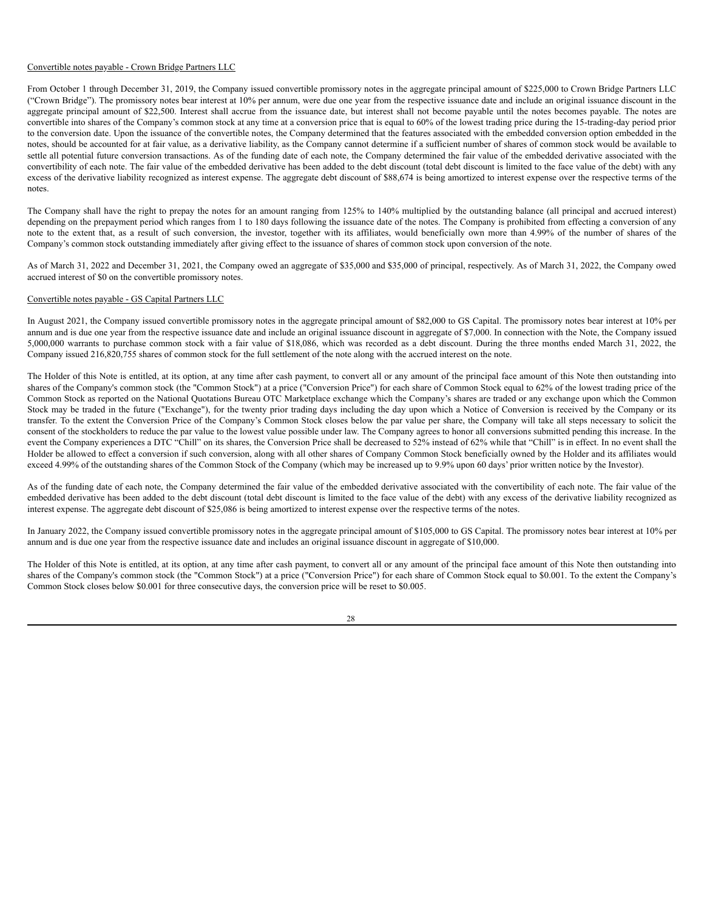# Convertible notes payable - Crown Bridge Partners LLC

From October 1 through December 31, 2019, the Company issued convertible promissory notes in the aggregate principal amount of \$225,000 to Crown Bridge Partners LLC ("Crown Bridge"). The promissory notes bear interest at 10% per annum, were due one year from the respective issuance date and include an original issuance discount in the aggregate principal amount of \$22,500. Interest shall accrue from the issuance date, but interest shall not become payable until the notes becomes payable. The notes are convertible into shares of the Company's common stock at any time at a conversion price that is equal to 60% of the lowest trading price during the 15-trading-day period prior to the conversion date. Upon the issuance of the convertible notes, the Company determined that the features associated with the embedded conversion option embedded in the notes, should be accounted for at fair value, as a derivative liability, as the Company cannot determine if a sufficient number of shares of common stock would be available to settle all potential future conversion transactions. As of the funding date of each note, the Company determined the fair value of the embedded derivative associated with the convertibility of each note. The fair value of the embedded derivative has been added to the debt discount (total debt discount is limited to the face value of the debt) with any excess of the derivative liability recognized as interest expense. The aggregate debt discount of \$88,674 is being amortized to interest expense over the respective terms of the notes.

The Company shall have the right to prepay the notes for an amount ranging from 125% to 140% multiplied by the outstanding balance (all principal and accrued interest) depending on the prepayment period which ranges from 1 to 180 days following the issuance date of the notes. The Company is prohibited from effecting a conversion of any note to the extent that, as a result of such conversion, the investor, together with its affiliates, would beneficially own more than 4.99% of the number of shares of the Company's common stock outstanding immediately after giving effect to the issuance of shares of common stock upon conversion of the note.

As of March 31, 2022 and December 31, 2021, the Company owed an aggregate of \$35,000 and \$35,000 of principal, respectively. As of March 31, 2022, the Company owed accrued interest of \$0 on the convertible promissory notes.

#### Convertible notes payable - GS Capital Partners LLC

In August 2021, the Company issued convertible promissory notes in the aggregate principal amount of \$82,000 to GS Capital. The promissory notes bear interest at 10% per annum and is due one year from the respective issuance date and include an original issuance discount in aggregate of \$7,000. In connection with the Note, the Company issued 5,000,000 warrants to purchase common stock with a fair value of \$18,086, which was recorded as a debt discount. During the three months ended March 31, 2022, the Company issued 216,820,755 shares of common stock for the full settlement of the note along with the accrued interest on the note.

The Holder of this Note is entitled, at its option, at any time after cash payment, to convert all or any amount of the principal face amount of this Note then outstanding into shares of the Company's common stock (the "Common Stock") at a price ("Conversion Price") for each share of Common Stock equal to 62% of the lowest trading price of the Common Stock as reported on the National Quotations Bureau OTC Marketplace exchange which the Company's shares are traded or any exchange upon which the Common Stock may be traded in the future ("Exchange"), for the twenty prior trading days including the day upon which a Notice of Conversion is received by the Company or its transfer. To the extent the Conversion Price of the Company's Common Stock closes below the par value per share, the Company will take all steps necessary to solicit the consent of the stockholders to reduce the par value to the lowest value possible under law. The Company agrees to honor all conversions submitted pending this increase. In the event the Company experiences a DTC "Chill" on its shares, the Conversion Price shall be decreased to 52% instead of 62% while that "Chill" is in effect. In no event shall the Holder be allowed to effect a conversion if such conversion, along with all other shares of Company Common Stock beneficially owned by the Holder and its affiliates would exceed 4.99% of the outstanding shares of the Common Stock of the Company (which may be increased up to 9.9% upon 60 days' prior written notice by the Investor).

As of the funding date of each note, the Company determined the fair value of the embedded derivative associated with the convertibility of each note. The fair value of the embedded derivative has been added to the debt discount (total debt discount is limited to the face value of the debt) with any excess of the derivative liability recognized as interest expense. The aggregate debt discount of \$25,086 is being amortized to interest expense over the respective terms of the notes.

In January 2022, the Company issued convertible promissory notes in the aggregate principal amount of \$105,000 to GS Capital. The promissory notes bear interest at 10% per annum and is due one year from the respective issuance date and includes an original issuance discount in aggregate of \$10,000.

The Holder of this Note is entitled, at its option, at any time after cash payment, to convert all or any amount of the principal face amount of this Note then outstanding into shares of the Company's common stock (the "Common Stock") at a price ("Conversion Price") for each share of Common Stock equal to \$0.001. To the extent the Company's Common Stock closes below \$0.001 for three consecutive days, the conversion price will be reset to \$0.005.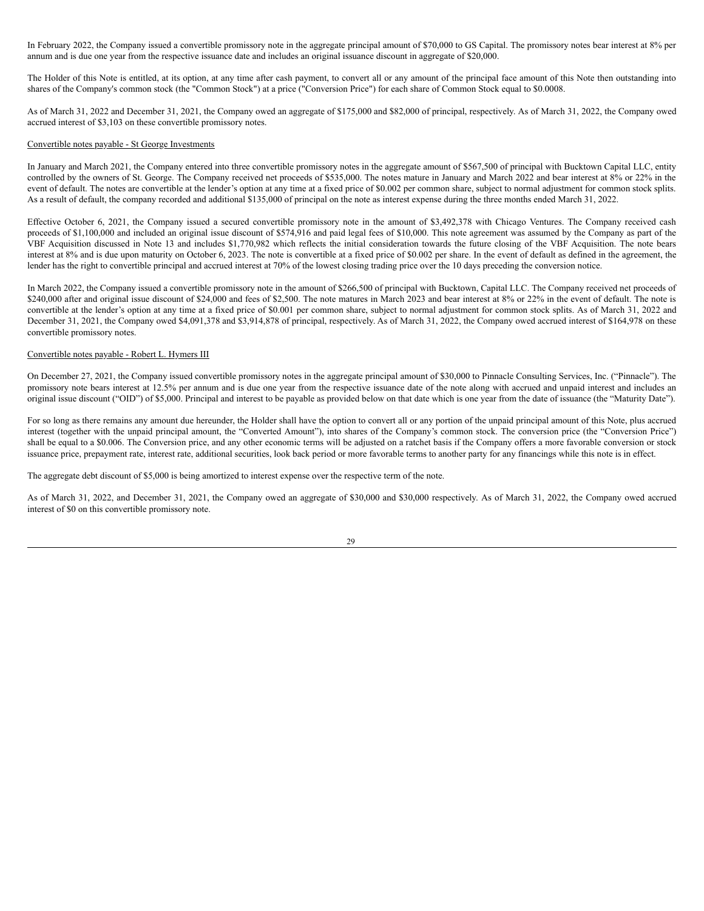In February 2022, the Company issued a convertible promissory note in the aggregate principal amount of \$70,000 to GS Capital. The promissory notes bear interest at 8% per annum and is due one year from the respective issuance date and includes an original issuance discount in aggregate of \$20,000.

The Holder of this Note is entitled, at its option, at any time after cash payment, to convert all or any amount of the principal face amount of this Note then outstanding into shares of the Company's common stock (the "Common Stock") at a price ("Conversion Price") for each share of Common Stock equal to \$0.0008.

As of March 31, 2022 and December 31, 2021, the Company owed an aggregate of \$175,000 and \$82,000 of principal, respectively. As of March 31, 2022, the Company owed accrued interest of \$3,103 on these convertible promissory notes.

# Convertible notes payable - St George Investments

In January and March 2021, the Company entered into three convertible promissory notes in the aggregate amount of \$567,500 of principal with Bucktown Capital LLC, entity controlled by the owners of St. George. The Company received net proceeds of \$535,000. The notes mature in January and March 2022 and bear interest at 8% or 22% in the event of default. The notes are convertible at the lender's option at any time at a fixed price of \$0.002 per common share, subject to normal adjustment for common stock splits. As a result of default, the company recorded and additional \$135,000 of principal on the note as interest expense during the three months ended March 31, 2022.

Effective October 6, 2021, the Company issued a secured convertible promissory note in the amount of \$3,492,378 with Chicago Ventures. The Company received cash proceeds of \$1,100,000 and included an original issue discount of \$574,916 and paid legal fees of \$10,000. This note agreement was assumed by the Company as part of the VBF Acquisition discussed in Note 13 and includes \$1,770,982 which reflects the initial consideration towards the future closing of the VBF Acquisition. The note bears interest at 8% and is due upon maturity on October 6, 2023. The note is convertible at a fixed price of \$0.002 per share. In the event of default as defined in the agreement, the lender has the right to convertible principal and accrued interest at 70% of the lowest closing trading price over the 10 days preceding the conversion notice.

In March 2022, the Company issued a convertible promissory note in the amount of \$266,500 of principal with Bucktown, Capital LLC. The Company received net proceeds of \$240,000 after and original issue discount of \$24,000 and fees of \$2,500. The note matures in March 2023 and bear interest at 8% or 22% in the event of default. The note is convertible at the lender's option at any time at a fixed price of \$0.001 per common share, subject to normal adjustment for common stock splits. As of March 31, 2022 and December 31, 2021, the Company owed \$4,091,378 and \$3,914,878 of principal, respectively. As of March 31, 2022, the Company owed accrued interest of \$164,978 on these convertible promissory notes.

# Convertible notes payable - Robert L. Hymers III

On December 27, 2021, the Company issued convertible promissory notes in the aggregate principal amount of \$30,000 to Pinnacle Consulting Services, Inc. ("Pinnacle"). The promissory note bears interest at 12.5% per annum and is due one year from the respective issuance date of the note along with accrued and unpaid interest and includes an original issue discount ("OID") of \$5,000. Principal and interest to be payable as provided below on that date which is one year from the date of issuance (the "Maturity Date").

For so long as there remains any amount due hereunder, the Holder shall have the option to convert all or any portion of the unpaid principal amount of this Note, plus accrued interest (together with the unpaid principal amount, the "Converted Amount"), into shares of the Company's common stock. The conversion price (the "Conversion Price") shall be equal to a \$0.006. The Conversion price, and any other economic terms will be adjusted on a ratchet basis if the Company offers a more favorable conversion or stock issuance price, prepayment rate, interest rate, additional securities, look back period or more favorable terms to another party for any financings while this note is in effect.

The aggregate debt discount of \$5,000 is being amortized to interest expense over the respective term of the note.

As of March 31, 2022, and December 31, 2021, the Company owed an aggregate of \$30,000 and \$30,000 respectively. As of March 31, 2022, the Company owed accrued interest of \$0 on this convertible promissory note.

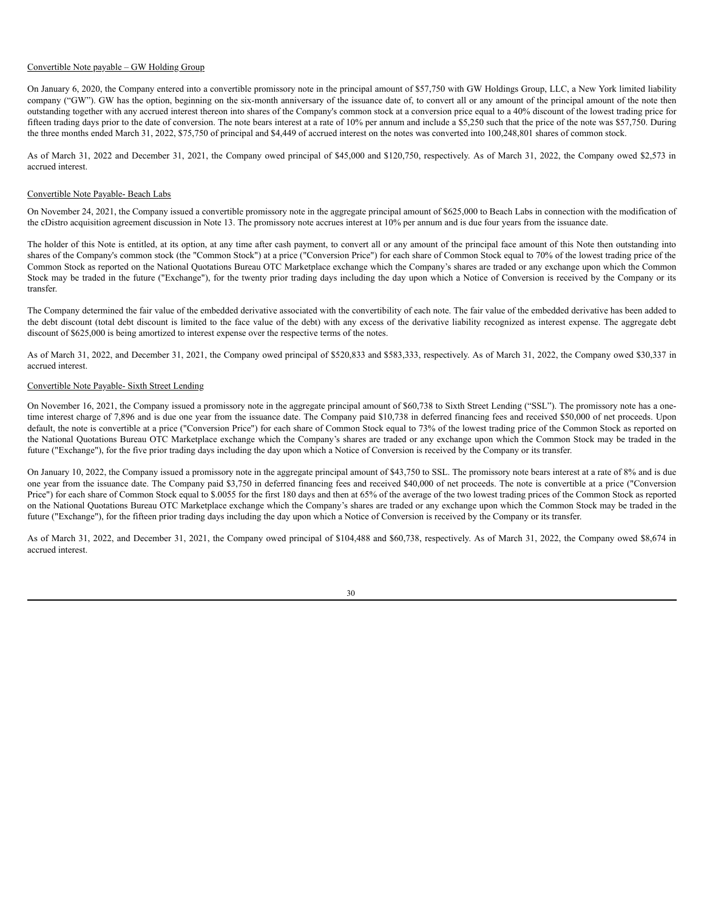# Convertible Note payable – GW Holding Group

On January 6, 2020, the Company entered into a convertible promissory note in the principal amount of \$57,750 with GW Holdings Group, LLC, a New York limited liability company ("GW"). GW has the option, beginning on the six-month anniversary of the issuance date of, to convert all or any amount of the principal amount of the note then outstanding together with any accrued interest thereon into shares of the Company's common stock at a conversion price equal to a 40% discount of the lowest trading price for fifteen trading days prior to the date of conversion. The note bears interest at a rate of 10% per annum and include a \$5,250 such that the price of the note was \$57,750. During the three months ended March 31, 2022, \$75,750 of principal and \$4,449 of accrued interest on the notes was converted into 100,248,801 shares of common stock.

As of March 31, 2022 and December 31, 2021, the Company owed principal of \$45,000 and \$120,750, respectively. As of March 31, 2022, the Company owed \$2,573 in accrued interest.

## Convertible Note Payable- Beach Labs

On November 24, 2021, the Company issued a convertible promissory note in the aggregate principal amount of \$625,000 to Beach Labs in connection with the modification of the cDistro acquisition agreement discussion in Note 13. The promissory note accrues interest at 10% per annum and is due four years from the issuance date.

The holder of this Note is entitled, at its option, at any time after cash payment, to convert all or any amount of the principal face amount of this Note then outstanding into shares of the Company's common stock (the "Common Stock") at a price ("Conversion Price") for each share of Common Stock equal to 70% of the lowest trading price of the Common Stock as reported on the National Quotations Bureau OTC Marketplace exchange which the Company's shares are traded or any exchange upon which the Common Stock may be traded in the future ("Exchange"), for the twenty prior trading days including the day upon which a Notice of Conversion is received by the Company or its transfer.

The Company determined the fair value of the embedded derivative associated with the convertibility of each note. The fair value of the embedded derivative has been added to the debt discount (total debt discount is limited to the face value of the debt) with any excess of the derivative liability recognized as interest expense. The aggregate debt discount of \$625,000 is being amortized to interest expense over the respective terms of the notes.

As of March 31, 2022, and December 31, 2021, the Company owed principal of \$520,833 and \$583,333, respectively. As of March 31, 2022, the Company owed \$30,337 in accrued interest.

# Convertible Note Payable- Sixth Street Lending

On November 16, 2021, the Company issued a promissory note in the aggregate principal amount of \$60,738 to Sixth Street Lending ("SSL"). The promissory note has a onetime interest charge of 7,896 and is due one year from the issuance date. The Company paid \$10,738 in deferred financing fees and received \$50,000 of net proceeds. Upon default, the note is convertible at a price ("Conversion Price") for each share of Common Stock equal to 73% of the lowest trading price of the Common Stock as reported on the National Quotations Bureau OTC Marketplace exchange which the Company's shares are traded or any exchange upon which the Common Stock may be traded in the future ("Exchange"), for the five prior trading days including the day upon which a Notice of Conversion is received by the Company or its transfer.

On January 10, 2022, the Company issued a promissory note in the aggregate principal amount of \$43,750 to SSL. The promissory note bears interest at a rate of 8% and is due one year from the issuance date. The Company paid \$3,750 in deferred financing fees and received \$40,000 of net proceeds. The note is convertible at a price ("Conversion Price") for each share of Common Stock equal to \$.0055 for the first 180 days and then at 65% of the average of the two lowest trading prices of the Common Stock as reported on the National Quotations Bureau OTC Marketplace exchange which the Company's shares are traded or any exchange upon which the Common Stock may be traded in the future ("Exchange"), for the fifteen prior trading days including the day upon which a Notice of Conversion is received by the Company or its transfer.

As of March 31, 2022, and December 31, 2021, the Company owed principal of \$104,488 and \$60,738, respectively. As of March 31, 2022, the Company owed \$8,674 in accrued interest.

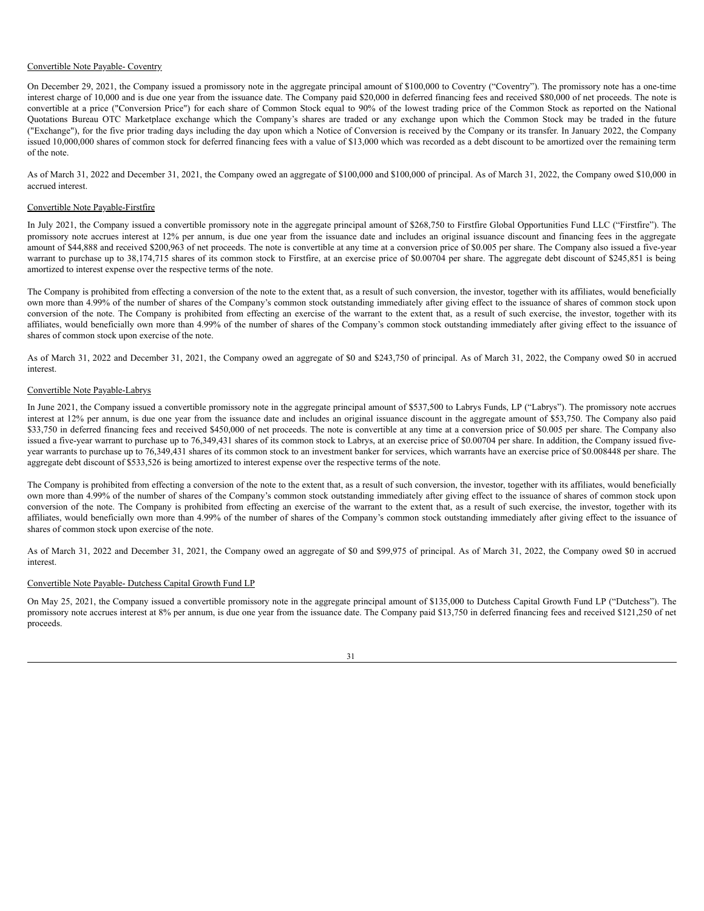# Convertible Note Payable- Coventry

On December 29, 2021, the Company issued a promissory note in the aggregate principal amount of \$100,000 to Coventry ("Coventry"). The promissory note has a one-time interest charge of 10,000 and is due one year from the issuance date. The Company paid \$20,000 in deferred financing fees and received \$80,000 of net proceeds. The note is convertible at a price ("Conversion Price") for each share of Common Stock equal to 90% of the lowest trading price of the Common Stock as reported on the National Quotations Bureau OTC Marketplace exchange which the Company's shares are traded or any exchange upon which the Common Stock may be traded in the future ("Exchange"), for the five prior trading days including the day upon which a Notice of Conversion is received by the Company or its transfer. In January 2022, the Company issued 10,000,000 shares of common stock for deferred financing fees with a value of \$13,000 which was recorded as a debt discount to be amortized over the remaining term of the note.

As of March 31, 2022 and December 31, 2021, the Company owed an aggregate of \$100,000 and \$100,000 of principal. As of March 31, 2022, the Company owed \$10,000 in accrued interest.

# Convertible Note Payable-Firstfire

In July 2021, the Company issued a convertible promissory note in the aggregate principal amount of \$268,750 to Firstfire Global Opportunities Fund LLC ("Firstfire"). The promissory note accrues interest at 12% per annum, is due one year from the issuance date and includes an original issuance discount and financing fees in the aggregate amount of \$44,888 and received \$200,963 of net proceeds. The note is convertible at any time at a conversion price of \$0.005 per share. The Company also issued a five-year warrant to purchase up to 38,174,715 shares of its common stock to Firstfire, at an exercise price of \$0.00704 per share. The aggregate debt discount of \$245,851 is being amortized to interest expense over the respective terms of the note.

The Company is prohibited from effecting a conversion of the note to the extent that, as a result of such conversion, the investor, together with its affiliates, would beneficially own more than 4.99% of the number of shares of the Company's common stock outstanding immediately after giving effect to the issuance of shares of common stock upon conversion of the note. The Company is prohibited from effecting an exercise of the warrant to the extent that, as a result of such exercise, the investor, together with its affiliates, would beneficially own more than 4.99% of the number of shares of the Company's common stock outstanding immediately after giving effect to the issuance of shares of common stock upon exercise of the note.

As of March 31, 2022 and December 31, 2021, the Company owed an aggregate of \$0 and \$243,750 of principal. As of March 31, 2022, the Company owed \$0 in accrued interest.

#### Convertible Note Payable-Labrys

In June 2021, the Company issued a convertible promissory note in the aggregate principal amount of \$537,500 to Labrys Funds, LP ("Labrys"). The promissory note accrues interest at 12% per annum, is due one year from the issuance date and includes an original issuance discount in the aggregate amount of \$53,750. The Company also paid \$33,750 in deferred financing fees and received \$450,000 of net proceeds. The note is convertible at any time at a conversion price of \$0.005 per share. The Company also issued a five-year warrant to purchase up to 76,349,431 shares of its common stock to Labrys, at an exercise price of \$0.00704 per share. In addition, the Company issued fiveyear warrants to purchase up to 76,349,431 shares of its common stock to an investment banker for services, which warrants have an exercise price of \$0.008448 per share. The aggregate debt discount of \$533,526 is being amortized to interest expense over the respective terms of the note.

The Company is prohibited from effecting a conversion of the note to the extent that, as a result of such conversion, the investor, together with its affiliates, would beneficially own more than 4.99% of the number of shares of the Company's common stock outstanding immediately after giving effect to the issuance of shares of common stock upon conversion of the note. The Company is prohibited from effecting an exercise of the warrant to the extent that, as a result of such exercise, the investor, together with its affiliates, would beneficially own more than 4.99% of the number of shares of the Company's common stock outstanding immediately after giving effect to the issuance of shares of common stock upon exercise of the note.

As of March 31, 2022 and December 31, 2021, the Company owed an aggregate of \$0 and \$99,975 of principal. As of March 31, 2022, the Company owed \$0 in accrued interest.

## Convertible Note Payable- Dutchess Capital Growth Fund LP

On May 25, 2021, the Company issued a convertible promissory note in the aggregate principal amount of \$135,000 to Dutchess Capital Growth Fund LP ("Dutchess"). The promissory note accrues interest at 8% per annum, is due one year from the issuance date. The Company paid \$13,750 in deferred financing fees and received \$121,250 of net proceeds.

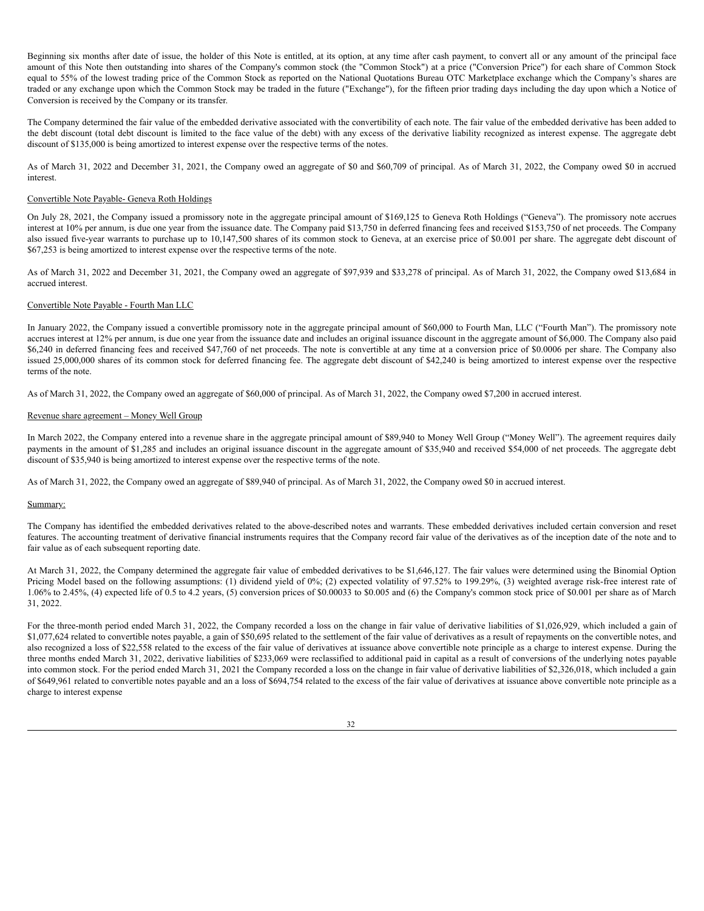Beginning six months after date of issue, the holder of this Note is entitled, at its option, at any time after cash payment, to convert all or any amount of the principal face amount of this Note then outstanding into shares of the Company's common stock (the "Common Stock") at a price ("Conversion Price") for each share of Common Stock equal to 55% of the lowest trading price of the Common Stock as reported on the National Quotations Bureau OTC Marketplace exchange which the Company's shares are traded or any exchange upon which the Common Stock may be traded in the future ("Exchange"), for the fifteen prior trading days including the day upon which a Notice of Conversion is received by the Company or its transfer.

The Company determined the fair value of the embedded derivative associated with the convertibility of each note. The fair value of the embedded derivative has been added to the debt discount (total debt discount is limited to the face value of the debt) with any excess of the derivative liability recognized as interest expense. The aggregate debt discount of \$135,000 is being amortized to interest expense over the respective terms of the notes.

As of March 31, 2022 and December 31, 2021, the Company owed an aggregate of \$0 and \$60,709 of principal. As of March 31, 2022, the Company owed \$0 in accrued interest.

# Convertible Note Payable- Geneva Roth Holdings

On July 28, 2021, the Company issued a promissory note in the aggregate principal amount of \$169,125 to Geneva Roth Holdings ("Geneva"). The promissory note accrues interest at 10% per annum, is due one year from the issuance date. The Company paid \$13,750 in deferred financing fees and received \$153,750 of net proceeds. The Company also issued five-year warrants to purchase up to 10,147,500 shares of its common stock to Geneva, at an exercise price of \$0.001 per share. The aggregate debt discount of \$67,253 is being amortized to interest expense over the respective terms of the note.

As of March 31, 2022 and December 31, 2021, the Company owed an aggregate of \$97,939 and \$33,278 of principal. As of March 31, 2022, the Company owed \$13,684 in accrued interest.

# Convertible Note Payable - Fourth Man LLC

In January 2022, the Company issued a convertible promissory note in the aggregate principal amount of \$60,000 to Fourth Man, LLC ("Fourth Man"). The promissory note accrues interest at 12% per annum, is due one year from the issuance date and includes an original issuance discount in the aggregate amount of \$6,000. The Company also paid \$6,240 in deferred financing fees and received \$47,760 of net proceeds. The note is convertible at any time at a conversion price of \$0.0006 per share. The Company also issued 25,000,000 shares of its common stock for deferred financing fee. The aggregate debt discount of \$42,240 is being amortized to interest expense over the respective terms of the note.

As of March 31, 2022, the Company owed an aggregate of \$60,000 of principal. As of March 31, 2022, the Company owed \$7,200 in accrued interest.

# Revenue share agreement – Money Well Group

In March 2022, the Company entered into a revenue share in the aggregate principal amount of \$89,940 to Money Well Group ("Money Well"). The agreement requires daily payments in the amount of \$1,285 and includes an original issuance discount in the aggregate amount of \$35,940 and received \$54,000 of net proceeds. The aggregate debt discount of \$35,940 is being amortized to interest expense over the respective terms of the note.

As of March 31, 2022, the Company owed an aggregate of \$89,940 of principal. As of March 31, 2022, the Company owed \$0 in accrued interest.

## Summary:

The Company has identified the embedded derivatives related to the above-described notes and warrants. These embedded derivatives included certain conversion and reset features. The accounting treatment of derivative financial instruments requires that the Company record fair value of the derivatives as of the inception date of the note and to fair value as of each subsequent reporting date.

At March 31, 2022, the Company determined the aggregate fair value of embedded derivatives to be \$1,646,127. The fair values were determined using the Binomial Option Pricing Model based on the following assumptions: (1) dividend yield of 0%; (2) expected volatility of 97.52% to 199.29%, (3) weighted average risk-free interest rate of  $1.06\%$  to  $2.45\%$ , (4) expected life of 0.5 to 4.2 years, (5) conversion prices of \$0.00033 to \$0.005 and (6) the Company's common stock price of \$0.001 per share as of March 31, 2022.

For the three-month period ended March 31, 2022, the Company recorded a loss on the change in fair value of derivative liabilities of \$1,026,929, which included a gain of \$1,077,624 related to convertible notes payable, a gain of \$50,695 related to the settlement of the fair value of derivatives as a result of repayments on the convertible notes, and also recognized a loss of \$22,558 related to the excess of the fair value of derivatives at issuance above convertible note principle as a charge to interest expense. During the three months ended March 31, 2022, derivative liabilities of \$233,069 were reclassified to additional paid in capital as a result of conversions of the underlying notes payable into common stock. For the period ended March 31, 2021 the Company recorded a loss on the change in fair value of derivative liabilities of \$2,326,018, which included a gain of \$649,961 related to convertible notes payable and an a loss of \$694,754 related to the excess of the fair value of derivatives at issuance above convertible note principle as a charge to interest expense

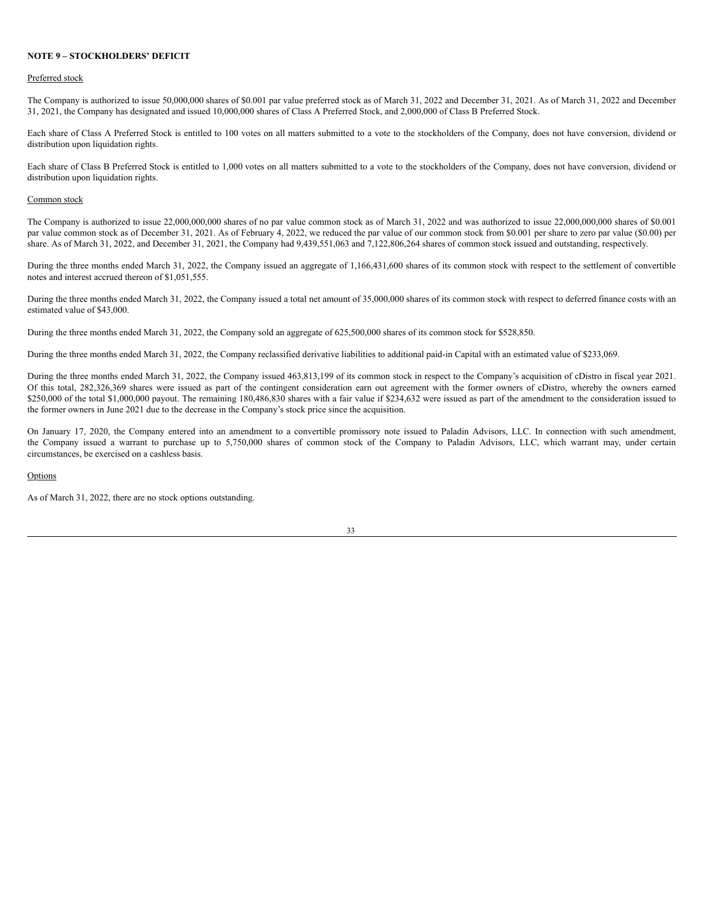# **NOTE 9 – STOCKHOLDERS' DEFICIT**

#### Preferred stock

The Company is authorized to issue 50,000,000 shares of \$0.001 par value preferred stock as of March 31, 2022 and December 31, 2021. As of March 31, 2022 and December 31, 2021, the Company has designated and issued 10,000,000 shares of Class A Preferred Stock, and 2,000,000 of Class B Preferred Stock.

Each share of Class A Preferred Stock is entitled to 100 votes on all matters submitted to a vote to the stockholders of the Company, does not have conversion, dividend or distribution upon liquidation rights.

Each share of Class B Preferred Stock is entitled to 1,000 votes on all matters submitted to a vote to the stockholders of the Company, does not have conversion, dividend or distribution upon liquidation rights.

#### Common stock

The Company is authorized to issue 22,000,000,000 shares of no par value common stock as of March 31, 2022 and was authorized to issue 22,000,000,000 shares of \$0.001 par value common stock as of December 31, 2021. As of February 4, 2022, we reduced the par value of our common stock from \$0.001 per share to zero par value (\$0.00) per share. As of March 31, 2022, and December 31, 2021, the Company had 9,439,551,063 and 7,122,806,264 shares of common stock issued and outstanding, respectively.

During the three months ended March 31, 2022, the Company issued an aggregate of 1,166,431,600 shares of its common stock with respect to the settlement of convertible notes and interest accrued thereon of \$1,051,555.

During the three months ended March 31, 2022, the Company issued a total net amount of 35,000,000 shares of its common stock with respect to deferred finance costs with an estimated value of \$43,000.

During the three months ended March 31, 2022, the Company sold an aggregate of 625,500,000 shares of its common stock for \$528,850.

During the three months ended March 31, 2022, the Company reclassified derivative liabilities to additional paid-in Capital with an estimated value of \$233,069.

During the three months ended March 31, 2022, the Company issued 463,813,199 of its common stock in respect to the Company's acquisition of cDistro in fiscal year 2021. Of this total, 282,326,369 shares were issued as part of the contingent consideration earn out agreement with the former owners of cDistro, whereby the owners earned \$250,000 of the total \$1,000,000 payout. The remaining 180,486,830 shares with a fair value if \$234,632 were issued as part of the amendment to the consideration issued to the former owners in June 2021 due to the decrease in the Company's stock price since the acquisition.

On January 17, 2020, the Company entered into an amendment to a convertible promissory note issued to Paladin Advisors, LLC. In connection with such amendment, the Company issued a warrant to purchase up to 5,750,000 shares of common stock of the Company to Paladin Advisors, LLC, which warrant may, under certain circumstances, be exercised on a cashless basis.

#### **Options**

As of March 31, 2022, there are no stock options outstanding.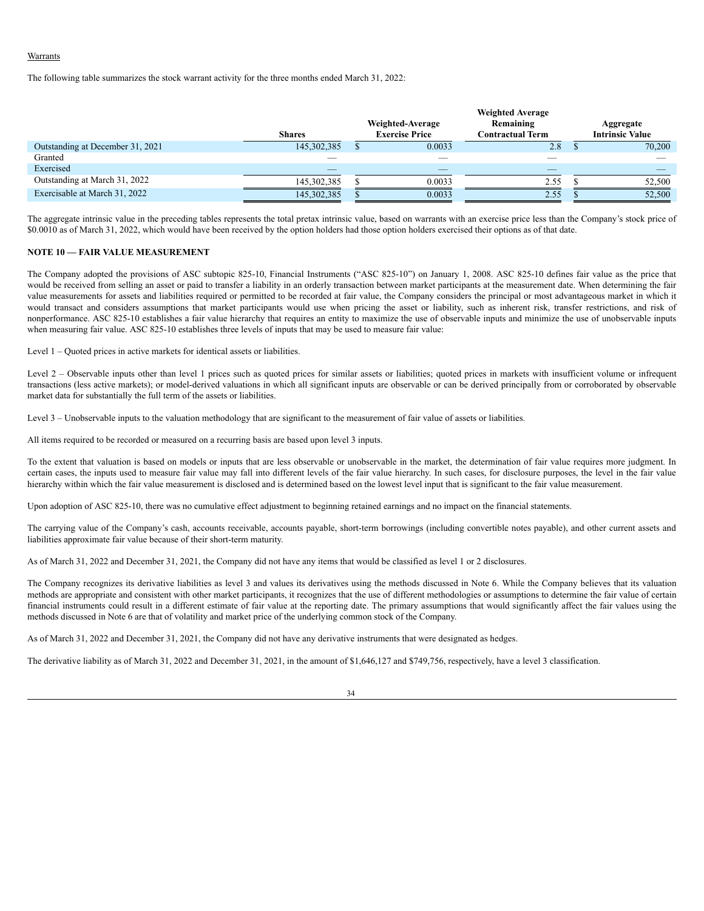# Warrants

The following table summarizes the stock warrant activity for the three months ended March 31, 2022:

|                                  |               |                       | <b>Weighted Average</b> |                        |
|----------------------------------|---------------|-----------------------|-------------------------|------------------------|
|                                  |               | Weighted-Average      | Remaining               | Aggregate              |
|                                  | <b>Shares</b> | <b>Exercise Price</b> | <b>Contractual Term</b> | <b>Intrinsic Value</b> |
| Outstanding at December 31, 2021 | 145, 302, 385 | 0.0033                | 2.8                     | 70,200                 |
| Granted                          |               |                       |                         |                        |
| Exercised                        |               |                       |                         |                        |
| Outstanding at March 31, 2022    | 145,302,385   | 0.0033                | 2.55                    | 52.500                 |
| Exercisable at March 31, 2022    | 145, 302, 385 | 0.0033                | 2.55                    | 52,500                 |

The aggregate intrinsic value in the preceding tables represents the total pretax intrinsic value, based on warrants with an exercise price less than the Company's stock price of \$0.0010 as of March 31, 2022, which would have been received by the option holders had those option holders exercised their options as of that date.

# **NOTE 10 — FAIR VALUE MEASUREMENT**

The Company adopted the provisions of ASC subtopic 825-10, Financial Instruments ("ASC 825-10") on January 1, 2008. ASC 825-10 defines fair value as the price that would be received from selling an asset or paid to transfer a liability in an orderly transaction between market participants at the measurement date. When determining the fair value measurements for assets and liabilities required or permitted to be recorded at fair value, the Company considers the principal or most advantageous market in which it would transact and considers assumptions that market participants would use when pricing the asset or liability, such as inherent risk, transfer restrictions, and risk of nonperformance. ASC 825-10 establishes a fair value hierarchy that requires an entity to maximize the use of observable inputs and minimize the use of unobservable inputs when measuring fair value. ASC 825-10 establishes three levels of inputs that may be used to measure fair value:

Level 1 – Quoted prices in active markets for identical assets or liabilities.

Level 2 – Observable inputs other than level 1 prices such as quoted prices for similar assets or liabilities; quoted prices in markets with insufficient volume or infrequent transactions (less active markets); or model-derived valuations in which all significant inputs are observable or can be derived principally from or corroborated by observable market data for substantially the full term of the assets or liabilities.

Level 3 – Unobservable inputs to the valuation methodology that are significant to the measurement of fair value of assets or liabilities.

All items required to be recorded or measured on a recurring basis are based upon level 3 inputs.

To the extent that valuation is based on models or inputs that are less observable or unobservable in the market, the determination of fair value requires more judgment. In certain cases, the inputs used to measure fair value may fall into different levels of the fair value hierarchy. In such cases, for disclosure purposes, the level in the fair value hierarchy within which the fair value measurement is disclosed and is determined based on the lowest level input that is significant to the fair value measurement.

Upon adoption of ASC 825-10, there was no cumulative effect adjustment to beginning retained earnings and no impact on the financial statements.

The carrying value of the Company's cash, accounts receivable, accounts payable, short-term borrowings (including convertible notes payable), and other current assets and liabilities approximate fair value because of their short-term maturity.

As of March 31, 2022 and December 31, 2021, the Company did not have any items that would be classified as level 1 or 2 disclosures.

The Company recognizes its derivative liabilities as level 3 and values its derivatives using the methods discussed in Note 6. While the Company believes that its valuation methods are appropriate and consistent with other market participants, it recognizes that the use of different methodologies or assumptions to determine the fair value of certain financial instruments could result in a different estimate of fair value at the reporting date. The primary assumptions that would significantly affect the fair values using the methods discussed in Note 6 are that of volatility and market price of the underlying common stock of the Company.

As of March 31, 2022 and December 31, 2021, the Company did not have any derivative instruments that were designated as hedges.

The derivative liability as of March 31, 2022 and December 31, 2021, in the amount of \$1,646,127 and \$749,756, respectively, have a level 3 classification.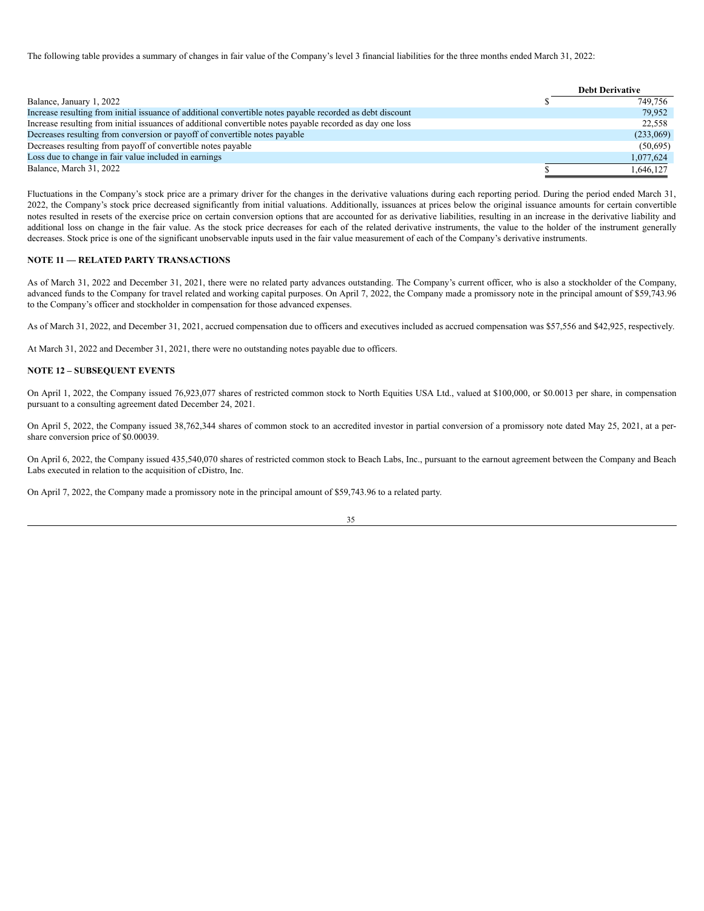The following table provides a summary of changes in fair value of the Company's level 3 financial liabilities for the three months ended March 31, 2022:

|                                                                                                            | <b>Debt Derivative</b> |
|------------------------------------------------------------------------------------------------------------|------------------------|
| Balance, January 1, 2022                                                                                   | 749.756                |
| Increase resulting from initial issuance of additional convertible notes payable recorded as debt discount | 79.952                 |
| Increase resulting from initial issuances of additional convertible notes payable recorded as day one loss | 22,558                 |
| Decreases resulting from conversion or payoff of convertible notes payable                                 | (233,069)              |
| Decreases resulting from payoff of convertible notes payable                                               | (50,695)               |
| Loss due to change in fair value included in earnings                                                      | 1,077,624              |
| Balance, March 31, 2022                                                                                    | 1,646,127              |

Fluctuations in the Company's stock price are a primary driver for the changes in the derivative valuations during each reporting period. During the period ended March 31, 2022, the Company's stock price decreased significantly from initial valuations. Additionally, issuances at prices below the original issuance amounts for certain convertible notes resulted in resets of the exercise price on certain conversion options that are accounted for as derivative liabilities, resulting in an increase in the derivative liability and additional loss on change in the fair value. As the stock price decreases for each of the related derivative instruments, the value to the holder of the instrument generally decreases. Stock price is one of the significant unobservable inputs used in the fair value measurement of each of the Company's derivative instruments.

# **NOTE 11 — RELATED PARTY TRANSACTIONS**

As of March 31, 2022 and December 31, 2021, there were no related party advances outstanding. The Company's current officer, who is also a stockholder of the Company, advanced funds to the Company for travel related and working capital purposes. On April 7, 2022, the Company made a promissory note in the principal amount of \$59,743.96 to the Company's officer and stockholder in compensation for those advanced expenses.

As of March 31, 2022, and December 31, 2021, accrued compensation due to officers and executives included as accrued compensation was \$57,556 and \$42,925, respectively.

At March 31, 2022 and December 31, 2021, there were no outstanding notes payable due to officers.

## **NOTE 12 – SUBSEQUENT EVENTS**

On April 1, 2022, the Company issued 76,923,077 shares of restricted common stock to North Equities USA Ltd., valued at \$100,000, or \$0.0013 per share, in compensation pursuant to a consulting agreement dated December 24, 2021.

On April 5, 2022, the Company issued 38,762,344 shares of common stock to an accredited investor in partial conversion of a promissory note dated May 25, 2021, at a pershare conversion price of \$0.00039.

On April 6, 2022, the Company issued 435,540,070 shares of restricted common stock to Beach Labs, Inc., pursuant to the earnout agreement between the Company and Beach Labs executed in relation to the acquisition of cDistro, Inc.

On April 7, 2022, the Company made a promissory note in the principal amount of \$59,743.96 to a related party.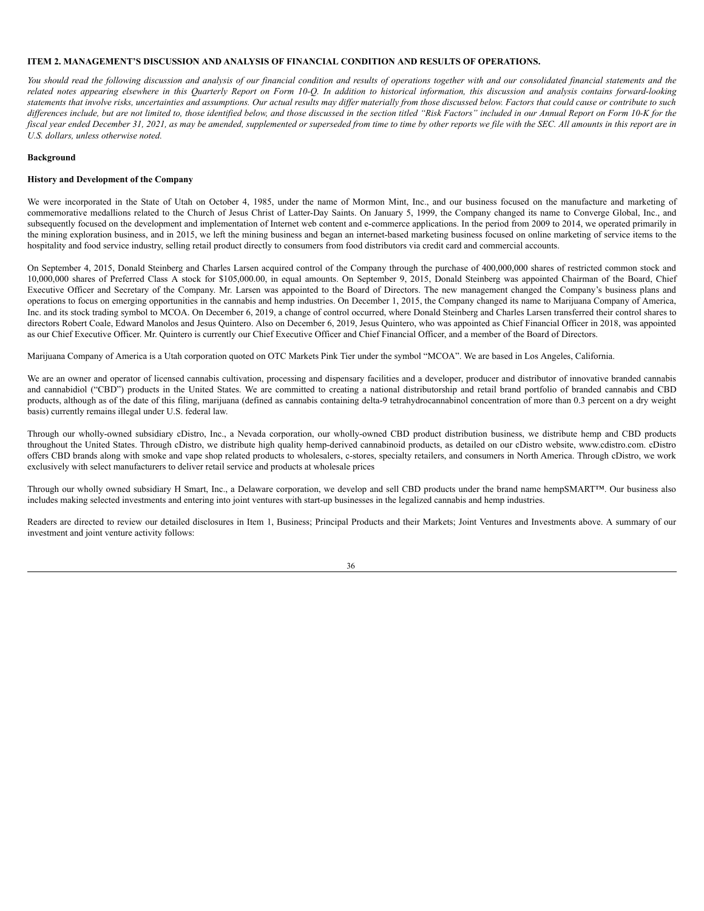# <span id="page-35-0"></span>**ITEM 2. MANAGEMENT'S DISCUSSION AND ANALYSIS OF FINANCIAL CONDITION AND RESULTS OF OPERATIONS.**

You should read the following discussion and analysis of our financial condition and results of operations together with and our consolidated financial statements and the related notes appearing elsewhere in this Ouarterly Report on Form 10-O. In addition to historical information, this discussion and analysis contains forward-looking statements that involve risks, uncertainties and assumptions. Our actual results may differ materially from those discussed below. Factors that could cause or contribute to such differences include, but are not limited to, those identified below, and those discussed in the section titled "Risk Factors" included in our Annual Report on Form 10-K for the fiscal year ended December 31, 2021, as may be amended, supplemented or superseded from time to time by other reports we file with the SEC. All amounts in this report are in *U.S. dollars, unless otherwise noted.*

## **Background**

## **History and Development of the Company**

We were incorporated in the State of Utah on October 4, 1985, under the name of Mormon Mint, Inc., and our business focused on the manufacture and marketing of commemorative medallions related to the Church of Jesus Christ of Latter-Day Saints. On January 5, 1999, the Company changed its name to Converge Global, Inc., and subsequently focused on the development and implementation of Internet web content and e-commerce applications. In the period from 2009 to 2014, we operated primarily in the mining exploration business, and in 2015, we left the mining business and began an internet-based marketing business focused on online marketing of service items to the hospitality and food service industry, selling retail product directly to consumers from food distributors via credit card and commercial accounts.

On September 4, 2015, Donald Steinberg and Charles Larsen acquired control of the Company through the purchase of 400,000,000 shares of restricted common stock and 10,000,000 shares of Preferred Class A stock for \$105,000.00, in equal amounts. On September 9, 2015, Donald Steinberg was appointed Chairman of the Board, Chief Executive Officer and Secretary of the Company. Mr. Larsen was appointed to the Board of Directors. The new management changed the Company's business plans and operations to focus on emerging opportunities in the cannabis and hemp industries. On December 1, 2015, the Company changed its name to Marijuana Company of America, Inc. and its stock trading symbol to MCOA. On December 6, 2019, a change of control occurred, where Donald Steinberg and Charles Larsen transferred their control shares to directors Robert Coale, Edward Manolos and Jesus Quintero. Also on December 6, 2019, Jesus Quintero, who was appointed as Chief Financial Officer in 2018, was appointed as our Chief Executive Officer. Mr. Quintero is currently our Chief Executive Officer and Chief Financial Officer, and a member of the Board of Directors.

Marijuana Company of America is a Utah corporation quoted on OTC Markets Pink Tier under the symbol "MCOA". We are based in Los Angeles, California.

We are an owner and operator of licensed cannabis cultivation, processing and dispensary facilities and a developer, producer and distributor of innovative branded cannabis and cannabidiol ("CBD") products in the United States. We are committed to creating a national distributorship and retail brand portfolio of branded cannabis and CBD products, although as of the date of this filing, marijuana (defined as cannabis containing delta-9 tetrahydrocannabinol concentration of more than 0.3 percent on a dry weight basis) currently remains illegal under U.S. federal law.

Through our wholly-owned subsidiary cDistro, Inc., a Nevada corporation, our wholly-owned CBD product distribution business, we distribute hemp and CBD products throughout the United States. Through cDistro, we distribute high quality hemp-derived cannabinoid products, as detailed on our cDistro website, www.cdistro.com. cDistro offers CBD brands along with smoke and vape shop related products to wholesalers, c-stores, specialty retailers, and consumers in North America. Through cDistro, we work exclusively with select manufacturers to deliver retail service and products at wholesale prices

Through our wholly owned subsidiary H Smart, Inc., a Delaware corporation, we develop and sell CBD products under the brand name hempSMART™. Our business also includes making selected investments and entering into joint ventures with start-up businesses in the legalized cannabis and hemp industries.

Readers are directed to review our detailed disclosures in Item 1, Business; Principal Products and their Markets; Joint Ventures and Investments above. A summary of our investment and joint venture activity follows:

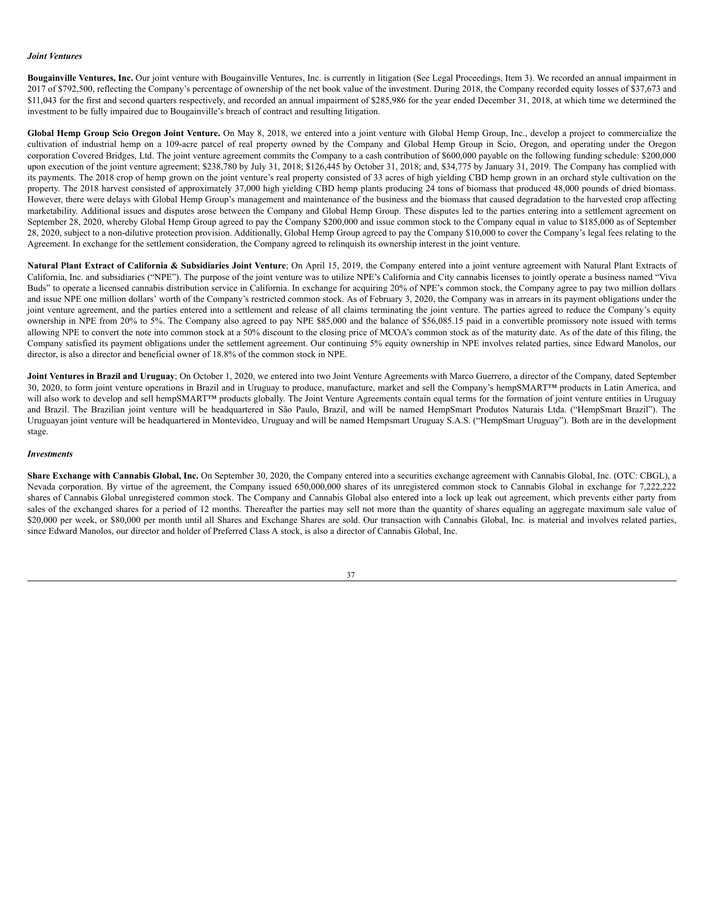#### *Joint Ventures*

**Bougainville Ventures, Inc.** Our joint venture with Bougainville Ventures, Inc. is currently in litigation (See Legal Proceedings, Item 3). We recorded an annual impairment in 2017 of \$792,500, reflecting the Company's percentage of ownership of the net book value of the investment. During 2018, the Company recorded equity losses of \$37,673 and \$11,043 for the first and second quarters respectively, and recorded an annual impairment of \$285,986 for the year ended December 31, 2018, at which time we determined the investment to be fully impaired due to Bougainville's breach of contract and resulting litigation.

**Global Hemp Group Scio Oregon Joint Venture.** On May 8, 2018, we entered into a joint venture with Global Hemp Group, Inc., develop a project to commercialize the cultivation of industrial hemp on a 109-acre parcel of real property owned by the Company and Global Hemp Group in Scio, Oregon, and operating under the Oregon corporation Covered Bridges, Ltd. The joint venture agreement commits the Company to a cash contribution of \$600,000 payable on the following funding schedule: \$200,000 upon execution of the joint venture agreement; \$238,780 by July 31, 2018; \$126,445 by October 31, 2018; and, \$34,775 by January 31, 2019. The Company has complied with its payments. The 2018 crop of hemp grown on the joint venture's real property consisted of 33 acres of high yielding CBD hemp grown in an orchard style cultivation on the property. The 2018 harvest consisted of approximately 37,000 high yielding CBD hemp plants producing 24 tons of biomass that produced 48,000 pounds of dried biomass. However, there were delays with Global Hemp Group's management and maintenance of the business and the biomass that caused degradation to the harvested crop affecting marketability. Additional issues and disputes arose between the Company and Global Hemp Group. These disputes led to the parties entering into a settlement agreement on September 28, 2020, whereby Global Hemp Group agreed to pay the Company \$200,000 and issue common stock to the Company equal in value to \$185,000 as of September 28, 2020, subject to a non-dilutive protection provision. Additionally, Global Hemp Group agreed to pay the Company \$10,000 to cover the Company's legal fees relating to the Agreement. In exchange for the settlement consideration, the Company agreed to relinquish its ownership interest in the joint venture.

Natural Plant Extract of California & Subsidiaries Joint Venture; On April 15, 2019, the Company entered into a joint venture agreement with Natural Plant Extracts of California, Inc. and subsidiaries ("NPE"). The purpose of the joint venture was to utilize NPE's California and City cannabis licenses to jointly operate a business named "Viva Buds" to operate a licensed cannabis distribution service in California. In exchange for acquiring 20% of NPE's common stock, the Company agree to pay two million dollars and issue NPE one million dollars' worth of the Company's restricted common stock. As of February 3, 2020, the Company was in arrears in its payment obligations under the joint venture agreement, and the parties entered into a settlement and release of all claims terminating the joint venture. The parties agreed to reduce the Company's equity ownership in NPE from 20% to 5%. The Company also agreed to pay NPE \$85,000 and the balance of \$56,085.15 paid in a convertible promissory note issued with terms allowing NPE to convert the note into common stock at a 50% discount to the closing price of MCOA's common stock as of the maturity date. As of the date of this filing, the Company satisfied its payment obligations under the settlement agreement. Our continuing 5% equity ownership in NPE involves related parties, since Edward Manolos, our director, is also a director and beneficial owner of 18.8% of the common stock in NPE.

**Joint Ventures in Brazil and Uruguay**; On October 1, 2020, we entered into two Joint Venture Agreements with Marco Guerrero, a director of the Company, dated September 30, 2020, to form joint venture operations in Brazil and in Uruguay to produce, manufacture, market and sell the Company's hempSMART™ products in Latin America, and will also work to develop and sell hempSMART<sup>™</sup> products globally. The Joint Venture Agreements contain equal terms for the formation of joint venture entities in Uruguay and Brazil. The Brazilian joint venture will be headquartered in São Paulo, Brazil, and will be named HempSmart Produtos Naturais Ltda. ("HempSmart Brazil"). The Uruguayan joint venture will be headquartered in Montevideo, Uruguay and will be named Hempsmart Uruguay S.A.S. ("HempSmart Uruguay"). Both are in the development stage.

#### *Investments*

**Share Exchange with Cannabis Global, Inc.** On September 30, 2020, the Company entered into a securities exchange agreement with Cannabis Global, Inc. (OTC: CBGL), a Nevada corporation. By virtue of the agreement, the Company issued 650,000,000 shares of its unregistered common stock to Cannabis Global in exchange for 7,222,222 shares of Cannabis Global unregistered common stock. The Company and Cannabis Global also entered into a lock up leak out agreement, which prevents either party from sales of the exchanged shares for a period of 12 months. Thereafter the parties may sell not more than the quantity of shares equaling an aggregate maximum sale value of \$20,000 per week, or \$80,000 per month until all Shares and Exchange Shares are sold. Our transaction with Cannabis Global, Inc. is material and involves related parties, since Edward Manolos, our director and holder of Preferred Class A stock, is also a director of Cannabis Global, Inc.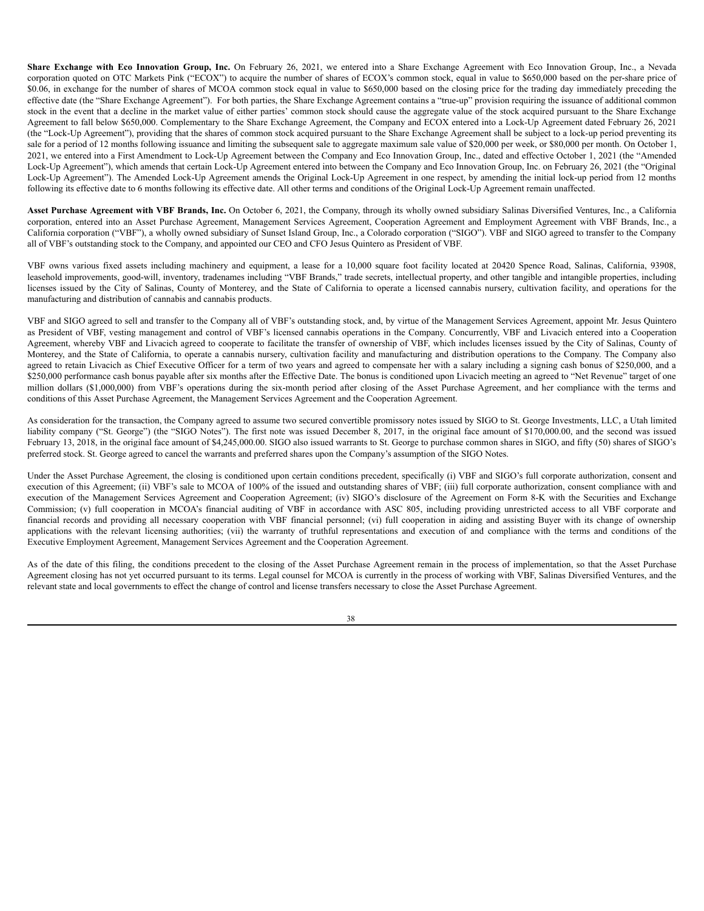**Share Exchange with Eco Innovation Group, Inc.** On February 26, 2021, we entered into a Share Exchange Agreement with Eco Innovation Group, Inc., a Nevada corporation quoted on OTC Markets Pink ("ECOX") to acquire the number of shares of ECOX's common stock, equal in value to \$650,000 based on the per-share price of \$0.06, in exchange for the number of shares of MCOA common stock equal in value to \$650,000 based on the closing price for the trading day immediately preceding the effective date (the "Share Exchange Agreement"). For both parties, the Share Exchange Agreement contains a "true-up" provision requiring the issuance of additional common stock in the event that a decline in the market value of either parties' common stock should cause the aggregate value of the stock acquired pursuant to the Share Exchange Agreement to fall below \$650,000. Complementary to the Share Exchange Agreement, the Company and ECOX entered into a Lock-Up Agreement dated February 26, 2021 (the "Lock-Up Agreement"), providing that the shares of common stock acquired pursuant to the Share Exchange Agreement shall be subject to a lock-up period preventing its sale for a period of 12 months following issuance and limiting the subsequent sale to aggregate maximum sale value of \$20,000 per week, or \$80,000 per month. On October 1, 2021, we entered into a First Amendment to Lock-Up Agreement between the Company and Eco Innovation Group, Inc., dated and effective October 1, 2021 (the "Amended Lock-Up Agreement"), which amends that certain Lock-Up Agreement entered into between the Company and Eco Innovation Group, Inc. on February 26, 2021 (the "Original Lock-Up Agreement"). The Amended Lock-Up Agreement amends the Original Lock-Up Agreement in one respect, by amending the initial lock-up period from 12 months following its effective date to 6 months following its effective date. All other terms and conditions of the Original Lock-Up Agreement remain unaffected.

**Asset Purchase Agreement with VBF Brands, Inc.** On October 6, 2021, the Company, through its wholly owned subsidiary Salinas Diversified Ventures, Inc., a California corporation, entered into an Asset Purchase Agreement, Management Services Agreement, Cooperation Agreement and Employment Agreement with VBF Brands, Inc., a California corporation ("VBF"), a wholly owned subsidiary of Sunset Island Group, Inc., a Colorado corporation ("SIGO"). VBF and SIGO agreed to transfer to the Company all of VBF's outstanding stock to the Company, and appointed our CEO and CFO Jesus Quintero as President of VBF.

VBF owns various fixed assets including machinery and equipment, a lease for a 10,000 square foot facility located at 20420 Spence Road, Salinas, California, 93908, leasehold improvements, good-will, inventory, tradenames including "VBF Brands," trade secrets, intellectual property, and other tangible and intangible properties, including licenses issued by the City of Salinas, County of Monterey, and the State of California to operate a licensed cannabis nursery, cultivation facility, and operations for the manufacturing and distribution of cannabis and cannabis products.

VBF and SIGO agreed to sell and transfer to the Company all of VBF's outstanding stock, and, by virtue of the Management Services Agreement, appoint Mr. Jesus Quintero as President of VBF, vesting management and control of VBF's licensed cannabis operations in the Company. Concurrently, VBF and Livacich entered into a Cooperation Agreement, whereby VBF and Livacich agreed to cooperate to facilitate the transfer of ownership of VBF, which includes licenses issued by the City of Salinas, County of Monterey, and the State of California, to operate a cannabis nursery, cultivation facility and manufacturing and distribution operations to the Company. The Company also agreed to retain Livacich as Chief Executive Officer for a term of two years and agreed to compensate her with a salary including a signing cash bonus of \$250,000, and a \$250,000 performance cash bonus payable after six months after the Effective Date. The bonus is conditioned upon Livacich meeting an agreed to "Net Revenue" target of one million dollars (\$1,000,000) from VBF's operations during the six-month period after closing of the Asset Purchase Agreement, and her compliance with the terms and conditions of this Asset Purchase Agreement, the Management Services Agreement and the Cooperation Agreement.

As consideration for the transaction, the Company agreed to assume two secured convertible promissory notes issued by SIGO to St. George Investments, LLC, a Utah limited liability company ("St. George") (the "SIGO Notes"). The first note was issued December 8, 2017, in the original face amount of \$170,000.00, and the second was issued February 13, 2018, in the original face amount of \$4,245,000.00. SIGO also issued warrants to St. George to purchase common shares in SIGO, and fifty (50) shares of SIGO's preferred stock. St. George agreed to cancel the warrants and preferred shares upon the Company's assumption of the SIGO Notes.

Under the Asset Purchase Agreement, the closing is conditioned upon certain conditions precedent, specifically (i) VBF and SIGO's full corporate authorization, consent and execution of this Agreement; (ii) VBF's sale to MCOA of 100% of the issued and outstanding shares of VBF; (iii) full corporate authorization, consent compliance with and execution of the Management Services Agreement and Cooperation Agreement; (iv) SIGO's disclosure of the Agreement on Form 8-K with the Securities and Exchange Commission; (v) full cooperation in MCOA's financial auditing of VBF in accordance with ASC 805, including providing unrestricted access to all VBF corporate and financial records and providing all necessary cooperation with VBF financial personnel; (vi) full cooperation in aiding and assisting Buyer with its change of ownership applications with the relevant licensing authorities; (vii) the warranty of truthful representations and execution of and compliance with the terms and conditions of the Executive Employment Agreement, Management Services Agreement and the Cooperation Agreement.

As of the date of this filing, the conditions precedent to the closing of the Asset Purchase Agreement remain in the process of implementation, so that the Asset Purchase Agreement closing has not yet occurred pursuant to its terms. Legal counsel for MCOA is currently in the process of working with VBF, Salinas Diversified Ventures, and the relevant state and local governments to effect the change of control and license transfers necessary to close the Asset Purchase Agreement.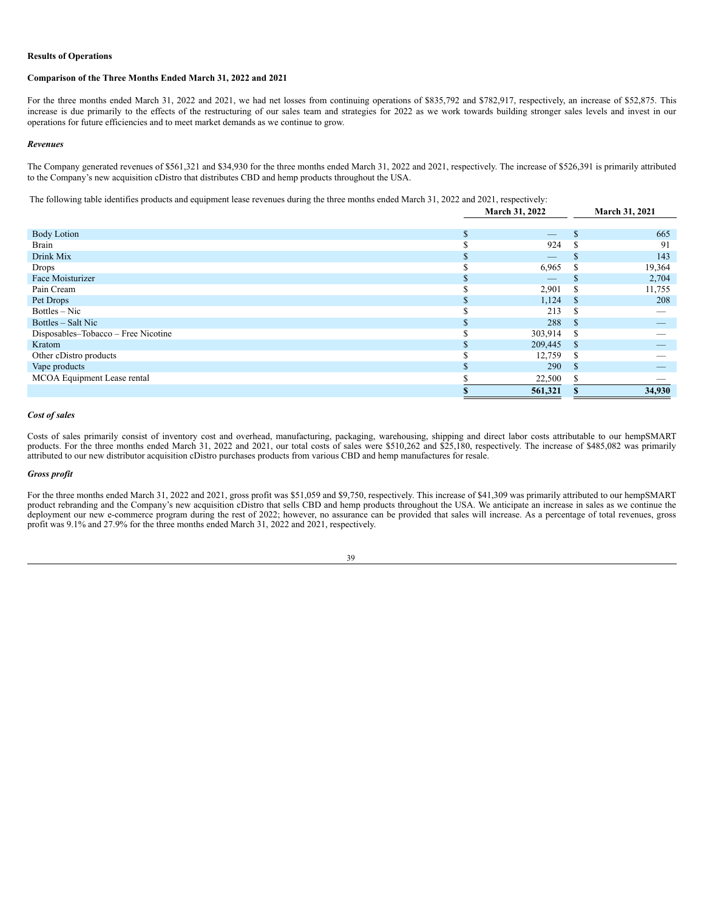## **Results of Operations**

# **Comparison of the Three Months Ended March 31, 2022 and 2021**

For the three months ended March 31, 2022 and 2021, we had net losses from continuing operations of \$835,792 and \$782,917, respectively, an increase of \$52,875. This increase is due primarily to the effects of the restructuring of our sales team and strategies for 2022 as we work towards building stronger sales levels and invest in our operations for future efficiencies and to meet market demands as we continue to grow.

#### *Revenues*

The Company generated revenues of \$561,321 and \$34,930 for the three months ended March 31, 2022 and 2021, respectively. The increase of \$526,391 is primarily attributed to the Company's new acquisition cDistro that distributes CBD and hemp products throughout the USA.

The following table identifies products and equipment lease revenues during the three months ended March 31, 2022 and 2021, respectively:

|                                     |    | March 31, 2022 |              | <b>March 31, 2021</b> |  |  |
|-------------------------------------|----|----------------|--------------|-----------------------|--|--|
|                                     |    |                |              |                       |  |  |
| <b>Body Lotion</b>                  | S  |                | <b>S</b>     | 665                   |  |  |
| Brain                               |    | 924            | S            | 91                    |  |  |
| Drink Mix                           |    |                |              | 143                   |  |  |
| <b>Drops</b>                        |    | 6,965          | S.           | 19,364                |  |  |
| Face Moisturizer                    | .D |                |              | 2,704                 |  |  |
| Pain Cream                          |    | 2,901          | S            | 11,755                |  |  |
| Pet Drops                           |    | 1,124          | <sup>S</sup> | 208                   |  |  |
| $Bottles-Nic$                       |    | 213            | \$.          |                       |  |  |
| Bottles – Salt Nic                  |    | 288            | S            |                       |  |  |
| Disposables-Tobacco - Free Nicotine |    | 303,914        | S            |                       |  |  |
| Kratom                              | a. | 209,445        | -S           |                       |  |  |
| Other cDistro products              |    | 12,759         | S            |                       |  |  |
| Vape products                       |    | 290            | S            |                       |  |  |
| MCOA Equipment Lease rental         |    | 22,500         | £.           |                       |  |  |
|                                     |    | 561,321        |              | 34,930                |  |  |

# *Cost of sales*

Costs of sales primarily consist of inventory cost and overhead, manufacturing, packaging, warehousing, shipping and direct labor costs attributable to our hempSMART products. For the three months ended March 31, 2022 and 2021, our total costs of sales were \$510,262 and \$25,180, respectively. The increase of \$485,082 was primarily attributed to our new distributor acquisition cDistro purchases products from various CBD and hemp manufactures for resale.

# *Gross profit*

For the three months ended March 31, 2022 and 2021, gross profit was \$51,059 and \$9,750, respectively. This increase of \$41,309 was primarily attributed to our hempSMART product rebranding and the Company's new acquisition cDistro that sells CBD and hemp products throughout the USA. We anticipate an increase in sales as we continue the deployment our new e-commerce program during the rest of 2022; however, no assurance can be provided that sales will increase. As a percentage of total revenues, gross profit was 9.1% and 27.9% for the three months ended March 31, 2022 and 2021, respectively.

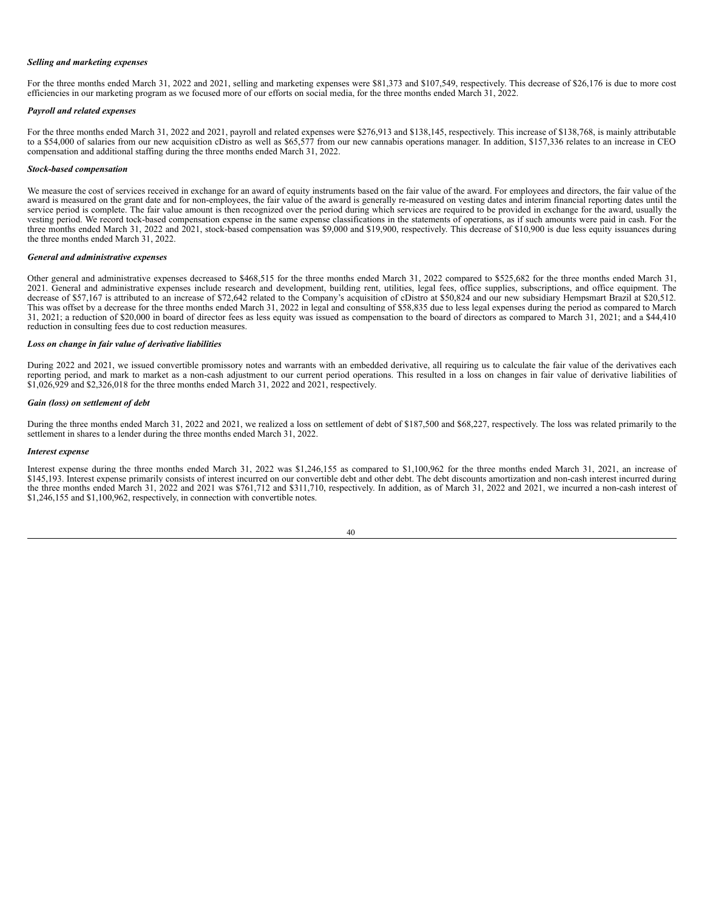#### *Selling and marketing expenses*

For the three months ended March 31, 2022 and 2021, selling and marketing expenses were \$81,373 and \$107,549, respectively. This decrease of \$26,176 is due to more cost efficiencies in our marketing program as we focused more of our efforts on social media, for the three months ended March 31, 2022.

#### *Payroll and related expenses*

For the three months ended March 31, 2022 and 2021, payroll and related expenses were \$276,913 and \$138,145, respectively. This increase of \$138,768, is mainly attributable to a \$54,000 of salaries from our new acquisition cDistro as well as \$65,577 from our new cannabis operations manager. In addition, \$157,336 relates to an increase in CEO compensation and additional staffing during the three months ended March 31, 2022.

#### *Stock-based compensation*

We measure the cost of services received in exchange for an award of equity instruments based on the fair value of the award. For employees and directors, the fair value of the award is measured on the grant date and for non-employees, the fair value of the award is generally re-measured on vesting dates and interim financial reporting dates until the service period is complete. The fair value amount is then recognized over the period during which services are required to be provided in exchange for the award, usually the vesting period. We record tock-based compensation expense in the same expense classifications in the statements of operations, as if such amounts were paid in cash. For the three months ended March 31, 2022 and 2021, stock-based compensation was \$9,000 and \$19,900, respectively. This decrease of \$10,900 is due less equity issuances during the three months ended March 31, 2022.

#### *General and administrative expenses*

Other general and administrative expenses decreased to \$468,515 for the three months ended March 31, 2022 compared to \$525,682 for the three months ended March 31, 2021. General and administrative expenses include research and development, building rent, utilities, legal fees, office supplies, subscriptions, and office equipment. The decrease of \$57,167 is attributed to an increase of \$72,642 related to the Company's acquisition of cDistro at \$50,824 and our new subsidiary Hempsmart Brazil at \$20,512. This was offset by a decrease for the three months ended March 31, 2022 in legal and consulting of \$58,835 due to less legal expenses during the period as compared to March 31, 2021; a reduction of \$20,000 in board of director fees as less equity was issued as compensation to the board of directors as compared to March 31, 2021; and a \$44,410 reduction in consulting fees due to cost reduction measures.

# *Loss on change in fair value of derivative liabilities*

During 2022 and 2021, we issued convertible promissory notes and warrants with an embedded derivative, all requiring us to calculate the fair value of the derivatives each reporting period, and mark to market as a non-cash adjustment to our current period operations. This resulted in a loss on changes in fair value of derivative liabilities of \$1,026,929 and \$2,326,018 for the three months ended March 31, 2022 and 2021, respectively.

#### *Gain (loss) on settlement of debt*

During the three months ended March 31, 2022 and 2021, we realized a loss on settlement of debt of \$187,500 and \$68,227, respectively. The loss was related primarily to the settlement in shares to a lender during the three months ended March 31, 2022.

#### *Interest expense*

Interest expense during the three months ended March 31, 2022 was \$1,246,155 as compared to \$1,100,962 for the three months ended March 31, 2021, an increase of \$145,193. Interest expense primarily consists of interest incurred on our convertible debt and other debt. The debt discounts amortization and non-cash interest incurred during the three months ended March 31, 2022 and 2021 was \$761,712 and \$311,710, respectively. In addition, as of March 31, 2022 and 2021, we incurred a non-cash interest of \$1,246,155 and \$1,100,962, respectively, in connection with convertible notes.

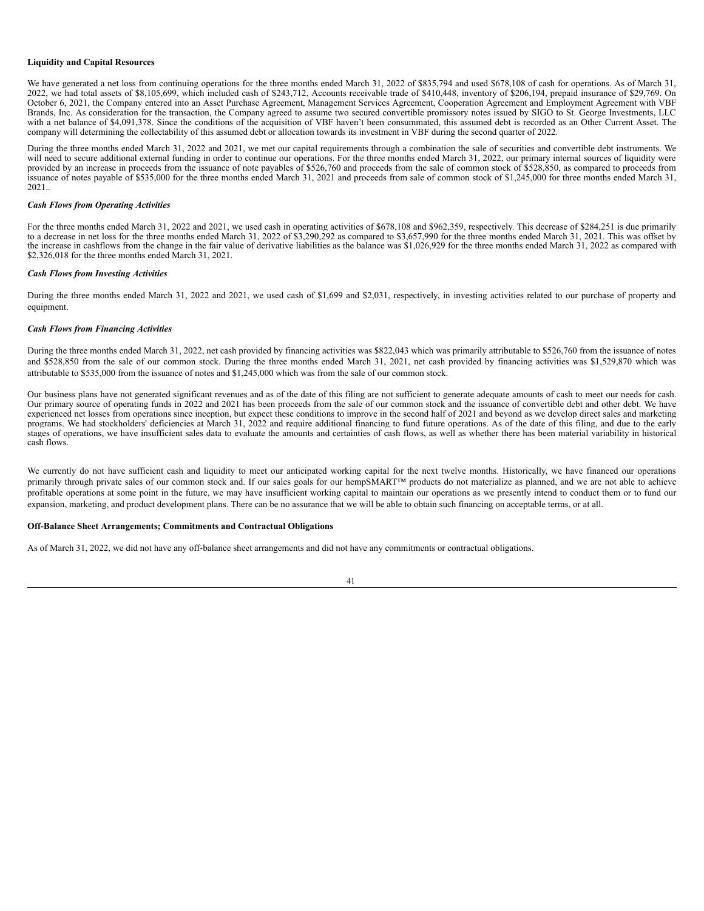## **Liquidity and Capital Resources**

We have generated a net loss from continuing operations for the three months ended March 31, 2022 of \$835,794 and used \$678,108 of cash for operations. As of March 31, 2022, we had total assets of \$8,105,699, which included cash of \$243,712, Accounts receivable trade of \$410,448, inventory of \$206,194, prepaid insurance of \$29,769. On October 6, 2021, the Company entered into an Asset Purchase Agreement, Management Services Agreement, Cooperation Agreement and Employment Agreement with VBF Brands, Inc. As consideration for the transaction, the Company agreed to assume two secured convertible promissory notes issued by SIGO to St. George Investments, LLC with a net balance of \$4,091,378. Since the conditions of the acquisition of VBF haven't been consummated, this assumed debt is recorded as an Other Current Asset. The company will determining the collectability of this assumed debt or allocation towards its investment in VBF during the second quarter of 2022.

During the three months ended March 31, 2022 and 2021, we met our capital requirements through a combination the sale of securities and convertible debt instruments. We will need to secure additional external funding in order to continue our operations. For the three months ended March 31, 2022, our primary internal sources of liquidity were provided by an increase in proceeds from the issuance of note payables of \$526,760 and proceeds from the sale of common stock of \$528,850, as compared to proceeds from issuance of notes payable of \$535,000 for the three months ended March 31, 2021 and proceeds from sale of common stock of \$1,245,000 for three months ended March 31, 2021..

#### *Cash Flows from Operating Activities*

For the three months ended March 31, 2022 and 2021, we used cash in operating activities of \$678,108 and \$962,359, respectively. This decrease of \$284,251 is due primarily to a decrease in net loss for the three months ended March 31, 2022 of \$3,290,292 as compared to \$3,657,990 for the three months ended March 31, 2021. This was offset by the increase in cashflows from the change in the fair value of derivative liabilities as the balance was \$1,026,929 for the three months ended March 31, 2022 as compared with \$2,326,018 for the three months ended March 31, 2021.

#### *Cash Flows from Investing Activities*

During the three months ended March 31, 2022 and 2021, we used cash of \$1,699 and \$2,031, respectively, in investing activities related to our purchase of property and equipment.

#### *Cash Flows from Financing Activities*

During the three months ended March 31, 2022, net cash provided by financing activities was \$822,043 which was primarily attributable to \$526,760 from the issuance of notes and \$528,850 from the sale of our common stock. During the three months ended March 31, 2021, net cash provided by financing activities was \$1,529,870 which was attributable to \$535,000 from the issuance of notes and \$1,245,000 which was from the sale of our common stock.

Our business plans have not generated significant revenues and as of the date of this filing are not sufficient to generate adequate amounts of cash to meet our needs for cash. Our primary source of operating funds in 2022 and 2021 has been proceeds from the sale of our common stock and the issuance of convertible debt and other debt. We have experienced net losses from operations since inception, but expect these conditions to improve in the second half of 2021 and beyond as we develop direct sales and marketing programs. We had stockholders' deficiencies at March 31, 2022 and require additional financing to fund future operations. As of the date of this filing, and due to the early stages of operations, we have insufficient sales data to evaluate the amounts and certainties of cash flows, as well as whether there has been material variability in historical cash flows.

We currently do not have sufficient cash and liquidity to meet our anticipated working capital for the next twelve months. Historically, we have financed our operations primarily through private sales of our common stock and. If our sales goals for our hempSMART™ products do not materialize as planned, and we are not able to achieve profitable operations at some point in the future, we may have insufficient working capital to maintain our operations as we presently intend to conduct them or to fund our expansion, marketing, and product development plans. There can be no assurance that we will be able to obtain such financing on acceptable terms, or at all.

## **Off-Balance Sheet Arrangements; Commitments and Contractual Obligations**

As of March 31, 2022, we did not have any off-balance sheet arrangements and did not have any commitments or contractual obligations.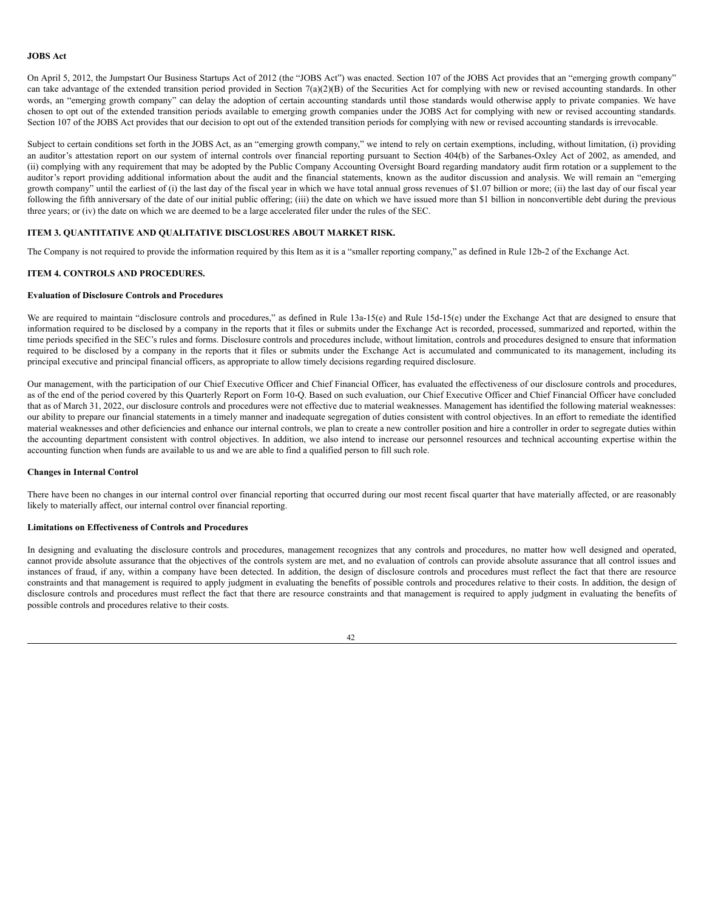# **JOBS Act**

On April 5, 2012, the Jumpstart Our Business Startups Act of 2012 (the "JOBS Act") was enacted. Section 107 of the JOBS Act provides that an "emerging growth company" can take advantage of the extended transition period provided in Section 7(a)(2)(B) of the Securities Act for complying with new or revised accounting standards. In other words, an "emerging growth company" can delay the adoption of certain accounting standards until those standards would otherwise apply to private companies. We have chosen to opt out of the extended transition periods available to emerging growth companies under the JOBS Act for complying with new or revised accounting standards. Section 107 of the JOBS Act provides that our decision to opt out of the extended transition periods for complying with new or revised accounting standards is irrevocable.

Subject to certain conditions set forth in the JOBS Act, as an "emerging growth company," we intend to rely on certain exemptions, including, without limitation, (i) providing an auditor's attestation report on our system of internal controls over financial reporting pursuant to Section 404(b) of the Sarbanes-Oxley Act of 2002, as amended, and (ii) complying with any requirement that may be adopted by the Public Company Accounting Oversight Board regarding mandatory audit firm rotation or a supplement to the auditor's report providing additional information about the audit and the financial statements, known as the auditor discussion and analysis. We will remain an "emerging growth company" until the earliest of (i) the last day of the fiscal year in which we have total annual gross revenues of \$1.07 billion or more; (ii) the last day of our fiscal year following the fifth anniversary of the date of our initial public offering; (iii) the date on which we have issued more than \$1 billion in nonconvertible debt during the previous three years; or (iv) the date on which we are deemed to be a large accelerated filer under the rules of the SEC.

# <span id="page-41-0"></span>**ITEM 3. QUANTITATIVE AND QUALITATIVE DISCLOSURES ABOUT MARKET RISK.**

The Company is not required to provide the information required by this Item as it is a "smaller reporting company," as defined in Rule 12b-2 of the Exchange Act.

#### <span id="page-41-1"></span>**ITEM 4. CONTROLS AND PROCEDURES.**

# **Evaluation of Disclosure Controls and Procedures**

We are required to maintain "disclosure controls and procedures," as defined in Rule 13a-15(e) and Rule 15d-15(e) under the Exchange Act that are designed to ensure that information required to be disclosed by a company in the reports that it files or submits under the Exchange Act is recorded, processed, summarized and reported, within the time periods specified in the SEC's rules and forms. Disclosure controls and procedures include, without limitation, controls and procedures designed to ensure that information required to be disclosed by a company in the reports that it files or submits under the Exchange Act is accumulated and communicated to its management, including its principal executive and principal financial officers, as appropriate to allow timely decisions regarding required disclosure.

Our management, with the participation of our Chief Executive Officer and Chief Financial Officer, has evaluated the effectiveness of our disclosure controls and procedures, as of the end of the period covered by this Quarterly Report on Form 10-Q. Based on such evaluation, our Chief Executive Officer and Chief Financial Officer have concluded that as of March 31, 2022, our disclosure controls and procedures were not effective due to material weaknesses. Management has identified the following material weaknesses: our ability to prepare our financial statements in a timely manner and inadequate segregation of duties consistent with control objectives. In an effort to remediate the identified material weaknesses and other deficiencies and enhance our internal controls, we plan to create a new controller position and hire a controller in order to segregate duties within the accounting department consistent with control objectives. In addition, we also intend to increase our personnel resources and technical accounting expertise within the accounting function when funds are available to us and we are able to find a qualified person to fill such role.

## **Changes in Internal Control**

There have been no changes in our internal control over financial reporting that occurred during our most recent fiscal quarter that have materially affected, or are reasonably likely to materially affect, our internal control over financial reporting.

#### **Limitations on Effectiveness of Controls and Procedures**

In designing and evaluating the disclosure controls and procedures, management recognizes that any controls and procedures, no matter how well designed and operated, cannot provide absolute assurance that the objectives of the controls system are met, and no evaluation of controls can provide absolute assurance that all control issues and instances of fraud, if any, within a company have been detected. In addition, the design of disclosure controls and procedures must reflect the fact that there are resource constraints and that management is required to apply judgment in evaluating the benefits of possible controls and procedures relative to their costs. In addition, the design of disclosure controls and procedures must reflect the fact that there are resource constraints and that management is required to apply judgment in evaluating the benefits of possible controls and procedures relative to their costs.

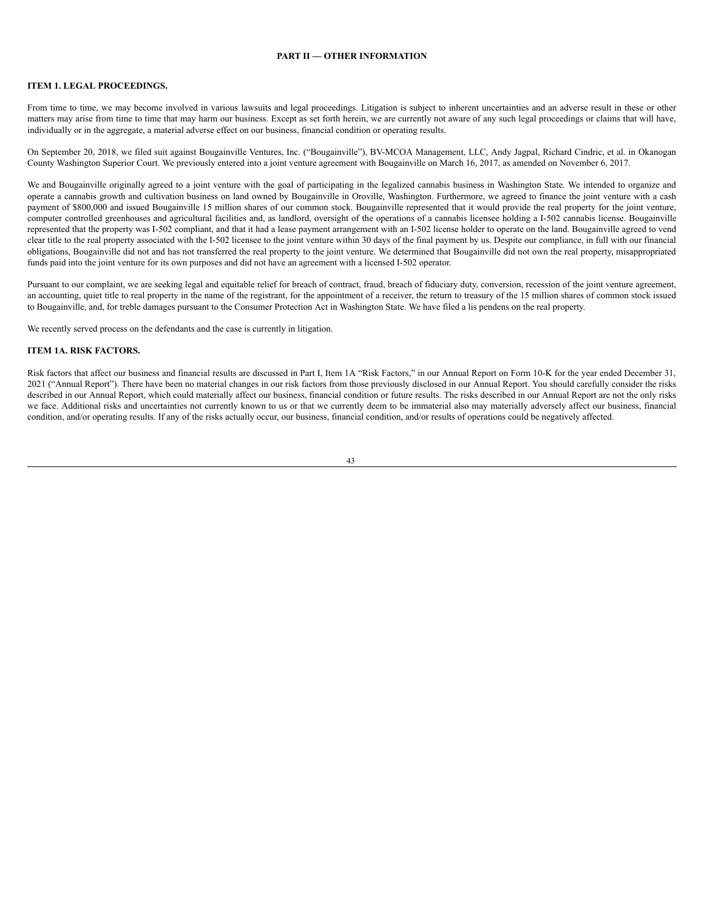# **PART II — OTHER INFORMATION**

# <span id="page-42-1"></span><span id="page-42-0"></span>**ITEM 1. LEGAL PROCEEDINGS.**

From time to time, we may become involved in various lawsuits and legal proceedings. Litigation is subject to inherent uncertainties and an adverse result in these or other matters may arise from time to time that may harm our business. Except as set forth herein, we are currently not aware of any such legal proceedings or claims that will have, individually or in the aggregate, a material adverse effect on our business, financial condition or operating results.

On September 20, 2018, we filed suit against Bougainville Ventures, Inc. ("Bougainville"), BV-MCOA Management, LLC, Andy Jagpal, Richard Cindric, et al. in Okanogan County Washington Superior Court. We previously entered into a joint venture agreement with Bougainville on March 16, 2017, as amended on November 6, 2017.

We and Bougainville originally agreed to a joint venture with the goal of participating in the legalized cannabis business in Washington State. We intended to organize and operate a cannabis growth and cultivation business on land owned by Bougainville in Oroville, Washington. Furthermore, we agreed to finance the joint venture with a cash payment of \$800,000 and issued Bougainville 15 million shares of our common stock. Bougainville represented that it would provide the real property for the joint venture, computer controlled greenhouses and agricultural facilities and, as landlord, oversight of the operations of a cannabis licensee holding a I-502 cannabis license. Bougainville represented that the property was I-502 compliant, and that it had a lease payment arrangement with an I-502 license holder to operate on the land. Bougainville agreed to vend clear title to the real property associated with the I-502 licensee to the joint venture within 30 days of the final payment by us. Despite our compliance, in full with our financial obligations, Bougainville did not and has not transferred the real property to the joint venture. We determined that Bougainville did not own the real property, misappropriated funds paid into the joint venture for its own purposes and did not have an agreement with a licensed I-502 operator.

Pursuant to our complaint, we are seeking legal and equitable relief for breach of contract, fraud, breach of fiduciary duty, conversion, recession of the joint venture agreement, an accounting, quiet title to real property in the name of the registrant, for the appointment of a receiver, the return to treasury of the 15 million shares of common stock issued to Bougainville, and, for treble damages pursuant to the Consumer Protection Act in Washington State. We have filed a lis pendens on the real property.

We recently served process on the defendants and the case is currently in litigation.

# <span id="page-42-2"></span>**ITEM 1A. RISK FACTORS.**

Risk factors that affect our business and financial results are discussed in Part I, Item 1A "Risk Factors," in our Annual Report on Form 10-K for the year ended December 31, 2021 ("Annual Report"). There have been no material changes in our risk factors from those previously disclosed in our Annual Report. You should carefully consider the risks described in our Annual Report, which could materially affect our business, financial condition or future results. The risks described in our Annual Report are not the only risks we face. Additional risks and uncertainties not currently known to us or that we currently deem to be immaterial also may materially adversely affect our business, financial condition, and/or operating results. If any of the risks actually occur, our business, financial condition, and/or results of operations could be negatively affected.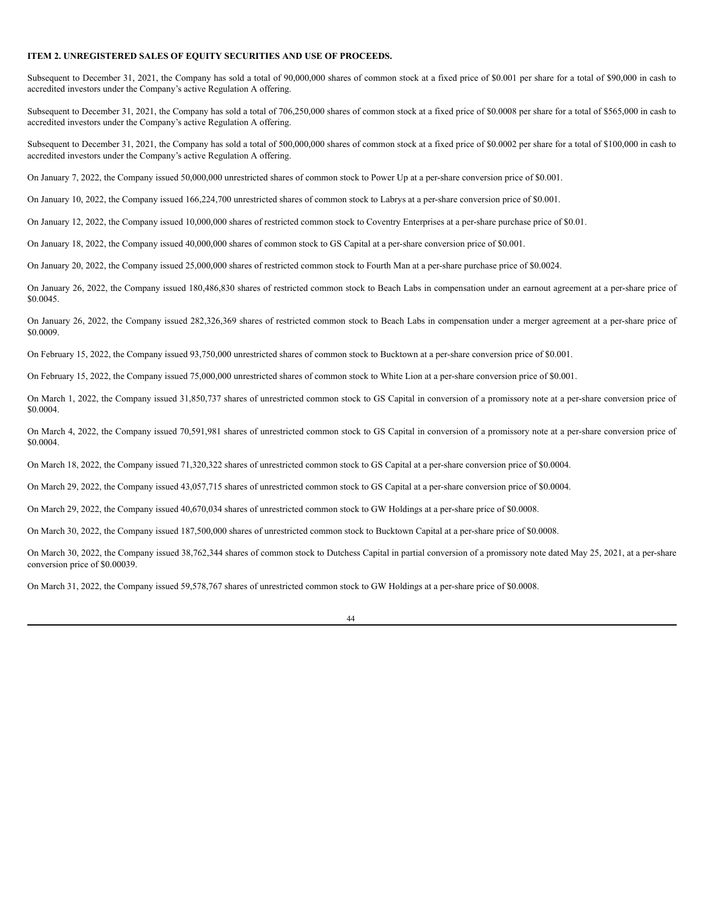# <span id="page-43-0"></span>**ITEM 2. UNREGISTERED SALES OF EQUITY SECURITIES AND USE OF PROCEEDS.**

Subsequent to December 31, 2021, the Company has sold a total of 90,000,000 shares of common stock at a fixed price of \$0.001 per share for a total of \$90,000 in cash to accredited investors under the Company's active Regulation A offering.

Subsequent to December 31, 2021, the Company has sold a total of 706,250,000 shares of common stock at a fixed price of \$0.0008 per share for a total of \$565,000 in cash to accredited investors under the Company's active Regulation A offering.

Subsequent to December 31, 2021, the Company has sold a total of 500,000,000 shares of common stock at a fixed price of \$0.0002 per share for a total of \$100,000 in cash to accredited investors under the Company's active Regulation A offering.

On January 7, 2022, the Company issued 50,000,000 unrestricted shares of common stock to Power Up at a per-share conversion price of \$0.001.

On January 10, 2022, the Company issued 166,224,700 unrestricted shares of common stock to Labrys at a per-share conversion price of \$0.001.

On January 12, 2022, the Company issued 10,000,000 shares of restricted common stock to Coventry Enterprises at a per-share purchase price of \$0.01.

On January 18, 2022, the Company issued 40,000,000 shares of common stock to GS Capital at a per-share conversion price of \$0.001.

On January 20, 2022, the Company issued 25,000,000 shares of restricted common stock to Fourth Man at a per-share purchase price of \$0.0024.

On January 26, 2022, the Company issued 180,486,830 shares of restricted common stock to Beach Labs in compensation under an earnout agreement at a per-share price of \$0.0045.

On January 26, 2022, the Company issued 282,326,369 shares of restricted common stock to Beach Labs in compensation under a merger agreement at a per-share price of \$0.0009.

On February 15, 2022, the Company issued 93,750,000 unrestricted shares of common stock to Bucktown at a per-share conversion price of \$0.001.

On February 15, 2022, the Company issued 75,000,000 unrestricted shares of common stock to White Lion at a per-share conversion price of \$0.001.

On March 1, 2022, the Company issued 31,850,737 shares of unrestricted common stock to GS Capital in conversion of a promissory note at a per-share conversion price of \$0.0004.

On March 4, 2022, the Company issued 70,591,981 shares of unrestricted common stock to GS Capital in conversion of a promissory note at a per-share conversion price of \$0.0004.

On March 18, 2022, the Company issued 71,320,322 shares of unrestricted common stock to GS Capital at a per-share conversion price of \$0.0004.

On March 29, 2022, the Company issued 43,057,715 shares of unrestricted common stock to GS Capital at a per-share conversion price of \$0.0004.

On March 29, 2022, the Company issued 40,670,034 shares of unrestricted common stock to GW Holdings at a per-share price of \$0.0008.

On March 30, 2022, the Company issued 187,500,000 shares of unrestricted common stock to Bucktown Capital at a per-share price of \$0.0008.

On March 30, 2022, the Company issued 38,762,344 shares of common stock to Dutchess Capital in partial conversion of a promissory note dated May 25, 2021, at a per-share conversion price of \$0.00039.

On March 31, 2022, the Company issued 59,578,767 shares of unrestricted common stock to GW Holdings at a per-share price of \$0.0008.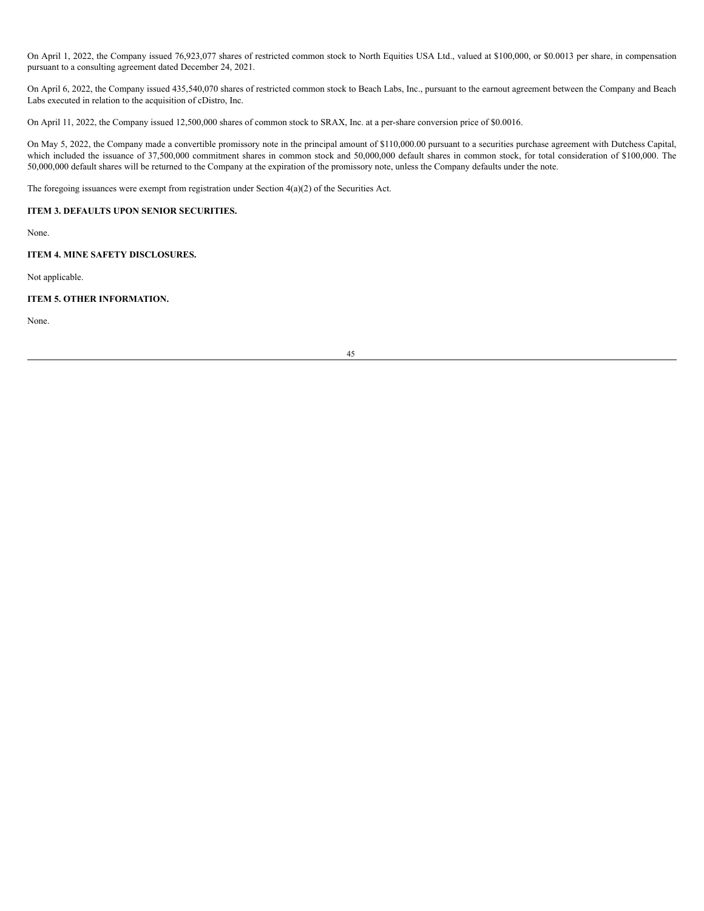On April 1, 2022, the Company issued 76,923,077 shares of restricted common stock to North Equities USA Ltd., valued at \$100,000, or \$0.0013 per share, in compensation pursuant to a consulting agreement dated December 24, 2021.

On April 6, 2022, the Company issued 435,540,070 shares of restricted common stock to Beach Labs, Inc., pursuant to the earnout agreement between the Company and Beach Labs executed in relation to the acquisition of cDistro, Inc.

On April 11, 2022, the Company issued 12,500,000 shares of common stock to SRAX, Inc. at a per-share conversion price of \$0.0016.

On May 5, 2022, the Company made a convertible promissory note in the principal amount of \$110,000.00 pursuant to a securities purchase agreement with Dutchess Capital, which included the issuance of 37,500,000 commitment shares in common stock and 50,000,000 default shares in common stock, for total consideration of \$100,000. The 50,000,000 default shares will be returned to the Company at the expiration of the promissory note, unless the Company defaults under the note.

The foregoing issuances were exempt from registration under Section 4(a)(2) of the Securities Act.

# <span id="page-44-0"></span>**ITEM 3. DEFAULTS UPON SENIOR SECURITIES.**

None.

# <span id="page-44-1"></span>**ITEM 4. MINE SAFETY DISCLOSURES.**

Not applicable.

# <span id="page-44-2"></span>**ITEM 5. OTHER INFORMATION.**

None.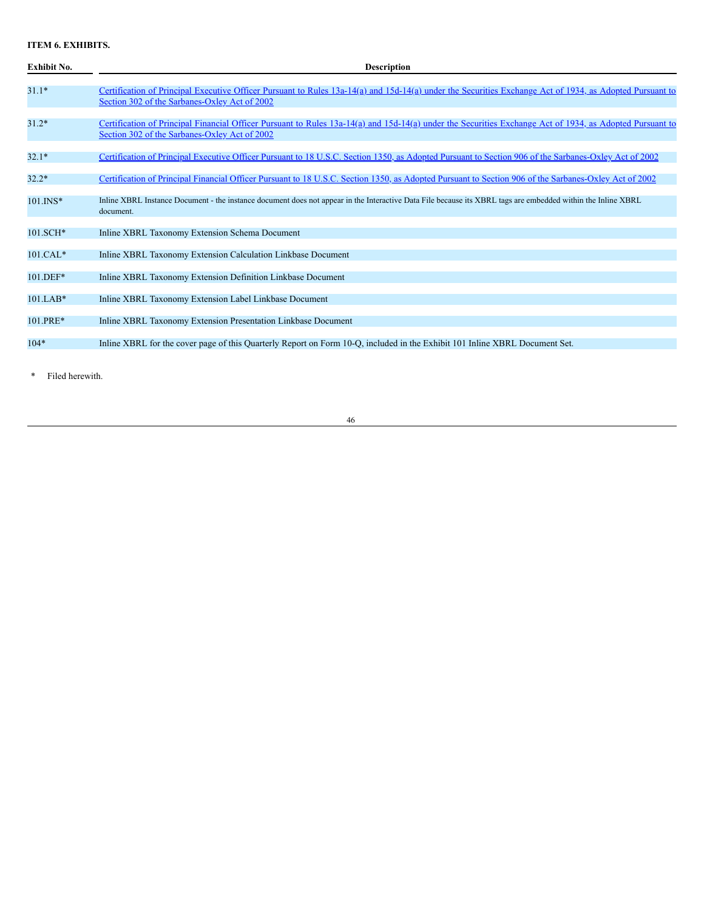# <span id="page-45-0"></span>**ITEM 6. EXHIBITS.**

| <b>Exhibit No.</b> | <b>Description</b>                                                                                                                                                                                        |
|--------------------|-----------------------------------------------------------------------------------------------------------------------------------------------------------------------------------------------------------|
| $31.1*$            | Certification of Principal Executive Officer Pursuant to Rules 13a-14(a) and 15d-14(a) under the Securities Exchange Act of 1934, as Adopted Pursuant to<br>Section 302 of the Sarbanes-Oxley Act of 2002 |
| $31.2*$            | Certification of Principal Financial Officer Pursuant to Rules 13a-14(a) and 15d-14(a) under the Securities Exchange Act of 1934, as Adopted Pursuant to<br>Section 302 of the Sarbanes-Oxley Act of 2002 |
| $32.1*$            | Certification of Principal Executive Officer Pursuant to 18 U.S.C. Section 1350, as Adopted Pursuant to Section 906 of the Sarbanes-Oxley Act of 2002                                                     |
| $32.2*$            | Certification of Principal Financial Officer Pursuant to 18 U.S.C. Section 1350, as Adopted Pursuant to Section 906 of the Sarbanes-Oxley Act of 2002                                                     |
| $101$ . INS*       | Inline XBRL Instance Document - the instance document does not appear in the Interactive Data File because its XBRL tags are embedded within the Inline XBRL<br>document.                                 |
| 101.SCH*           | Inline XBRL Taxonomy Extension Schema Document                                                                                                                                                            |
| $101.CAL*$         | Inline XBRL Taxonomy Extension Calculation Linkbase Document                                                                                                                                              |
| 101.DEF*           | Inline XBRL Taxonomy Extension Definition Linkbase Document                                                                                                                                               |
| $101.LAB*$         | Inline XBRL Taxonomy Extension Label Linkbase Document                                                                                                                                                    |
| 101.PRE*           | Inline XBRL Taxonomy Extension Presentation Linkbase Document                                                                                                                                             |
| $104*$             | Inline XBRL for the cover page of this Quarterly Report on Form 10-Q, included in the Exhibit 101 Inline XBRL Document Set.                                                                               |

\* Filed herewith.

46

<u> 1989 - Johann Barn, mars ann an t-</u>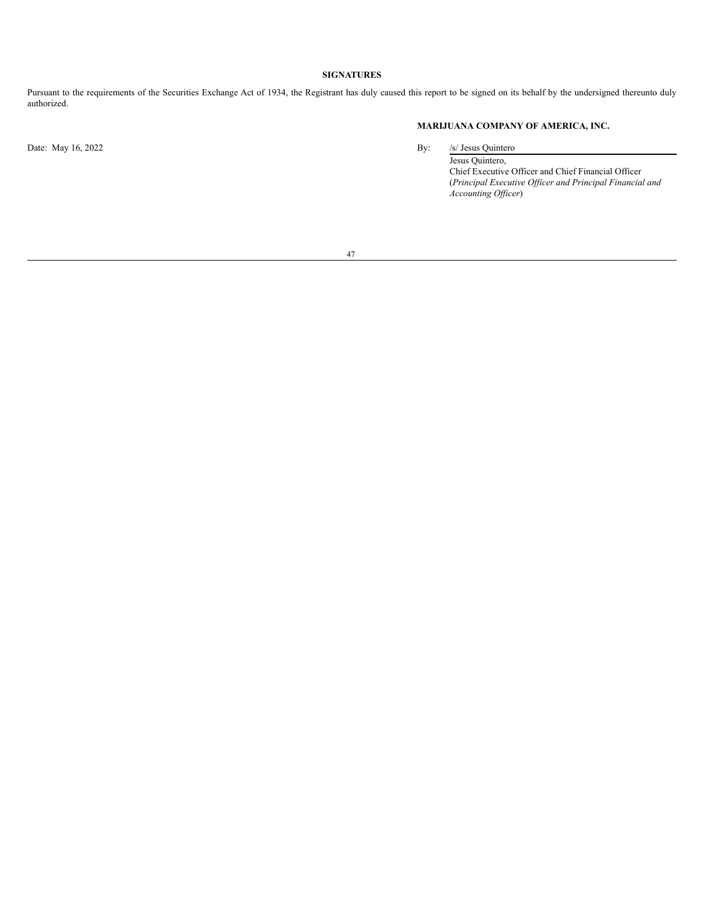# **SIGNATURES**

<span id="page-46-0"></span>Pursuant to the requirements of the Securities Exchange Act of 1934, the Registrant has duly caused this report to be signed on its behalf by the undersigned thereunto duly authorized.

# **MARIJUANA COMPANY OF AMERICA, INC.**

Date: May 16, 2022 By: /s/ Jesus Quintero

Jesus Quintero, Chief Executive Officer and Chief Financial Officer (*Principal Executive Of icer and Principal Financial and Accounting Of icer*)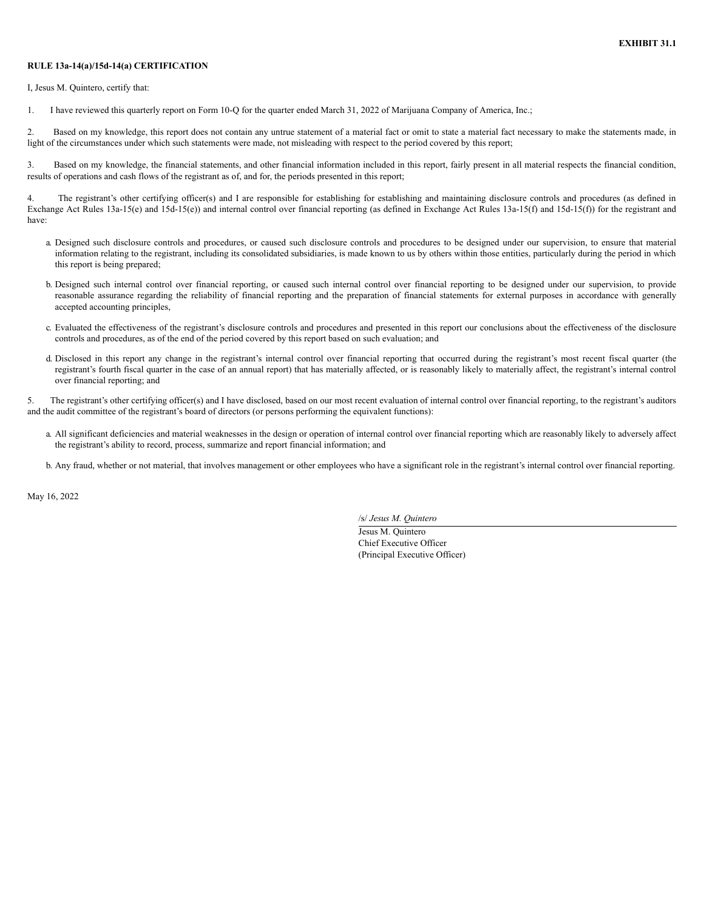# **RULE 13a-14(a)/15d-14(a) CERTIFICATION**

I, Jesus M. Quintero, certify that:

1. I have reviewed this quarterly report on Form 10-Q for the quarter ended March 31, 2022 of Marijuana Company of America, Inc.;

2. Based on my knowledge, this report does not contain any untrue statement of a material fact or omit to state a material fact necessary to make the statements made, in light of the circumstances under which such statements were made, not misleading with respect to the period covered by this report;

3. Based on my knowledge, the financial statements, and other financial information included in this report, fairly present in all material respects the financial condition, results of operations and cash flows of the registrant as of, and for, the periods presented in this report;

4. The registrant's other certifying officer(s) and I are responsible for establishing for establishing and maintaining disclosure controls and procedures (as defined in Exchange Act Rules 13a-15(e) and 15d-15(e)) and internal control over financial reporting (as defined in Exchange Act Rules 13a-15(f) and 15d-15(f)) for the registrant and have:

- a. Designed such disclosure controls and procedures, or caused such disclosure controls and procedures to be designed under our supervision, to ensure that material information relating to the registrant, including its consolidated subsidiaries, is made known to us by others within those entities, particularly during the period in which this report is being prepared;
- b. Designed such internal control over financial reporting, or caused such internal control over financial reporting to be designed under our supervision, to provide reasonable assurance regarding the reliability of financial reporting and the preparation of financial statements for external purposes in accordance with generally accepted accounting principles,
- c. Evaluated the effectiveness of the registrant's disclosure controls and procedures and presented in this report our conclusions about the effectiveness of the disclosure controls and procedures, as of the end of the period covered by this report based on such evaluation; and
- d. Disclosed in this report any change in the registrant's internal control over financial reporting that occurred during the registrant's most recent fiscal quarter (the registrant's fourth fiscal quarter in the case of an annual report) that has materially affected, or is reasonably likely to materially affect, the registrant's internal control over financial reporting; and

5. The registrant's other certifying officer(s) and I have disclosed, based on our most recent evaluation of internal control over financial reporting, to the registrant's auditors and the audit committee of the registrant's board of directors (or persons performing the equivalent functions):

- a. All significant deficiencies and material weaknesses in the design or operation of internal control over financial reporting which are reasonably likely to adversely affect the registrant's ability to record, process, summarize and report financial information; and
- b. Any fraud, whether or not material, that involves management or other employees who have a significant role in the registrant's internal control over financial reporting.

May 16, 2022

/s/ *Jesus M. Quintero*

Jesus M. Quintero Chief Executive Officer (Principal Executive Officer)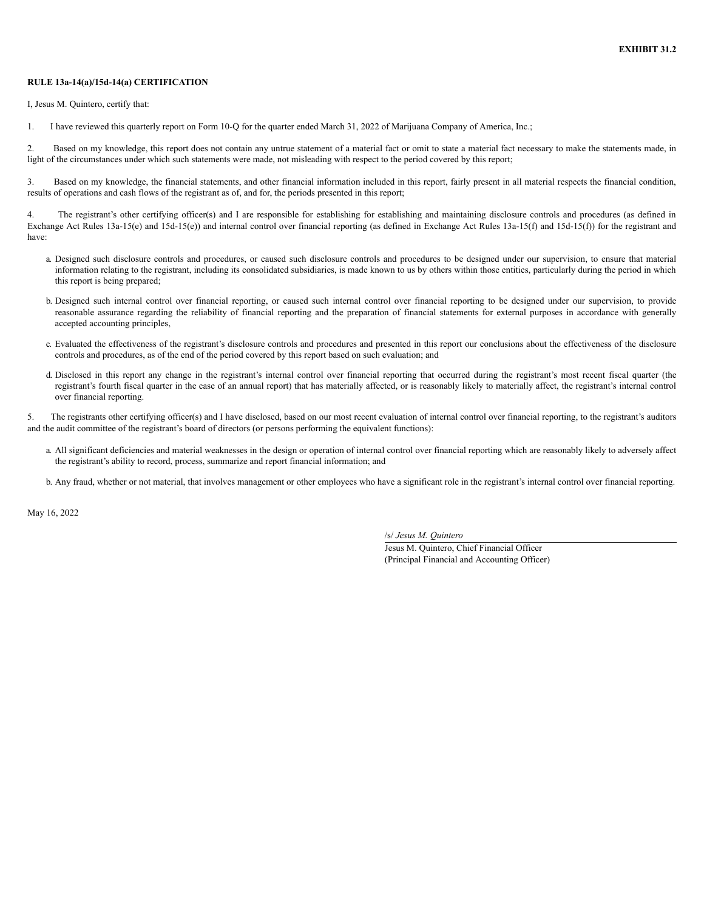# **RULE 13a-14(a)/15d-14(a) CERTIFICATION**

I, Jesus M. Quintero, certify that:

1. I have reviewed this quarterly report on Form 10-Q for the quarter ended March 31, 2022 of Marijuana Company of America, Inc.;

2. Based on my knowledge, this report does not contain any untrue statement of a material fact or omit to state a material fact necessary to make the statements made, in light of the circumstances under which such statements were made, not misleading with respect to the period covered by this report;

3. Based on my knowledge, the financial statements, and other financial information included in this report, fairly present in all material respects the financial condition, results of operations and cash flows of the registrant as of, and for, the periods presented in this report;

4. The registrant's other certifying officer(s) and I are responsible for establishing for establishing and maintaining disclosure controls and procedures (as defined in Exchange Act Rules 13a-15(e) and 15d-15(e)) and internal control over financial reporting (as defined in Exchange Act Rules 13a-15(f) and 15d-15(f)) for the registrant and have:

- a. Designed such disclosure controls and procedures, or caused such disclosure controls and procedures to be designed under our supervision, to ensure that material information relating to the registrant, including its consolidated subsidiaries, is made known to us by others within those entities, particularly during the period in which this report is being prepared;
- b. Designed such internal control over financial reporting, or caused such internal control over financial reporting to be designed under our supervision, to provide reasonable assurance regarding the reliability of financial reporting and the preparation of financial statements for external purposes in accordance with generally accepted accounting principles,
- c. Evaluated the effectiveness of the registrant's disclosure controls and procedures and presented in this report our conclusions about the effectiveness of the disclosure controls and procedures, as of the end of the period covered by this report based on such evaluation; and
- d. Disclosed in this report any change in the registrant's internal control over financial reporting that occurred during the registrant's most recent fiscal quarter (the registrant's fourth fiscal quarter in the case of an annual report) that has materially affected, or is reasonably likely to materially affect, the registrant's internal control over financial reporting.

5. The registrants other certifying officer(s) and I have disclosed, based on our most recent evaluation of internal control over financial reporting, to the registrant's auditors and the audit committee of the registrant's board of directors (or persons performing the equivalent functions):

- a. All significant deficiencies and material weaknesses in the design or operation of internal control over financial reporting which are reasonably likely to adversely affect the registrant's ability to record, process, summarize and report financial information; and
- b. Any fraud, whether or not material, that involves management or other employees who have a significant role in the registrant's internal control over financial reporting.

May 16, 2022

/s/ *Jesus M. Quintero*

Jesus M. Quintero, Chief Financial Officer (Principal Financial and Accounting Officer)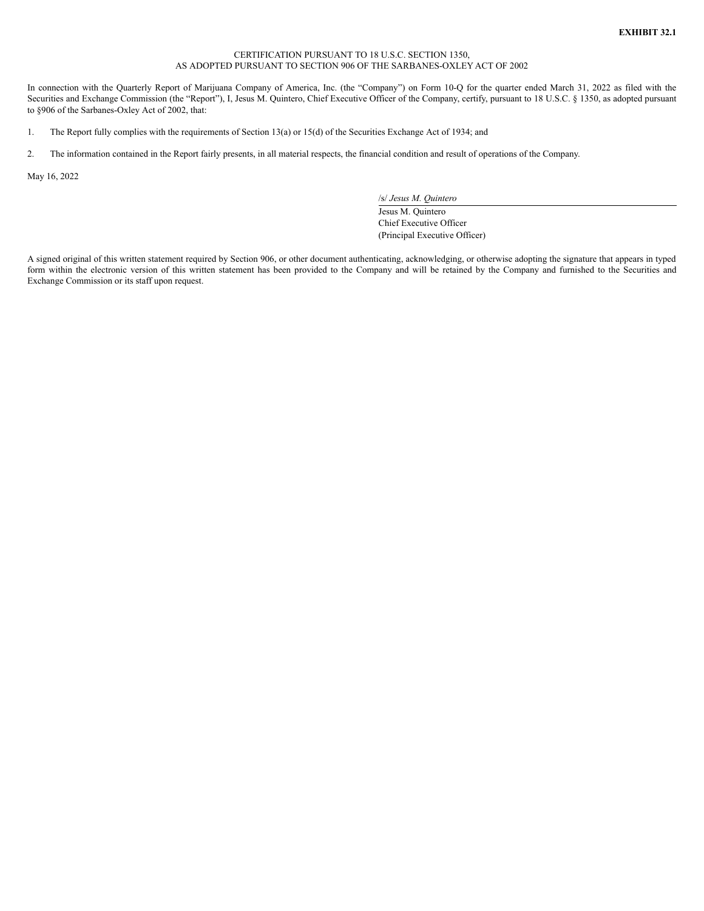# CERTIFICATION PURSUANT TO 18 U.S.C. SECTION 1350, AS ADOPTED PURSUANT TO SECTION 906 OF THE SARBANES-OXLEY ACT OF 2002

In connection with the Quarterly Report of Marijuana Company of America, Inc. (the "Company") on Form 10-Q for the quarter ended March 31, 2022 as filed with the Securities and Exchange Commission (the "Report"), I, Jesus M. Quintero, Chief Executive Officer of the Company, certify, pursuant to 18 U.S.C. § 1350, as adopted pursuant to §906 of the Sarbanes-Oxley Act of 2002, that:

1. The Report fully complies with the requirements of Section 13(a) or 15(d) of the Securities Exchange Act of 1934; and

2. The information contained in the Report fairly presents, in all material respects, the financial condition and result of operations of the Company.

May 16, 2022

/s/ *Jesus M. Quintero*

Jesus M. Quintero Chief Executive Officer (Principal Executive Officer)

A signed original of this written statement required by Section 906, or other document authenticating, acknowledging, or otherwise adopting the signature that appears in typed form within the electronic version of this written statement has been provided to the Company and will be retained by the Company and furnished to the Securities and Exchange Commission or its staff upon request.